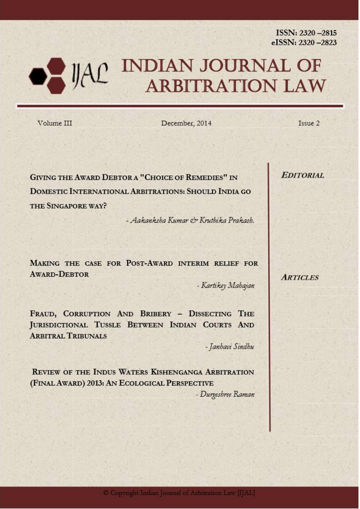ISSN: 2320-2815<br>eISSN: 2320-2823

# JAC INDIAN JOURNAL OF ARBITRATION LAW

Volume III

**eISSN : 2320–2823**

December, 2014

Issue 2

**GIVING THE AWARD DEBTOR A "CHOICE OF REMEDIES" IN** DOMESTIC INTERNATIONAL ARBITRATIONS: SHOULD INDIA GO THE SINGAPORE WAY?

- Aakanksha Kumar & Kruthika Prakash.

MAKING THE CASE FOR POST-AWARD INTERIM RELIEF FOR **AWARD-DEBTOR** 

- Kartikey Mahajan

FRAUD, CORRUPTION AND BRIBERY - DISSECTING THE JURISDICTIONAL TUSSLE BETWEEN INDIAN COURTS AND **ARBITRAL TRIBUNALS** 

- Janhavi Sindhu

REVIEW OF THE INDUS WATERS KISHENGANGA ARBITRATION (FINAL AWARD) 2013: AN ECOLOGICAL PERSPECTIVE

- Durgeshree Raman

**EDITORIAL** 

**ARTICLES**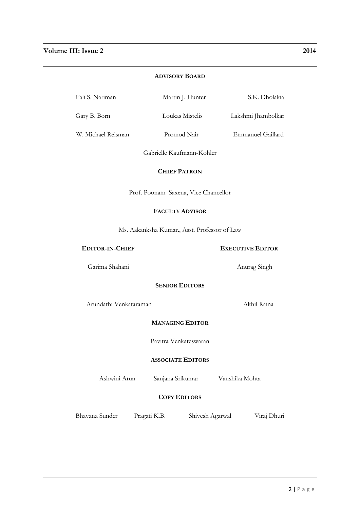## **ADVISORY BOARD**

| Fali S. Nariman<br>S.K. Dholakia<br>Martin J. Hunter |
|------------------------------------------------------|
|------------------------------------------------------|

Gary B. Born Loukas Mistelis Lakshmi Jhambolkar

W. Michael Reisman Promod Nair Emmanuel Gaillard

Gabrielle Kaufmann-Kohler

# **CHIEF PATRON**

Prof. Poonam Saxena, Vice Chancellor

# **FACULTY ADVISOR**

Ms. Aakanksha Kumar., Asst. Professor of Law

## **EDITOR-IN-CHIEF EXECUTIVE EDITOR**

Garima Shahani Anurag Singh

# **SENIOR EDITORS**

Arundathi Venkataraman Akhil Raina

# **MANAGING EDITOR**

Pavitra Venkateswaran

## **ASSOCIATE EDITORS**

Ashwini Arun Sanjana Srikumar Vanshika Mohta

# **COPY EDITORS**

Bhavana Sunder Pragati K.B. Shivesh Agarwal Viraj Dhuri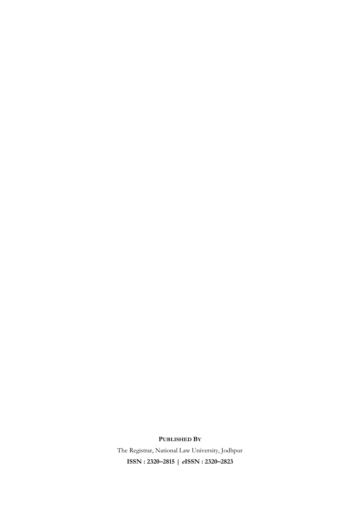# **PUBLISHED BY**

The Registrar, National Law University, Jodhpur **ISSN : 2320–2815 | eISSN : 2320–2823**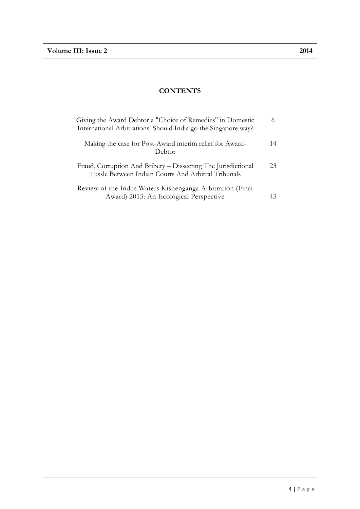# **CONTENTS**

| Giving the Award Debtor a "Choice of Remedies" in Domestic<br>International Arbitrations: Should India go the Singapore way? |    |  |  |  |  |
|------------------------------------------------------------------------------------------------------------------------------|----|--|--|--|--|
| Making the case for Post-Award interim relief for Award-<br>Debtor                                                           | 14 |  |  |  |  |
| Fraud, Corruption And Bribery – Dissecting The Jurisdictional<br>Tussle Between Indian Courts And Arbitral Tribunals         | 23 |  |  |  |  |
| Review of the Indus Waters Kishenganga Arbitration (Final<br>Award) 2013: An Ecological Perspective                          | 43 |  |  |  |  |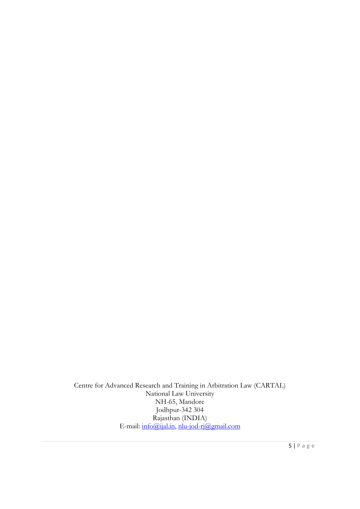Centre for Advanced Research and Training in Arbitration Law (CARTAL) National Law University NH-65, Mandore Jodhpur-342 304 Rajasthan (INDIA) E-mail: <u>info@ijal.in, [nlu-jod-rj@gmail.com](mailto:nlu-jod-rj@gmail.com)</u>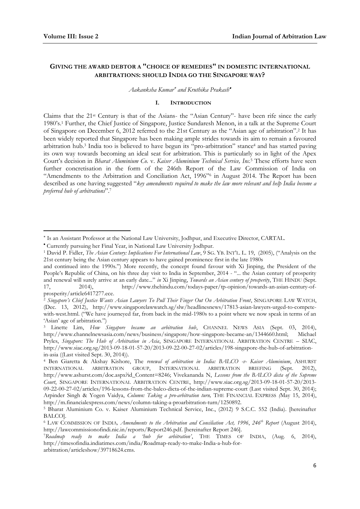-

## **GIVING THE AWARD DEBTOR A "CHOICE OF REMEDIES" IN DOMESTIC INTERNATIONAL ARBITRATIONS: SHOULD INDIA GO THE SINGAPORE WAY?**

*Aakanksha Kumar and Kruthika Prakash*

#### **I. INTRODUCTION**

Claims that the 21st Century is that of the Asians- the "Asian Century"- have been rife since the early 1980's.<sup>1</sup> Further, the Chief Justice of Singapore, Justice Sundaresh Menon, in a talk at the Supreme Court of Singapore on December 6, 2012 referred to the 21st Century as the "Asian age of arbitration".<sup>2</sup> It has been widely reported that Singapore has been making ample strides towards its aim to remain a favoured arbitration hub.<sup>3</sup> India too is believed to have begun its "pro-arbitration" stance<sup>4</sup> and has started paving its own way towards becoming an ideal seat for arbitration. This is particularly so in light of the Apex Court's decision in *Bharat Aluminium Co.* v. *Kaiser Aluminium Technical Service, Inc.*<sup>5</sup> These efforts have seen further concretisation in the form of the 246th Report of the Law Commission of India on "Amendments to the Arbitration and Conciliation Act, 1996"<sup>6</sup> in August 2014. The Report has been described as one having suggested "*key amendments required to make the law more relevant and help India become a preferred hub of arbitrations*".<sup>7</sup>

Is an Assistant Professor at the National Law University, Jodhpur, and Executive Director, CARTAL.

Currently pursuing her Final Year, in National Law University Jodhpur.

<sup>1</sup> David P. Fidler, *The Asian Century: Implications For International Law*, 9 SG. YB. INT'L. L. 19, (2005), ("Analysis on the 21st century being the Asian century appears to have gained prominence first in the late 1980s

and continued into the 1990s.") More recently, the concept found favour with Xi Jinping, the President of the People's Republic of China, on his three day visit to India in September, 2014 - "... the Asian century of prosperity and renewal will surely arrive at an early date..." *in* Xi Jinping, *Towards an Asian century of prosperity*, THE HINDU (Sept. 17, 2014), http://www.thehindu.com/todays-paper/tp-opinion/towards-an-asian-century-ofprosperity/article6417277.ece.

<sup>2</sup> *Singapore's Chief Justice Wants Asian Lawyers To Pull Their Finger Out On Arbitration Front*, SINGAPORE LAW WATCH, (Dec. 13, 2012), http://www.singaporelawwatch.sg/slw/headlinesnews/17813-asian-lawyers-urged-to-competewith-west.html. ("We have journeyed far, from back in the mid-1980s to a point where we now speak in terms of an 'Asian' age of arbitration.")

<sup>3</sup> Linette Lim, *How Singapore became an arbitration hub*, CHANNEL NEWS ASIA (Sept. 03, 2014), http://www.channelnewsasia.com/news/business/singapore/how-singapore-became-an/1344660.html; Michael Pryles, *Singapore: The Hub of Arbitration in Asia*, SINGAPORE INTERNATIONAL ARBITRATION CENTRE – SIAC, http://www.siac.org.sg/2013-09-18-01-57-20/2013-09-22-00-27-02/articles/198-singapore-the-hub-of-arbitrationin-asia ((Last visited Sept. 30, 2014)).

<sup>4</sup> Ben Giaretta & Akshay Kishore, The *renewal of arbitration in India: BALCO -v- Kaiser Aluminium*, ASHURST INTERNATIONAL ARBITRATION GROUP, INTERNATIONAL ARBITRATION BRIEFING (Sept. 2012), http://www.ashurst.com/doc.aspx?id\_Content=8246; Vivekananda N, *Lessons from the BALCO dicta of the Supreme Court*, SINGAPORE INTERNATIONAL ARBITRATION CENTRE, http://www.siac.org.sg/2013-09-18-01-57-20/2013- 09-22-00-27-02/articles/196-lessons-from-the-balco-dicta-of-the-indian-supreme-court (Last visited Sept. 30, 2014); Arpinder Singh & Yogen Vaidya, *Column: Taking a pro-arbitration turn,* THE FINANCIAL EXPRESS *(*May 15, 2014), http://m.financialexpress.com/news/column-taking-a-proarbitration-turn/1250892.

<sup>5</sup> Bharat Aluminium Co. v. Kaiser Aluminium Technical Service, Inc., (2012) 9 S.C.C. 552 (India). [hereinafter BALCO].

<sup>6</sup> LAW COMMISSION OF INDIA*, Amendments to the Arbitration and Conciliation Act, 1996*, *246th Report* (August 2014), http://lawcommissionofindi.nic.in/reports/Report246.pdf. [hereinafter Report 246].

<sup>7</sup>*Roadmap ready to make India a 'hub for arbitration'*, THE TIMES OF INDIA, (Aug. 6, 2014), http://timesofindia.indiatimes.com/india/Roadmap-ready-to-make-India-a-hub-forarbitration/articleshow/39718624.cms.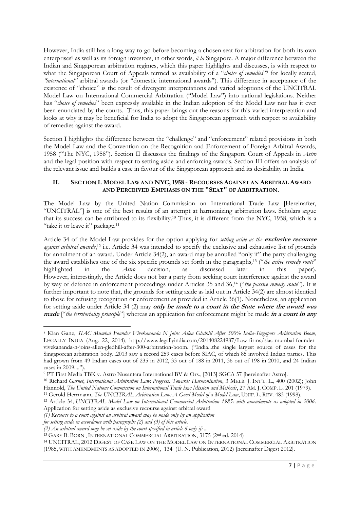However, India still has a long way to go before becoming a chosen seat for arbitration for both its own enterprises<sup>8</sup> as well as its foreign investors, in other words, *à la* Singapore. A major difference between the Indian and Singaporean arbitration regimes, which this paper highlights and discusses, is with respect to what the Singaporean Court of Appeals termed as availability of a "*choice of remedies*" <sup>9</sup> for locally seated, *"international"* arbitral awards (or "domestic international awards"). This difference in acceptance of the existence of "choice" is the result of divergent interpretations and varied adoptions of the UNCITRAL Model Law on International Commercial Arbitration ("Model Law") into national legislations. Neither has "*choice of remedies*" been expressly available in the Indian adoption of the Model Law nor has it ever been enunciated by the courts. Thus, this paper brings out the reasons for this varied interpretation and looks at why it may be beneficial for India to adopt the Singaporean approach with respect to availability of remedies against the award.

Section I highlights the difference between the "challenge" and "enforcement" related provisions in both the Model Law and the Convention on the Recognition and Enforcement of Foreign Arbitral Awards, 1958 ("The NYC, 1958"). Section II discusses the findings of the Singapore Court of Appeals in *Astro* and the legal position with respect to setting aside and enforcing awards. Section III offers an analysis of the relevant issue and builds a case in favour of the Singaporean approach and its desirability in India.

## **II. SECTION I. MODEL LAW AND NYC, 1958 - RECOURSES AGAINST AN ARBITRAL AWARD AND PERCEIVED EMPHASIS ON THE "SEAT" OF ARBITRATION.**

The Model Law by the United Nation Commission on International Trade Law [Hereinafter, "UNCITRAL"] is one of the best results of an attempt at harmonizing arbitration laws. Scholars argue that its success can be attributed to its flexibility.<sup>10</sup> Thus, it is different from the NYC, 1958, which is a "take it or leave it" package.<sup>11</sup>

Article 34 of the Model Law provides for the option applying for *setting aside as the* **exclusive recourse** *against arbitral awards*, <sup>12</sup> i.e. Article 34 was intended to specify the exclusive and exhaustive list of grounds for annulment of an award. Under Article 34(2), an award may be annulled "only if" the party challenging the award establishes one of the six specific grounds set forth in the paragraphs*,* <sup>13</sup> ("*the active remedy route*" highlighted in the *Astro* decision, as discussed later in this paper)*.* However, interestingly, the Article does not bar a party from seeking court interference against the award by way of defence in enforcement proceedings under Articles 35 and 36,<sup>14</sup> ("*the passive remedy route*"). It is further important to note that, the grounds for setting aside as laid out in Article 34(2) are almost identical to those for refusing recognition or enforcement as provided in Article 36(1). Nonetheless, an application for setting aside under Article 34 (2) may **only be made to a court in the State where the award was made** ["*the territoriality principle*"] whereas an application for enforcement might be made **in a court in any** 

<sup>-</sup><sup>8</sup> Kian Ganz, *SIAC Mumbai Founder Vivekananda N Joins Allen Gledhill After 300% India-Singapore Arbitration Boom*, LEGALLY INDIA (Aug. 22, 2014), http://www.legallyindia.com/201408224987/Law-firms/siac-mumbai-foundervivekananda-n-joins-allen-gledhill-after-300-arbitration-boom. ("India...the single largest source of cases for the Singaporean arbitration body...2013 saw a record 259 cases before SIAC, of which 85 involved Indian parties. This had grown from 49 Indian cases out of 235 in 2012, 33 out of 188 in 2011, 36 out of 198 in 2010, and 24 Indian cases in 2009....").

<sup>9</sup> PT First Media TBK v. Astro Nusantara International BV & Ors., [2013] SGCA 57 [hereinafter Astro].

<sup>10</sup> Richard *Garnet*, *International Arbitration Law*: *Progress*. *Towards Harmonisation*, 3 MELB. J. INT'L. L.*,* 400 (2002); John Hannold, *The United Nations Commission on International Trade law: Mission and Methods*, 27 AM. J. COMP. L. 201 (1979).

<sup>11</sup> Gerold Herrmann, *The UNCITRAL Arbitration Law: A Good Model of a Model Law*, UNIF. L. REV. 483 (1998).

<sup>12</sup> Article 34, *UNCITRAL Model Law on International Commercial Arbitration 1985: with amendments as adopted in 2006.* Application for setting aside as exclusive recourse against arbitral award

*<sup>(1)</sup> Recourse to a court against an arbitral award may be made only by an application*

*for setting aside in accordance with paragraphs (2) and (3) of this article.*

*<sup>(2)</sup> An arbitral award may be set aside by the court specified in article 6 only if:....*

<sup>13</sup> GARY B. BORN , INTERNATIONAL COMMERCIAL ARBITRATION, 3175 (2nd ed. 2014)

<sup>14</sup> UNCITRAL, 2012 DIGEST OF CASE LAW ON THE MODEL LAW ON INTERNATIONAL COMMERCIAL ARBITRATION (1985, WITH AMENDMENTS AS ADOPTED IN 2006), 134 (U. N. Publication, 2012) [hereinafter Digest 2012].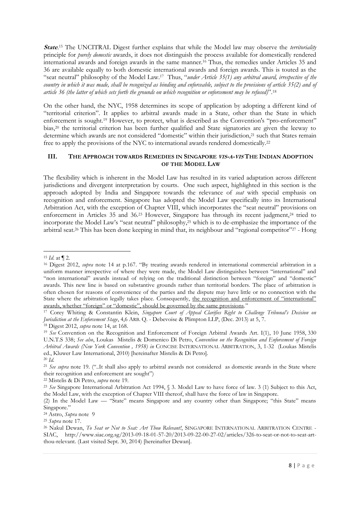**State**. <sup>15</sup> The UNCITRAL Digest further explains that while the Model law may observe the *territoriality* principle for *purely domestic* awards, it does not distinguish the process available for domestically rendered international awards and foreign awards in the same manner.<sup>16</sup> Thus, the remedies under Articles 35 and 36 are available equally to both domestic international awards and foreign awards. This is touted as the "seat neutral" philosophy of the Model Law.<sup>17</sup> Thus, "*under Article 35(1) any arbitral award, irrespective of the country in which it was made, shall be recognized as binding and enforceable, subject to the provisions of article 35(2) and of article 36 (the latter of which sets forth the grounds on which recognition or enforcement may be refused)*".<sup>18</sup>

On the other hand, the NYC, 1958 determines its scope of application by adopting a different kind of "territorial criterion". It applies to arbitral awards made in a State, other than the State in which enforcement is sought.<sup>19</sup> However, to protect, what is described as the Convention's "pro-enforcement" bias,<sup>20</sup> the territorial criterion has been further qualified and State signatories are given the leeway to determine which awards are not considered "domestic" within their jurisdiction,<sup>21</sup> such that States remain free to apply the provisions of the NYC to international awards rendered domestically.<sup>22</sup>

## **III. THE APPROACH TOWARDS REMEDIES IN SINGAPORE VIS-A-VIS THE INDIAN ADOPTION OF THE MODEL LAW**

The flexibility which is inherent in the Model Law has resulted in its varied adaptation across different jurisdictions and divergent interpretation by courts. One such aspect, highlighted in this section is the approach adopted by India and Singapore towards the relevance of *seat* with special emphasis on recognition and enforcement. Singapore has adopted the Model Law specifically into its International Arbitration Act, with the exception of Chapter VIII, which incorporates the "seat neutral" provisions on enforcement in Articles 35 and 36.<sup>23</sup> However, Singapore has through its recent judgment,<sup>24</sup> tried to incorporate the Model Law's "seat neutral" philosophy,<sup>25</sup> which is to de-emphasize the importance of the arbitral seat.<sup>26</sup> This has been done keeping in mind that, its neighbour and "regional competitor"<sup>27</sup> - Hong

<sup>24</sup> Astro, *Supra* note 9

<sup>-</sup><sup>15</sup> *Id*. at ¶ 2.

<sup>16</sup> Digest 2012, *supra* note 14 at p.167. "By treating awards rendered in international commercial arbitration in a uniform manner irrespective of where they were made, the Model Law distinguishes between "international" and "non international" awards instead of relying on the traditional distinction between "foreign" and "domestic" awards. This new line is based on substantive grounds rather than territorial borders. The place of arbitration is often chosen for reasons of convenience of the parties and the dispute may have little or no connection with the State where the arbitration legally takes place. Consequently, the recognition and enforcement of "international" awards, whether "foreign" or "domestic", should be governed by the same provisions."

<sup>17</sup> Corey Whiting & Constantin Klein, *Singapore Court of Appeal Clarifies Right to Challenge Tribunal's Decision on Jurisdiction at the Enforcement Stage*, 4,6 ARB. Q. - Debevoise & Plimpton LLP, (Dec. 2013) at 5, 7.

<sup>18</sup> Digest 2012, *supra* note 14, at 168.

<sup>19</sup> *See* Convention on the Recognition and Enforcement of Foreign Arbitral Awards Art. I(1), 10 June 1958, 330 U.N.T.S 338; *See also*, Loukas Mistelis & Domenico Di Petro, *Convention on the Recognition and Enforcement of Foreign Arbitral Awards (New York Convention , 1958) in* CONCISE INTERNATIONAL ARBITRATION, 3, 1-32 (Loukas Mistelis ed., Kluwer Law International, 2010) [hereinafter Mistelis & Di Petro]. <sup>20</sup> *Id.*

<sup>21</sup> *See supra* note 19. ("..It shall also apply to arbitral awards not considered as domestic awards in the State where their recognition and enforcement are sought")

<sup>22</sup> Mistelis & Di Petro, *supra* note 19.

<sup>23</sup> *See* Singapore International Arbitration Act 1994, § 3. Model Law to have force of law. 3 (1) Subject to this Act, the Model Law, with the exception of Chapter VIII thereof, shall have the force of law in Singapore.

<sup>(2)</sup> In the Model Law — "State" means Singapore and any country other than Singapore; "this State" means Singapore."

<sup>25</sup> *Supra* note 17.

<sup>26</sup> Nakul Dewan, *To Seat or Not to Seat: Art Thou Relevant!*, SINGAPORE INTERNATIONAL ARBITRATION CENTRE - SIAC, http://www.siac.org.sg/2013-09-18-01-57-20/2013-09-22-00-27-02/articles/326-to-seat-or-not-to-seat-artthou-relevant. (Last visited Sept. 30, 2014) [hereinafter Dewan].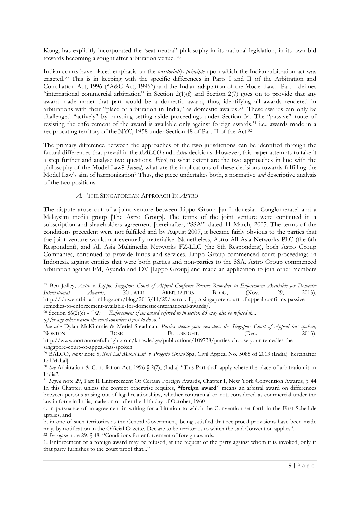Kong, has explicitly incorporated the 'seat neutral' philosophy in its national legislation, in its own bid towards becoming a sought after arbitration venue. <sup>28</sup>

Indian courts have placed emphasis on the *territoriality principle* upon which the Indian arbitration act was enacted.<sup>29</sup> This is in keeping with the specific differences in Parts I and II of the Arbitration and Conciliation Act, 1996 ("A&C Act, 1996") and the Indian adaptation of the Model Law. Part I defines "international commercial arbitration" in Section  $2(1)(f)$  and Section  $2(7)$  goes on to provide that any award made under that part would be a domestic award, thus, identifying all awards rendered in arbitrations with their "place of arbitration in India," as domestic awards.<sup>30</sup> These awards can only be challenged "actively" by pursuing setting aside proceedings under Section 34. The "passive" route of resisting the enforcement of the award is available only against foreign awards,<sup>31</sup> i.e., awards made in a reciprocating territory of the NYC, 1958 under Section 48 of Part II of the Act.<sup>32</sup>

The primary difference between the approaches of the two jurisdictions can be identified through the factual differences that prevail in the *BALCO* and *Astro* decisions. However, this paper attempts to take it a step further and analyse two questions. *First*, to what extent are the two approaches in line with the philosophy of the Model Law? *Second*, what are the implications of these decisions towards fulfilling the Model Law's aim of harmonization? Thus, the piece undertakes both, a normative *and* descriptive analysis of the two positions.

#### *A.* THE SINGAPOREAN APPROACH IN *ASTRO*

The dispute arose out of a joint venture between Lippo Group [an Indonesian Conglomerate] and a Malaysian media group [The Astro Group]. The terms of the joint venture were contained in a subscription and shareholders agreement [hereinafter, "SSA"] dated 11 March, 2005. The terms of the conditions precedent were not fulfilled and by August 2007, it became fairly obvious to the parties that the joint venture would not eventually materialise. Nonetheless, Astro All Asia Networks PLC (the 6th Respondent), and All Asia Multimedia Networks FZ-LLC (the 8th Respondent), both Astro Group Companies, continued to provide funds and services. Lippo Group commenced court proceedings in Indonesia against entities that were both parties and non-parties to the SSA. Astro Group commenced arbitration against FM, Ayunda and DV [Lippo Group] and made an application to join other members

<sup>28</sup> Section 86(2)(c) - *" (2) Enforcement of an award referred to in section 85 may also be refused if....*

<sup>27</sup> Ben Jolley, *Astro v. Lippo: Singapore Court of Appeal Confirms Passive Remedies to Enforcement Available for Domestic International Awards*, KLUWER ARBITRATION BLOG, (Nov. 29, 2013), http://kluwerarbitrationblog.com/blog/2013/11/29/astro-v-lippo-singapore-court-of-appeal-confirms-passiveremedies-to-enforcement-available-for-domestic-international-awards/.

*<sup>(</sup>c) for any other reason the court considers it just to do so*."

*See also* Dylan McKimmie & Meriel Steadman, *Parties choose your remedies: the Singapore Court of Appeal has spoken,* NORTON ROSE FULLBRIGHT, (Dec. 2013), http://www.nortonrosefulbright.com/knowledge/publications/109738/parties-choose-your-remedies-the-

singapore-court-of-appeal-has-spoken.

<sup>29</sup> BALCO, *supra* note 5; *Shri Lal Mahal Ltd. v. Progetto Grano* Spa, Civil Appeal No. 5085 of 2013 (India) [hereinafter Lal Mahal].

<sup>&</sup>lt;sup>30</sup> See Arbitration & Conciliation Act, 1996 § 2(2), (India) "This Part shall apply where the place of arbitration is in India".

<sup>31</sup> *Supra* note 29, Part II Enforcement Of Certain Foreign Awards, Chapter I, New York Convention Awards*,* § 44 In this Chapter, unless the context otherwise requires, **"foreign award**" means an arbitral award on differences between persons arising out of legal relationships, whether contractual or not, considered as commercial under the law in force in India, made on or after the 11th day of October, 1960-

a. in pursuance of an agreement in writing for arbitration to which the Convention set forth in the First Schedule applies, and

b. in one of such territories as the Central Government, being satisfied that reciprocal provisions have been made may, by notification in the Official Gazette. Declare to be territories to which the said Convention applies".

<sup>32</sup> *See supra* note 29, § 48*.* "Conditions for enforcement of foreign awards.

<sup>1.</sup> Enforcement of a foreign award may be refused, at the request of the party against whom it is invoked, only if that party furnishes to the court proof that..."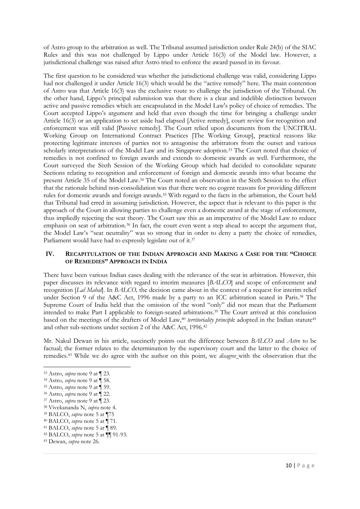of Astro group to the arbitration as well. The Tribunal assumed jurisdiction under Rule 24(b) of the SIAC Rules and this was not challenged by Lippo under Article 16(3) of the Model law. However, a jurisdictional challenge was raised after Astro tried to enforce the award passed in its favour.

The first question to be considered was whether the jurisdictional challenge was valid, considering Lippo had not challenged it under Article 16(3) which would be the "active remedy" here. The main contention of Astro was that Article 16(3) was the exclusive route to challenge the jurisdiction of the Tribunal. On the other hand, Lippo's principal submission was that there is a clear and indelible distinction between active and passive remedies which are encapsulated in the Model Law's policy of choice of remedies. The Court accepted Lippo's argument and held that even though the time for bringing a challenge under Article 16(3) or an application to set aside had elapsed [Active remedy], court review for recognition and enforcement was still valid [Passive remedy]. The Court relied upon documents from the UNCITRAL Working Group on International Contract Practices [The Working Group], practical reasons like protecting legitimate interests of parties not to antagonise the arbitrators from the outset and various scholarly interpretations of the Model Law and its Singapore adoption.<sup>33</sup> The Court noted that choice of remedies is not confined to foreign awards and extends to domestic awards as well. Furthermore, the Court surveyed the Sixth Session of the Working Group which had decided to consolidate separate Sections relating to recognition and enforcement of foreign and domestic awards into what became the present Article 35 of the Model Law.<sup>34</sup> The Court noted an observation in the Sixth Session to the effect that the rationale behind non-consolidation was that there were no cogent reasons for providing different rules for domestic awards and foreign awards.<sup>35</sup> With regard to the facts in the arbitration, the Court held that Tribunal had erred in assuming jurisdiction. However, the aspect that is relevant to this paper is the approach of the Court in allowing parties to challenge even a domestic award at the stage of enforcement, thus impliedly rejecting the seat theory. The Court saw this as an imperative of the Model Law to reduce emphasis on seat of arbitration.<sup>36</sup> In fact, the court even went a step ahead to accept the argument that, the Model Law's "seat neutrality" was so strong that in order to deny a party the choice of remedies, Parliament would have had to expressly legislate out of it.<sup>37</sup>

## **IV. RECAPITULATION OF THE INDIAN APPROACH AND MAKING A CASE FOR THE "CHOICE OF REMEDIES" APPROACH IN INDIA**

There have been various Indian cases dealing with the relevance of the seat in arbitration. However, this paper discusses its relevance with regard to interim measures [*BALCO*] and scope of enforcement and recognition [*Lal Mahal*]. In *BALCO,* the decision came about in the context of a request for interim relief under Section 9 of the A&C Act, 1996 made by a party to an ICC arbitration seated in Paris.<sup>38</sup> The Supreme Court of India held that the omission of the word "only" did not mean that the Parliament intended to make Part I applicable to foreign-seated arbitrations.<sup>39</sup> The Court arrived at this conclusion based on the meetings of the drafters of Model Law,<sup>40</sup> *territoriality principle* adopted in the Indian statute<sup>41</sup> and other sub-sections under section 2 of the A&C Act, 1996.<sup>42</sup>

Mr. Nakul Dewan in his article, succinctly points out the difference between *BALCO* and *Astro* to be factual; the former relates to the determination by the supervisory court and the latter to the choice of remedies.<sup>43</sup> While we do agree with the author on this point, we *disagree* with the observation that the

<sup>39</sup> BALCO, *supra* note 5 at ¶75

<sup>-</sup><sup>33</sup> Astro, *supra* note 9 at ¶ 23.

<sup>34</sup> Astro, *supra* note 9 at ¶ 58.

<sup>35</sup> Astro, *supra* note 9 at ¶ 59.

<sup>36</sup> Astro, *supra* note 9 at ¶ 22.

<sup>37</sup> Astro, *supra* note 9 at ¶ 23.

<sup>38</sup> Vivekananda N, *supra* note 4.

<sup>40</sup> BALCO, *supra* note 5 at ¶ 71.

<sup>41</sup> BALCO, *supra* note 5 at ¶ 89.

<sup>42</sup> BALCO, *supra* note 5 at ¶¶ 91-93.

<sup>43</sup> Dewan, *supra* note 26.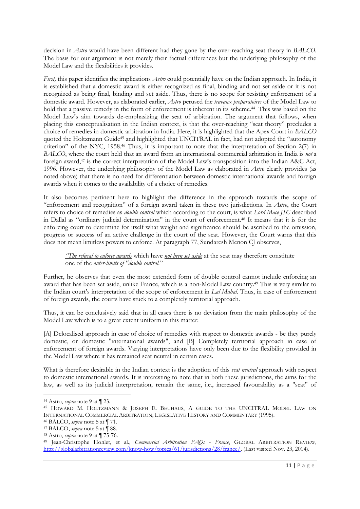decision in *Astro* would have been different had they gone by the over-reaching seat theory in *BALCO*. The basis for our argument is not merely their factual differences but the underlying philosophy of the Model Law and the flexibilities it provides.

*First,* this paper identifies the implications *Astro* could potentially have on the Indian approach. In India, it is established that a domestic award is either recognized as final, binding and not set aside or it is not recognized as being final, binding and set aside. Thus, there is no scope for resisting enforcement of a domestic award. However, as elaborated earlier, *Astro* perused the *travaux preparatoires* of the Model Law to hold that a passive remedy in the form of enforcement is inherent in its scheme.<sup>44</sup> This was based on the Model Law's aim towards de-emphasizing the seat of arbitration. The argument that follows, when placing this conceptualisation in the Indian context, is that the over-reaching "seat theory" precludes a choice of remedies in domestic arbitration in India. Here, it is highlighted that the Apex Court in *BALCO* quoted the Holtzmann Guide<sup>45</sup> and highlighted that UNCITRAL in fact, had not adopted the "autonomy criterion" of the NYC, 1958.<sup>46</sup> Thus, it is important to note that the interpretation of Section 2(7) in *BALCO*, where the court held that an award from an international commercial arbitration in India is *not* a foreign award,<sup>47</sup> is the correct interpretation of the Model Law's transposition into the Indian A&C Act, 1996. However, the underlying philosophy of the Model Law as elaborated in *Astro* clearly provides (as noted above) that there is no need for differentiation between domestic international awards and foreign awards when it comes to the availability of a choice of remedies.

It also becomes pertinent here to highlight the difference in the approach towards the scope of "enforcement and recognition" of a foreign award taken in these two jurisdictions. In *Astro*, the Court refers to choice of remedies as *double control* which according to the court, is what *Lord Mace JSC* described in Dallal as "ordinary judicial determination" in the court of enforcement.<sup>48</sup> It means that it is for the enforcing court to determine for itself what weight and significance should be ascribed to the omission, progress or success of an active challenge in the court of the seat. However, the Court warns that this does not mean limitless powers to enforce. At paragraph 77, Sundaresh Menon CJ observes,

*"The refusal to enforce awards* which have *not been set aside* at the seat may therefore constitute one of the *outer-limits of "double control.*"

Further, he observes that even the most extended form of double control cannot include enforcing an award that has been set aside, unlike France, which is a non-Model Law country.<sup>49</sup> This is very similar to the Indian court's interpretation of the scope of enforcement in *Lal Mahal*. Thus, in case of enforcement of foreign awards, the courts have stuck to a completely territorial approach.

Thus, it can be conclusively said that in all cases there is no deviation from the main philosophy of the Model Law which is to a great extent uniform in this matter:

[A] Delocalised approach in case of choice of remedies with respect to domestic awards - be they purely domestic, or domestic "international awards", and [B] Completely territorial approach in case of enforcement of foreign awards. Varying interpretations have only been due to the flexibility provided in the Model Law where it has remained seat neutral in certain cases.

What is therefore desirable in the Indian context is the adoption of this *seat neutral* approach with respect to domestic international awards. It is interesting to note that in both these jurisdictions, the aims for the law, as well as its judicial interpretation, remain the same, i.e., increased favourability as a "seat" of

<sup>44</sup> Astro, *supra* note 9 at ¶ 23.

<sup>45</sup> HOWARD M. HOLTZMANN & JOSEPH E. BEUHAUS, A GUIDE TO THE UNCITRAL MODEL LAW ON INTERNATIONAL COMMERCIAL ARBITRATION, LEGISLATIVE HISTORY AND COMMENTARY (1995).

<sup>46</sup> BALCO, *supra* note 5 at ¶ 71.

<sup>47</sup> BALCO, *supra* note 5 at ¶ 88.

<sup>48</sup> Astro, *supra* note 9 at ¶ 75-76.

<sup>49</sup> Jean-Christophe Honlet, et al., *Commercial Arbitration FAQs - France*, GLOBAL ARBITRATION REVIEW, [http://globalarbitrationreview.com/know-how/topics/61/jurisdictions/28/france/.](http://globalarbitrationreview.com/know-how/topics/61/jurisdictions/28/france/) (Last visited Nov. 23, 2014).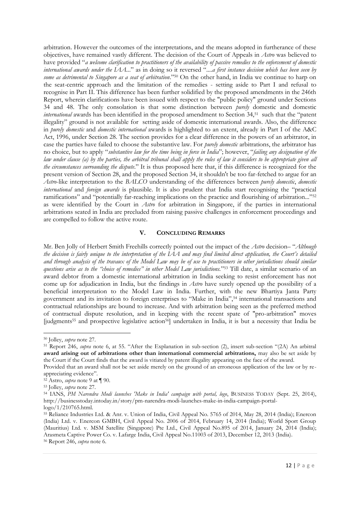arbitration. However the outcomes of the interpretations, and the means adopted in furtherance of these objectives, have remained vastly different. The decision of the Court of Appeals in *Astro* was believed to have provided "*a welcome clarification to practitioners of the availability of passive remedies to the enforcement of domestic international awards under the IAA..*." as in doing so it reversed "....*a first instance decision which has been seen by some as detrimental to Singapore as a seat of arbitration*."<sup>50</sup> On the other hand, in India we continue to harp on the seat-centric approach and the limitation of the remedies - setting aside to Part I and refusal to recognise in Part II. This difference has been further solidified by the proposed amendments in the 246th Report, wherein clarifications have been issued with respect to the "public policy" ground under Sections 34 and 48. The only consolation is that some distinction between *purely* domestic and domestic *international* awards has been identified in the proposed amendment to Section 34,<sup>51</sup> such that the "patent illegality" ground is not available for setting aside of domestic international awards. Also, the difference in *purely domestic* and *domestic international* awards is highlighted to an extent, already in Part I of the A&C Act, 1996, under Section 28. The section provides for a clear difference in the powers of an arbitrator, in case the parties have failed to choose the substantive law. For *purely domestic* arbitrations, the arbitrator has no choice, but to apply "*substantive law for the time being in force in India*"; however, "*failing any designation of the law under clause (a) by the parties, the arbitral tribunal shall apply the rules of law it considers to be appropriate given all the circumstances surrounding the dispute*." It is thus proposed here that, if this difference is recognized for the present version of Section 28, and the proposed Section 34, it shouldn't be too far-fetched to argue for an *Astro*-like interpretation to the *BALCO* understanding of the differences between *purely domestic*, *domestic international* and *foreign awards* is plausible. It is also prudent that India start recognising the "practical ramifications" and "potentially far-reaching implications on the practice and flourishing of arbitration..."<sup>52</sup> as were identified by the Court in *Astro* for arbitration in Singapore, if the parties in international arbitrations seated in India are precluded from raising passive challenges in enforcement proceedings and are compelled to follow the active route.

#### **V. CONCLUDING REMARKS**

Mr. Ben Jolly of Herbert Smith Freehills correctly pointed out the impact of the *Astro* decision– "*Although the decision is fairly unique to the interpretation of the IAA and may find limited direct application, the Court's detailed and through analysis of the travaux of the Model Law may be of use to practitioners in other jurisdictions should similar questions arise as to the "choice of remedies" in other Model Law jurisdictions.*" <sup>53</sup> Till date, a similar scenario of an award debtor from a domestic international arbitration in India seeking to resist enforcement has not come up for adjudication in India, but the findings in *Astro* have surely opened up the possibility of a beneficial interpretation to the Model Law in India. Further, with the new Bhartiya Janta Party government and its invitation to foreign enterprises to "Make in India",<sup>54</sup> international transactions and contractual relationships are bound to increase. And with arbitration being seen as the preferred method of contractual dispute resolution, and in keeping with the recent spate of "pro-arbitration" moves [judgments<sup>55</sup> and prospective legislative action56] undertaken in India, it is but a necessity that India be

<sup>50</sup> Jolley, *supra* note 27.

<sup>51</sup> Report 246, *supra* note 6, at 55. "After the Explanation in sub-section (2), insert sub-section "(2A) An arbitral **award arising out of arbitrations other than international commercial arbitrations,** may also be set aside by the Court if the Court finds that the award is vitiated by patent illegality appearing on the face of the award.

Provided that an award shall not be set aside merely on the ground of an erroneous application of the law or by reappreciating evidence".

<sup>52</sup> Astro, *supra* note 9 at ¶ 90.

<sup>53</sup> Jolley, *supra* note 27.

<sup>54</sup> IANS, *PM Narendra Modi launches 'Make in India' campaign with portal, logo*, BUSINESS TODAY (Sept. 25, 2014), http://businesstoday.intoday.in/story/pm-narendra-modi-launches-make-in-india-campaign-portallogo/1/210765.html.

<sup>55</sup> Reliance Industries Ltd. & Anr. v. Union of India, Civil Appeal No. 5765 of 2014, May 28, 2014 (India); Enercon (India) Ltd. v. Enercon GMBH, Civil Appeal No. 2006 of 2014, February 14, 2014 (India); World Sport Group (Mauritius) Ltd. v. MSM Satellite (Singapore) Pte Ltd., Civil Appeal No.895 of 2014, January 24, 2014 (India); Arasmeta Captive Power Co. v. Lafarge India, Civil Appeal No.11003 of 2013, December 12, 2013 (India).

<sup>56</sup> Report 246, *supra* note 6.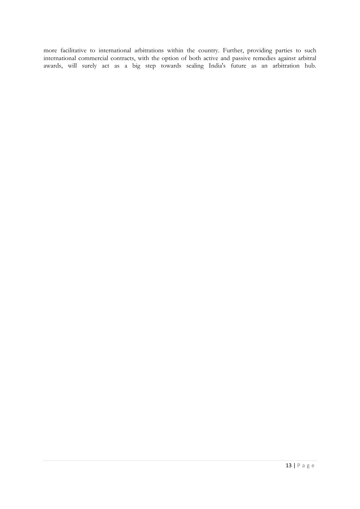more facilitative to international arbitrations within the country. Further, providing parties to such international commercial contracts, with the option of both active and passive remedies against arbitral awards, will surely act as a big step towards sealing India's future as an arbitration hub.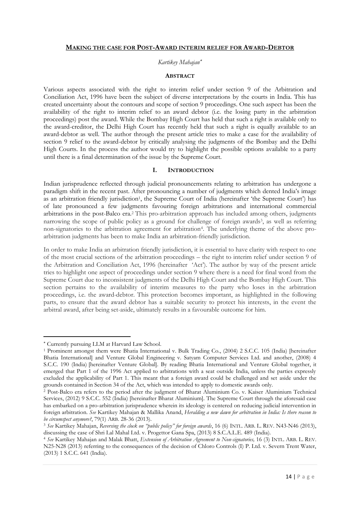#### **MAKING THE CASE FOR POST-AWARD INTERIM RELIEF FOR AWARD-DEBTOR**

#### *Kartikey Mahajan*

## **ABSTRACT**

Various aspects associated with the right to interim relief under section 9 of the Arbitration and Conciliation Act, 1996 have been the subject of diverse interpretations by the courts in India. This has created uncertainty about the contours and scope of section 9 proceedings. One such aspect has been the availability of the right to interim relief to an award debtor (i.e. the losing party in the arbitration proceedings) post the award. While the Bombay High Court has held that such a right is available only to the award-creditor, the Delhi High Court has recently held that such a right is equally available to an award-debtor as well. The author through the present article tries to make a case for the availability of section 9 relief to the award-debtor by critically analysing the judgments of the Bombay and the Delhi High Courts. In the process the author would try to highlight the possible options available to a party until there is a final determination of the issue by the Supreme Court.

#### **I. INTRODUCTION**

Indian jurisprudence reflected through judicial pronouncements relating to arbitration has undergone a paradigm shift in the recent past. After pronouncing a number of judgments which dented India's image as an arbitration friendly jurisdiction<sup>1</sup>, the Supreme Court of India (hereinafter 'the Supreme Court') has of late pronounced a few judgments favouring foreign arbitrations and international commercial arbitrations in the post-Balco era.<sup>2</sup> This pro-arbitration approach has included among others, judgments narrowing the scope of public policy as a ground for challenge of foreign awards<sup>3</sup>, as well as referring non-signatories to the arbitration agreement for arbitration<sup>4</sup>. The underlying theme of the above proarbitration judgments has been to make India an arbitration-friendly jurisdiction.

In order to make India an arbitration friendly jurisdiction, it is essential to have clarity with respect to one of the most crucial sections of the arbitration proceedings – the right to interim relief under section 9 of the Arbitration and Conciliation Act, 1996 (hereinafter 'Act'). The author by way of the present article tries to highlight one aspect of proceedings under section 9 where there is a need for final word from the Supreme Court due to inconsistent judgments of the Delhi High Court and the Bombay High Court. This section pertains to the availability of interim measures to the party who loses in the arbitration proceedings, i.e. the award-debtor. This protection becomes important, as highlighted in the following parts, to ensure that the award debtor has a suitable security to protect his interests, in the event the arbitral award, after being set-aside, ultimately results in a favourable outcome for him.

Currently pursuing LLM at Harvard Law School.

<sup>1</sup> Prominent amongst them were Bhatia International v. Bulk Trading Co., (2004) 2 S.C.C. 105 (India) [hereinafter Bhatia International] and Venture Global Engineering v. Satyam Computer Services Ltd. and another, (2008) 4 S.C.C. 190 (India) [hereinafter Venture Global]. By reading Bhatia International and Venture Global together, it emerged that Part 1 of the 1996 Act applied to arbitrations with a seat outside India, unless the parties expressly excluded the applicability of Part 1. This meant that a foreign award could be challenged and set aside under the grounds contained in Section 34 of the Act, which was intended to apply to domestic awards only.

<sup>2</sup> Post-Balco era refers to the period after the judgment of Bharat Aluminium Co. v. Kaiser Aluminium Technical Services, (2012) 9 S.C.C. 552 (India) [hereinafter Bharat Aluminium]. The Supreme Court through the aforesaid case has embarked on a pro-arbitration jurisprudence wherein its ideology is centered on reducing judicial intervention in foreign arbitration. *See* Kartikey Mahajan & Mallika Anand, *Heralding a new dawn for arbitration in India: Is there reason to be circumspect anymore?*, 79(1) ARB. 28-36 (2013).

<sup>3</sup> *See* Kartikey Mahajan, *Reversing the clock on "public policy" for foreign awards*, 16 (6) INTL. ARB. L. REV. N43-N46 (2013), discussing the case of Shri Lal Mahal Ltd. v. Progettor Gana Spa, (2013) 8 S.C.A.L.E. 489 (India).

<sup>4</sup> *See* Kartikey Mahajan and Malak Bhatt, *Extension of Arbitration Agreement to Non-signatories,* 16 (3) INTL. ARB. L. REV. N25-N28 (2013) referring to the consequences of the decision of Chloro Controls (I) P. Ltd. v. Severn Trent Water, (2013) 1 S.C.C. 641 (India).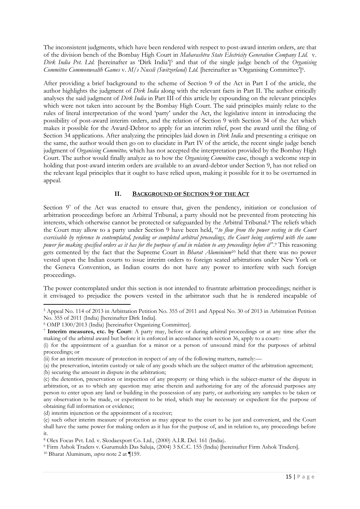The inconsistent judgments, which have been rendered with respect to post-award interim orders, are that of the division bench of the Bombay High Court in *Maharashtra State Electricity Generation Company Ltd.* v. *Dirk India Pvt. Ltd.* [hereinafter as 'Dirk India']<sup>5</sup> and that of the single judge bench of the *Organising Committee Commonwealth Games* v. *M/s Nussli (Switzerland) Ltd.* [hereinafter as 'Organising Committee']<sup>6</sup> .

After providing a brief background to the scheme of Section 9 of the Act in Part I of the article, the author highlights the judgment of *Dirk India* along with the relevant facts in Part II. The author critically analyses the said judgment of *Dirk India* in Part III of this article by expounding on the relevant principles which were not taken into account by the Bombay High Court. The said principles mainly relate to the rules of literal interpretation of the word 'party' under the Act, the legislative intent in introducing the possibility of post-award interim orders, and the relation of Section 9 with Section 34 of the Act which makes it possible for the Award-Debtor to apply for an interim relief, post the award until the filing of Section 34 applications. After analyzing the principles laid down in *Dirk India* and presenting a critique on the same, the author would then go on to elucidate in Part IV of the article, the recent single judge bench judgment of *Organising Committee,* which has not accepted the interpretation provided by the Bombay High Court. The author would finally analyze as to how the *Organising Committee* case, though a welcome step in holding that post-award interim orders are available to an award-debtor under Section 9, has not relied on the relevant legal principles that it ought to have relied upon, making it possible for it to be overturned in appeal.

# **II. BACKGROUND OF SECTION 9 OF THE ACT**

Section 97 of the Act was enacted to ensure that, given the pendency, initiation or conclusion of arbitration proceedings before an Arbitral Tribunal, a party should not be prevented from protecting his interests, which otherwise cannot be protected or safeguarded by the Arbitral Tribunal.<sup>8</sup> The reliefs which the Court may allow to a party under Section 9 have been held, "*to flow from the power vesting in the Court exercisable by reference to contemplated, pending or completed arbitral proceedings, the Court being conferred with the same power for making specified orders as it has for the purpose of and in relation to any proceedings before it*".<sup>9</sup> This reasoning gets cemented by the fact that the Supreme Court in *Bharat Aluminium*<sup>10</sup> held that there was no power vested upon the Indian courts to issue interim orders to foreign seated arbitrations under New York or the Geneva Convention, as Indian courts do not have any power to interfere with such foreign proceedings.

The power contemplated under this section is not intended to frustrate arbitration proceedings; neither is it envisaged to prejudice the powers vested in the arbitrator such that he is rendered incapable of

<sup>5</sup> Appeal No. 114 of 2013 in Arbitration Petition No. 355 of 2011 and Appeal No. 30 of 2013 in Arbitration Petition No. 355 of 2011 (India) [hereinafter Dirk India].

<sup>6</sup> OMP 1300/2013 (India) [hereinafter Organizing Committee].

<sup>7</sup> **Interim measures, etc. by Court**: A party may, before or during arbitral proceedings or at any time after the making of the arbitral award but before it is enforced in accordance with section 36, apply to a court:-

<sup>(</sup>i) for the appointment of a guardian for a minor or a person of unsound mind for the purposes of arbitral proceedings; or

<sup>(</sup>ii) for an interim measure of protection in respect of any of the following matters, namely:—

<sup>(</sup>a) the preservation, interim custody or sale of any goods which are the subject-matter of the arbitration agreement; (b) securing the amount in dispute in the arbitration;

<sup>(</sup>c) the detention, preservation or inspection of any property or thing which is the subject-matter of the dispute in arbitration, or as to which any question may arise therein and authorizing for any of the aforesaid purposes any person to enter upon any land or building in the possession of any party, or authorizing any samples to be taken or any observation to be made, or experiment to be tried, which may be necessary or expedient for the purpose of obtaining full information or evidence;

<sup>(</sup>d) interim injunction or the appointment of a receiver;

<sup>(</sup>e) such other interim measure of protection as may appear to the court to be just and convenient, and the Court shall have the same power for making orders as it has for the purpose of, and in relation to, any proceedings before it.

<sup>8</sup> Olex Focas Pvt. Ltd. v. Skodaexport Co. Ltd., (2000) A.I.R. Del. 161 (India).

<sup>9</sup> Firm Ashok Traders v. Gurumukh Das Saluja, (2004) 3 S.C.C. 155 (India) [hereinafter Firm Ashok Traders].

<sup>10</sup> Bharat Aluminum, *supra* note 2 at ¶159.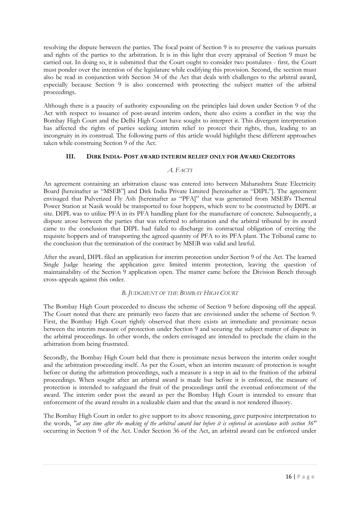resolving the dispute between the parties. The focal point of Section 9 is to preserve the various pursuits and rights of the parties to the arbitration. It is in this light that every appraisal of Section 9 must be carried out. In doing so, it is submitted that the Court ought to consider two postulates - first*,* the Court must ponder over the intention of the legislature while codifying this provision. Second, the section must also be read in conjunction with Section 34 of the Act that deals with challenges to the arbitral award, especially because Section 9 is also concerned with protecting the subject matter of the arbitral proceedings.

Although there is a paucity of authority expounding on the principles laid down under Section 9 of the Act with respect to issuance of post-award interim orders, there also exists a conflict in the way the Bombay High Court and the Delhi High Court have sought to interpret it. This divergent interpretation has affected the rights of parties seeking interim relief to protect their rights, thus, leading to an incongruity in its construal. The following parts of this article would highlight these different approaches taken while construing Section 9 of the Act.

## **III. DIRK INDIA- POST AWARD INTERIM RELIEF ONLY FOR AWARD CREDITORS**

#### *A. FACTS*

An agreement containing an arbitration clause was entered into between Maharashtra State Electricity Board [hereinafter as "MSEB"] and Dirk India Private Limited [hereinafter as "DIPL"]. The agreement envisaged that Pulverized Fly Ash [hereinafter as "PFA]" that was generated from MSEB's Thermal Power Station at Nasik would be transported to four hoppers, which were to be constructed by DIPL at site. DIPL was to utilize PFA in its PFA handling plant for the manufacture of concrete. Subsequently, a dispute arose between the parties that was referred to arbitration and the arbitral tribunal by its award came to the conclusion that DIPL had failed to discharge its contractual obligation of erecting the requisite hoppers and of transporting the agreed quantity of PFA to its PFA plant. The Tribunal came to the conclusion that the termination of the contract by MSEB was valid and lawful.

After the award, DIPL filed an application for interim protection under Section 9 of the Act. The learned Single Judge hearing the application gave limited interim protection, leaving the question of maintainability of the Section 9 application open. The matter came before the Division Bench through cross-appeals against this order.

## *B. JUDGMENT OF THE BOMBAY HIGH COURT*

The Bombay High Court proceeded to discuss the scheme of Section 9 before disposing off the appeal. The Court noted that there are primarily two facets that are envisioned under the scheme of Section 9. First, the Bombay High Court rightly observed that there exists an immediate and proximate nexus between the interim measure of protection under Section 9 and securing the subject matter of dispute in the arbitral proceedings. In other words, the orders envisaged are intended to preclude the claim in the arbitration from being frustrated.

Secondly, the Bombay High Court held that there is proximate nexus between the interim order sought and the arbitration proceeding itself. As per the Court, when an interim measure of protection is sought before or during the arbitration proceedings, such a measure is a step in aid to the fruition of the arbitral proceedings. When sought after an arbitral award is made but before it is enforced, the measure of protection is intended to safeguard the fruit of the proceedings until the eventual enforcement of the award. The interim order post the award as per the Bombay High Court is intended to ensure that enforcement of the award results in a realizable claim and that the award is not rendered illusory.

The Bombay High Court in order to give support to its above reasoning, gave purposive interpretation to the words, *"at any time after the making of the arbitral award but before it is enforced in accordance with section 36"*  occurring in Section 9 of the Act. Under Section 36 of the Act, an arbitral award can be enforced under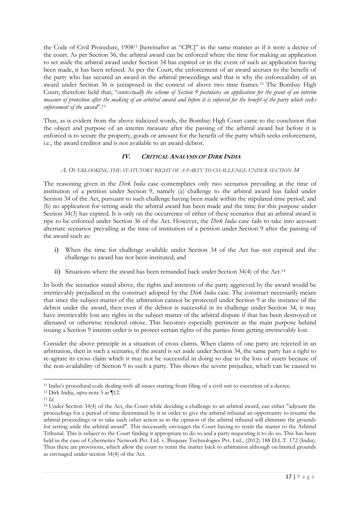the Code of Civil Procedure, 1908<sup>11</sup> [hereinafter as "CPC]" in the same manner as if it were a decree of the court. As per Section 36, the arbitral award can be enforced where the time for making an application to set aside the arbitral award under Section 34 has expired or in the event of such an application having been made, it has been refused. As per the Court, the enforcement of an award accrues to the benefit of the party who has secured an award in the arbitral proceedings and that is why the enforceability of an award under Section 36 is juxtaposed in the context of above two time frames.<sup>12</sup> The Bombay High Court, therefore held that, "*contextually the scheme of Section 9 postulates an application for the grant of an interim measure of protection after the making of an arbitral award and before it is enforced for the benefit of the party which seeks enforcement of the award*".<sup>13</sup>

Thus, as is evident from the above italicized words, the Bombay High Court came to the conclusion that the object and purpose of an interim measure after the passing of the arbitral award but before it is enforced is to secure the property, goods or amount for the benefit of the party which seeks enforcement, i.e., the award creditor and is not available to an award-debtor.

# **IV. CRITICAL ANALYSIS OF DIRK INDIA**

## *A. OVERLOOKING THE STATUTORY RIGHT OF A PARTY TO CHALLENGE UNDER SECTION 34*

The reasoning given in the *Dirk India* case contemplates only two scenarios prevailing at the time of institution of a petition under Section 9, namely (a) challenge to the arbitral award has failed under Section 34 of the Act, pursuant to such challenge having been made within the stipulated time period; and (b) no application for setting aside the arbitral award has been made and the time for this purpose under Section 34(3) has expired. It is only on the occurrence of either of these scenarios that an arbitral award is ripe to be enforced under Section 36 of the Act. However, the *Dirk India* case fails to take into account alternate scenarios prevailing at the time of institution of a petition under Section 9 after the passing of the award such as:

- i) When the time for challenge available under Section 34 of the Act has not expired and the challenge to award has not been instituted; and
- ii) Situations where the award has been remanded back under Section 34(4) of the Act.<sup>14</sup>

In both the scenarios stated above, the rights and interests of the party aggrieved by the award would be irretrievably prejudiced in the construct adopted by the *Dirk India* case. The construct necessarily means that since the subject matter of the arbitration cannot be protected under Section 9 at the instance of the debtor under the award, then even if the debtor is successful in its challenge under Section 34, it may have irretrievably lost any rights in the subject matter of the arbitral dispute if that has been destroyed or alienated or otherwise rendered otiose. This becomes especially pertinent as the main purpose behind issuing a Section 9 interim order is to protect certain rights of the parties from getting irretrievably lost.

Consider the above principle in a situation of cross claims. When claims of one party are rejected in an arbitration, then in such a scenario, if the award is set aside under Section 34, the same party has a right to re-agitate its cross claim which it may not be successful in doing so due to the loss of assets because of the non-availability of Section 9 to such a party. This shows the severe prejudice, which can be caused to

1

<sup>11</sup> India's procedural code dealing with all issues starting from filing of a civil suit to execution of a decree.

<sup>12</sup> Dirk India, *supra* note 5 at ¶12.

<sup>13</sup> *Id.* 

<sup>14</sup> Under Section 34(4) of the Act, the Court while deciding a challenge to an arbitral award, can either "adjourn the proceedings for a period of time determined by it in order to give the arbitral tribunal an opportunity to resume the arbitral proceedings or to take such other action as in the opinion of the arbitral tribunal will eliminate the grounds for setting aside the arbitral award". This necessarily envisages the Court having to remit the matter to the Arbitral Tribunal. This is subject to the Court finding it appropriate to do so and a party requesting it to do so. This has been held in the case of Cybernetics Network Pvt. Ltd. v. Bisquare Technologies Pvt. Ltd., (2012) 188 D.L.T. 172 (India). Thus there are provisions, which allow the court to remit the matter back to arbitration although on limited grounds as envisaged under section 34(4) of the Act.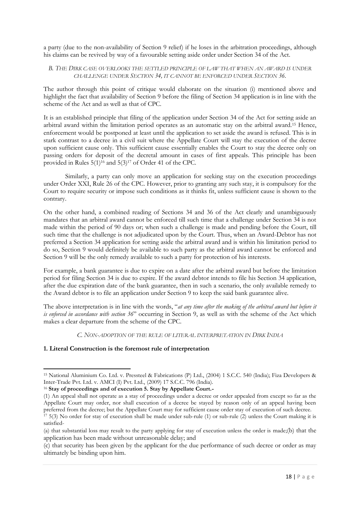a party (due to the non-availability of Section 9 relief) if he loses in the arbitration proceedings, although his claims can be revived by way of a favourable setting aside order under Section 34 of the Act.

## *B. THE DIRK CASE OVERLOOKS THE SETTLED PRINCIPLE OF LAW THAT WHEN AN AWARD IS UNDER CHALLENGE UNDER SECTION 34, IT CANNOT BE ENFORCED UNDER SECTION 36.*

The author through this point of critique would elaborate on the situation (i) mentioned above and highlight the fact that availability of Section 9 before the filing of Section 34 application is in line with the scheme of the Act and as well as that of CPC.

It is an established principle that filing of the application under Section 34 of the Act for setting aside an arbitral award within the limitation period operates as an automatic stay on the arbitral award.<sup>15</sup> Hence, enforcement would be postponed at least until the application to set aside the award is refused. This is in stark contrast to a decree in a civil suit where the Appellate Court will stay the execution of the decree upon sufficient cause only. This sufficient cause essentially enables the Court to stay the decree only on passing orders for deposit of the decretal amount in cases of first appeals. This principle has been provided in Rules  $5(1)^{16}$  and  $5(3)^{17}$  of Order 41 of the CPC.

Similarly, a party can only move an application for seeking stay on the execution proceedings under Order XXI, Rule 26 of the CPC. However, prior to granting any such stay, it is compulsory for the Court to require security or impose such conditions as it thinks fit, unless sufficient cause is shown to the contrary.

On the other hand, a combined reading of Sections 34 and 36 of the Act clearly and unambiguously mandates that an arbitral award cannot be enforced till such time that a challenge under Section 34 is not made within the period of 90 days or; when such a challenge is made and pending before the Court, till such time that the challenge is not adjudicated upon by the Court. Thus, when an Award-Debtor has not preferred a Section 34 application for setting aside the arbitral award and is within his limitation period to do so, Section 9 would definitely be available to such party as the arbitral award cannot be enforced and Section 9 will be the only remedy available to such a party for protection of his interests.

For example, a bank guarantee is due to expire on a date after the arbitral award but before the limitation period for filing Section 34 is due to expire. If the award debtor intends to file his Section 34 application, after the due expiration date of the bank guarantee, then in such a scenario, the only available remedy to the Award debtor is to file an application under Section 9 to keep the said bank guarantee alive.

The above interpretation is in line with the words, "*at any time after the making of the arbitral award but before it is enforced in accordance with section 36*" occurring in Section 9, as well as with the scheme of the Act which makes a clear departure from the scheme of the CPC.

*C. NON-ADOPTION OF THE RULE OF LITERAL INTERPRETATION IN DIRK INDIA*

## **1. Literal Construction is the foremost rule of interpretation**

-

<sup>16</sup> **Stay of proceedings and of execution 5. Stay by Appellate Court.-**

<sup>15</sup> National Aluminium Co. Ltd. v. Pressteel & Fabrications (P) Ltd., (2004) 1 S.C.C. 540 (India); Fiza Developers & Inter-Trade Pvt. Ltd. v. AMCI (I) Pvt. Ltd., (2009) 17 S.C.C. 796 (India).

<sup>(1)</sup> An appeal shall not operate as a stay of proceedings under a decree or order appealed from except so far as the Appellate Court may order, nor shall execution of a decree be stayed by reason only of an appeal having been preferred from the decree; but the Appellate Court may for sufficient cause order stay of execution of such decree.  $17\frac{1}{2}$  5(3) No order for stay of execution shall be made under sub-rule (1) or sub-rule (2) unless the Court making it is

satisfied-

<sup>(</sup>a) that substantial loss may result to the party applying for stay of execution unless the order is made;(b) that the application has been made without unreasonable delay; and

<sup>(</sup>c) that security has been given by the applicant for the due performance of such decree or order as may ultimately be binding upon him.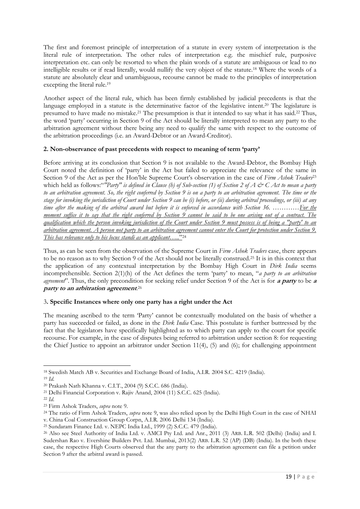The first and foremost principle of interpretation of a statute in every system of interpretation is the literal rule of interpretation. The other rules of interpretation e.g. the mischief rule, purposive interpretation etc. can only be resorted to when the plain words of a statute are ambiguous or lead to no intelligible results or if read literally, would nullify the very object of the statute.<sup>18</sup> Where the words of a statute are absolutely clear and unambiguous, recourse cannot be made to the principles of interpretation excepting the literal rule.<sup>19</sup>

Another aspect of the literal rule, which has been firmly established by judicial precedents is that the language employed in a statute is the determinative factor of the legislative intent.<sup>20</sup> The legislature is presumed to have made no mistake.<sup>21</sup> The presumption is that it intended to say what it has said.<sup>22</sup> Thus, the word 'party' occurring in Section 9 of the Act should be literally interpreted to mean any party to the arbitration agreement without there being any need to qualify the same with respect to the outcome of the arbitration proceedings (i.e. an Award-Debtor or an Award-Creditor).

# **2. Non-observance of past precedents with respect to meaning of term 'party'**

Before arriving at its conclusion that Section 9 is not available to the Award-Debtor, the Bombay High Court noted the definition of 'party' in the Act but failed to appreciate the relevance of the same in Section 9 of the Act as per the Hon'ble Supreme Court's observation in the case of *Firm Ashok Traders*<sup>23</sup> which held as follows:"*"Party" is defined in Clause (h) of Sub-section (1) of Section 2 of A*  $\mathcal{O}^c$  *C Act to mean a party to an arbitration agreement. So, the right conferred by Section 9 is on a party to an arbitration agreement. The time or the stage for invoking the jurisdiction of Court under Section 9 can be (i) before, or (ii) during arbitral proceedings, or (iii) at any time after the making of the arbitral award but before it is enforced in accordance with Section 36. …………For the moment suffice it to say that the right conferred by Section 9 cannot be said to be one arising out of a contract. The qualification which the person invoking jurisdiction of the Court under Section 9 must possess is of being a "party' to an arbitration agreement. A person not party to an arbitration agreement cannot enter the Court for protection under Section 9. This has relevance only to his locus standi as an applicant…..*" 24

Thus, as can be seen from the observation of the Supreme Court in *Firm Ashok Traders* case, there appears to be no reason as to why Section 9 of the Act should not be literally construed.<sup>25</sup> It is in this context that the application of any contextual interpretation by the Bombay High Court in *Dirk India* seems incomprehensible. Section 2(1)(h) of the Act defines the term 'party' to mean, "*a party to an arbitration agreement*". Thus, the only precondition for seeking relief under Section 9 of the Act is for **a party** to be **<sup>a</sup> party to an arbitration agreement**. 26

## 3**. Specific Instances where only one party has a right under the Act**

The meaning ascribed to the term 'Party' cannot be contextually modulated on the basis of whether a party has succeeded or failed, as done in the *Dirk India* Case. This postulate is further buttressed by the fact that the legislators have specifically highlighted as to which party can apply to the court for specific recourse. For example, in the case of disputes being referred to arbitration under section 8: for requesting the Chief Justice to appoint an arbitrator under Section 11(4), (5) and (6); for challenging appointment

<sup>-</sup><sup>18</sup> Swedish Match AB v. Securities and Exchange Board of India, A.I.R. 2004 S.C. 4219 (India).

<sup>19</sup> *Id.*

<sup>20</sup> Prakash Nath Khanna v. C.I.T., 2004 (9) S.C.C. 686 (India).

<sup>21</sup> Delhi Financial Corporation v. Rajiv Anand, 2004 (11) S.C.C. 625 (India).

<sup>22</sup> *Id.*

<sup>23</sup> Firm Ashok Traders, *supra* note 9.

<sup>24</sup> The ratio of Firm Ashok Traders, *supra* note 9, was also relied upon by the Delhi High Court in the case of NHAI v. China Coal Construction Group Corpn, A.I.R. 2006 Delhi 134 (India).

<sup>25</sup> Sundaram Finance Ltd. v. NEPC India Ltd., 1999 (2) S.C.C. 479 (India).

<sup>26</sup> Also see Steel Authority of India Ltd. v. AMCI Pty Ltd. and Anr., 2011 (3) ARB. L.R. 502 (Delhi) (India) and I. Sudershan Rao v. Evershine Builders Pvt. Ltd. Mumbai, 2013(2) ARB. L.R. 52 (AP) (DB) (India). In the both these case, the respective High Courts observed that the any party to the arbitration agreement can file a petition under Section 9 after the arbitral award is passed.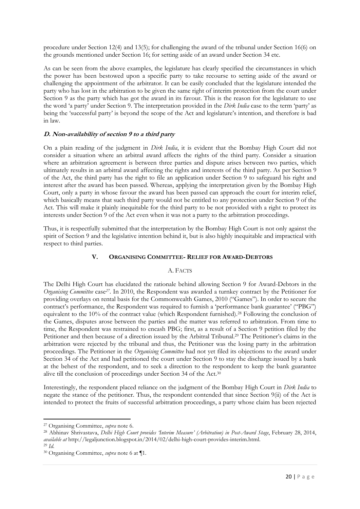procedure under Section 12(4) and 13(5); for challenging the award of the tribunal under Section 16(6) on the grounds mentioned under Section 16; for setting aside of an award under Section 34 etc.

As can be seen from the above examples, the legislature has clearly specified the circumstances in which the power has been bestowed upon a specific party to take recourse to setting aside of the award or challenging the appointment of the arbitrator. It can be easily concluded that the legislature intended the party who has lost in the arbitration to be given the same right of interim protection from the court under Section 9 as the party which has got the award in its favour. This is the reason for the legislature to use the word 'a party' under Section 9. The interpretation provided in the *Dirk India* case to the term 'party' as being the 'successful party' is beyond the scope of the Act and legislature's intention, and therefore is bad in law.

## **D. Non-availability of section 9 to a third party**

On a plain reading of the judgment in *Dirk India*, it is evident that the Bombay High Court did not consider a situation where an arbitral award affects the rights of the third party. Consider a situation where an arbitration agreement is between three parties and dispute arises between two parties, which ultimately results in an arbitral award affecting the rights and interests of the third party. As per Section 9 of the Act, the third party has the right to file an application under Section 9 to safeguard his right and interest after the award has been passed. Whereas, applying the interpretation given by the Bombay High Court, only a party in whose favour the award has been passed can approach the court for interim relief, which basically means that such third party would not be entitled to any protection under Section 9 of the Act. This will make it plainly inequitable for the third party to be not provided with a right to protect its interests under Section 9 of the Act even when it was not a party to the arbitration proceedings.

Thus, it is respectfully submitted that the interpretation by the Bombay High Court is not only against the spirit of Section 9 and the legislative intention behind it, but is also highly inequitable and impractical with respect to third parties.

#### **V. ORGANISING COMMITTEE- RELIEF FOR AWARD-DEBTORS**

## A. FACTS

The Delhi High Court has elucidated the rationale behind allowing Section 9 for Award-Debtors in the *Organising Committee* case*<sup>27</sup> .* In 2010, the Respondent was awarded a turnkey contract by the Petitioner for providing overlays on rental basis for the Commonwealth Games, 2010 ("Games"). In order to secure the contract's performance, the Respondent was required to furnish a 'performance bank guarantee' ("PBG") equivalent to the 10% of the contract value (which Respondent furnished).<sup>28</sup> Following the conclusion of the Games, disputes arose between the parties and the matter was referred to arbitration. From time to time, the Respondent was restrained to encash PBG; first, as a result of a Section 9 petition filed by the Petitioner and then because of a direction issued by the Arbitral Tribunal.<sup>29</sup> The Petitioner's claims in the arbitration were rejected by the tribunal and thus, the Petitioner was the losing party in the arbitration proceedings. The Petitioner in the *Organising Committee* had not yet filed its objections to the award under Section 34 of the Act and had petitioned the court under Section 9 to stay the discharge issued by a bank at the behest of the respondent, and to seek a direction to the respondent to keep the bank guarantee alive till the conclusion of proceedings under Section 34 of the Act.<sup>30</sup>

Interestingly, the respondent placed reliance on the judgment of the Bombay High Court in *Dirk India* to negate the stance of the petitioner. Thus, the respondent contended that since Section 9(ii) of the Act is intended to protect the fruits of successful arbitration proceedings, a party whose claim has been rejected

<sup>27</sup> Organising Committee, *supra* note 6.

<sup>28</sup> Abhinav Shrivastava, *Delhi High Court provides 'Interim Measure' (Arbitration) in Post-Award Stage*, February 28, 2014, *available at* http://legaljunction.blogspot.in/2014/02/delhi-high-court-provides-interim.html. <sup>29</sup> *Id.*

<sup>30</sup> Organising Committee, *supra* note 6 at ¶1.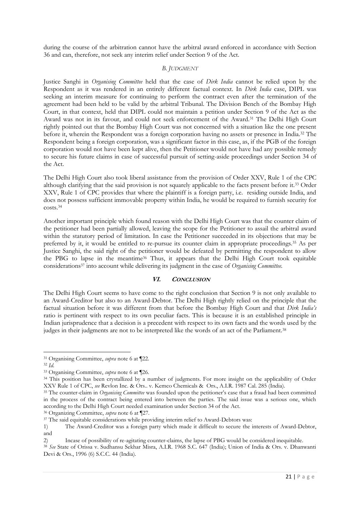during the course of the arbitration cannot have the arbitral award enforced in accordance with Section 36 and can, therefore, not seek any interim relief under Section 9 of the Act.

## *B. JUDGMENT*

Justice Sanghi in *Organising Committee* held that the case of *Dirk India* cannot be relied upon by the Respondent as it was rendered in an entirely different factual context. In *Dirk India* case, DIPL was seeking an interim measure for continuing to perform the contract even after the termination of the agreement had been held to be valid by the arbitral Tribunal. The Division Bench of the Bombay High Court, in that context, held that DIPL could not maintain a petition under Section 9 of the Act as the Award was not in its favour, and could not seek enforcement of the Award.<sup>31</sup> The Delhi High Court rightly pointed out that the Bombay High Court was not concerned with a situation like the one present before it, wherein the Respondent was a foreign corporation having no assets or presence in India.<sup>32</sup> The Respondent being a foreign corporation, was a significant factor in this case, as, if the PGB of the foreign corporation would not have been kept alive, then the Petitioner would not have had any possible remedy to secure his future claims in case of successful pursuit of setting-aside proceedings under Section 34 of the Act.

The Delhi High Court also took liberal assistance from the provision of Order XXV, Rule 1 of the CPC although clarifying that the said provision is not squarely applicable to the facts present before it.<sup>33</sup> Order XXV, Rule 1 of CPC provides that where the plaintiff is a foreign party, i.e. residing outside India, and does not possess sufficient immovable property within India, he would be required to furnish security for costs.<sup>34</sup>

Another important principle which found reason with the Delhi High Court was that the counter claim of the petitioner had been partially allowed, leaving the scope for the Petitioner to assail the arbitral award within the statutory period of limitation. In case the Petitioner succeeded in its objections that may be preferred by it, it would be entitled to re-pursue its counter claim in appropriate proceedings.<sup>35</sup> As per Justice Sanghi, the said right of the petitioner would be defeated by permitting the respondent to allow the PBG to lapse in the meantime<sup>36</sup> Thus, it appears that the Delhi High Court took equitable considerations<sup>37</sup> into account while delivering its judgment in the case of *Organising Committee*.

## **VI. CONCLUSION**

The Delhi High Court seems to have come to the right conclusion that Section 9 is not only available to an Award-Creditor but also to an Award-Debtor. The Delhi High rightly relied on the principle that the factual situation before it was different from that before the Bombay High Court and that *Dirk India's*  ratio is pertinent with respect to its own peculiar facts. This is because it is an established principle in Indian jurisprudence that a decision is a precedent with respect to its own facts and the words used by the judges in their judgments are not to be interpreted like the words of an act of the Parliament.<sup>38</sup>

<sup>36</sup> Organizing Committee, *supra* note 6 at ¶27.

<sup>1</sup> <sup>31</sup> Organising Committee, *supra* note 6 at ¶22.

<sup>32</sup> *Id.*

<sup>33</sup> Organising Committee, *supra* note 6 at ¶26.

<sup>34</sup> This position has been crystallized by a number of judgments. For more insight on the applicability of Order XXV Rule 1 of CPC, *see* Revlon Inc. & Ors.. v. Kemco Chemicals & Ors., A.I.R. 1987 Cal. 285 (India).

<sup>35</sup> The counter-claim in *Organising Committee* was founded upon the petitioner's case that a fraud had been committed in the process of the contract being entered into between the parties. The said issue was a serious one, which according to the Delhi High Court needed examination under Section 34 of the Act.

<sup>&</sup>lt;sup>37</sup> The said equitable considerations while providing interim relief to Award-Debtors was:

<sup>1)</sup> The Award-Creditor was a foreign party which made it difficult to secure the interests of Award-Debtor, and

<sup>2)</sup> Incase of possibility of re-agitating counter-claims, the lapse of PBG would be considered inequitable.

<sup>38</sup> *See* State of Orissa v. Sudhansu Sekhar Misra, A.I.R. 1968 S.C. 647 (India); Union of India & Ors. v. Dhanwanti Devi & Ors., 1996 (6) S.C.C. 44 (India).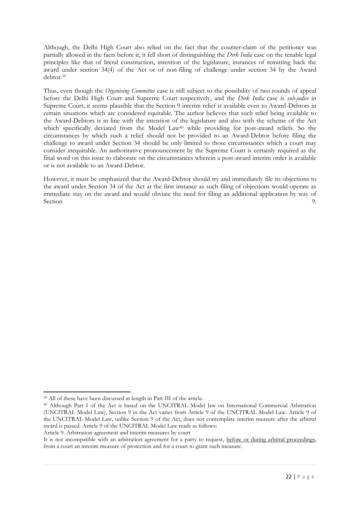Although, the Delhi High Court also relied on the fact that the counter-claim of the petitioner was partially allowed in the facts before it, it fell short of distinguishing the *Dirk India* case on the tenable legal principles like that of literal construction, intention of the legislature, instances of remitting back the award under section 34(4) of the Act or of non-filing of challenge under section 34 by the Award debtor.<sup>39</sup>

Thus, even though the *Organising Committee* case is still subject to the possibility of two rounds of appeal before the Delhi High Court and Supreme Court respectively, and the *Dirk India* case is *sub-judice* in Supreme Court, it seems plausible that the Section 9 interim relief is available even to Award-Debtors in certain situations which are considered equitable. The author believes that such relief being available to the Award-Debtors is in line with the intention of the legislature and also with the scheme of the Act which specifically deviated from the Model Law<sup>40</sup> while providing for post-award reliefs. So the circumstances by which such a relief should not be provided to an Award-Debtor before filing the challenge to award under Section 34 should be only limited to those circumstances which a court may consider inequitable. An authoritative pronouncement by the Supreme Court is certainly required as the final word on this issue to elaborate on the circumstances wherein a post-award interim order is available or is not available to an Award-Debtor.

However, it must be emphasized that the Award-Debtor should try and immediately file its objections to the award under Section 34 of the Act at the first instance as such filing of objections would operate as immediate stay on the award and would obviate the need for filing an additional application by way of Section 9.

-

Article 9. Arbitration agreement and interim measures by court

<sup>39</sup> All of these have been discussed at length in Part III of the article.

<sup>40</sup> Although Part I of the Act is based on the UNCITRAL Model law on International Commercial Arbitration (UNCITRAL Model Law), Section 9 in the Act varies from Article 9 of the UNCITRAL Model Law. Article 9 of the UNCITRAL Model Law, unlike Section 9 of the Act, does not contemplate interim measure after the arbitral award is passed. Article 9 of the UNCITRAL Model Law reads as follows:

It is not incompatible with an arbitration agreement for a party to request, before or during arbitral proceedings, from a court an interim measure of protection and for a court to grant such measure.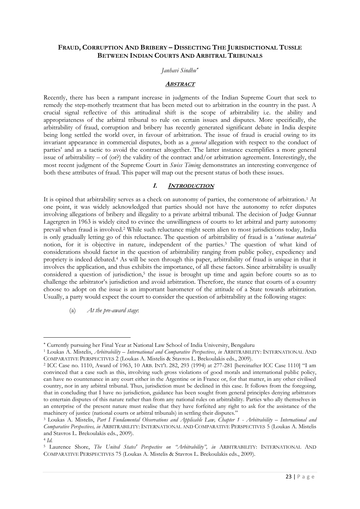# **FRAUD, CORRUPTION AND BRIBERY – DISSECTING THE JURISDICTIONAL TUSSLE BETWEEN INDIAN COURTS AND ARBITRAL TRIBUNALS**

## *Janhavi Sindhu*

#### **ABSTRACT**

Recently, there has been a rampant increase in judgments of the Indian Supreme Court that seek to remedy the step-motherly treatment that has been meted out to arbitration in the country in the past. A crucial signal reflective of this attitudinal shift is the scope of arbitrability i.e. the ability and appropriateness of the arbitral tribunal to rule on certain issues and disputes. More specifically, the arbitrability of fraud, corruption and bribery has recently generated significant debate in India despite being long settled the world over, in favour of arbitration. The issue of fraud is crucial owing to its invariant appearance in commercial disputes, both as a *general* allegation with respect to the conduct of parties' and as a tactic to avoid the contract altogether. The latter instance exemplifies a more general issue of arbitrability – of (or?) the validity of the contract and/or arbitration agreement. Interestingly, the most recent judgment of the Supreme Court in *Swiss Timing* demonstrates an interesting convergence of both these attributes of fraud. This paper will map out the present status of both these issues.

#### **I. INTRODUCTION**

It is opined that arbitrability serves as a check on autonomy of parties, the cornerstone of arbitration.<sup>1</sup> At one point, it was widely acknowledged that parties should not have the autonomy to refer disputes involving allegations of bribery and illegality to a private arbitral tribunal. The decision of Judge Gunnar Lagergren in 1963 is widely cited to evince the unwillingness of courts to let arbitral and party autonomy prevail when fraud is involved.<sup>2</sup> While such reluctance might seem alien to most jurisdictions today, India is only gradually letting go of this reluctance. The question of arbitrability of fraud is a '*rationae materiae*' notion, for it is objective in nature, independent of the parties.<sup>3</sup> The question of what kind of considerations should factor in the question of arbitrability ranging from public policy, expediency and propriety is indeed debated.<sup>4</sup> As will be seen through this paper, arbitrability of fraud is unique in that it involves the application, and thus exhibits the importance, of all these factors. Since arbitrability is usually considered a question of jurisdiction,<sup>5</sup> the issue is brought up time and again before courts so as to challenge the arbitrator's jurisdiction and avoid arbitration. Therefore, the stance that courts of a country choose to adopt on the issue is an important barometer of the attitude of a State towards arbitration. Usually, a party would expect the court to consider the question of arbitrability at the following stages:

## (a) *At the pre-award stage*:

1

Currently pursuing her Final Year at National Law School of India University, Bengaluru

<sup>1</sup> Loukas A. Mistelis, *Arbitrability* – *International and Comparative Perspectives*, *in* ARBITRABILITY: INTERNATIONAL AND COMPARATIVE PERSPECTIVES 2 (Loukas A. Mistelis & Stavros L. Brekoulakis eds., 2009).

<sup>2</sup> ICC Case no. 1110, Award of 1963, 10 ARB. INT'L 282, 293 (1994) at 277-281 [hereinafter ICC Case 1110] "I am convinced that a case such as this, involving such gross violations of good morals and international public policy, can have no countenance in any court either in the Argentine or in France or, for that matter, in any other civilised country, nor in any arbitral tribunal. Thus, jurisdiction must be declined in this case. It follows from the foregoing, that in concluding that I have no jurisdiction, guidance has been sought from general principles denying arbitrators to entertain disputes of this nature rather than from any national rules on arbitrability. Parties who ally themselves in an enterprise of the present nature must realise that they have forfeited any right to ask for the assistance of the machinery of justice (national courts or arbitral tribunals) in settling their disputes."

<sup>3</sup> Loukas A. Mistelis, *Part I Fundamental Observations and Applicable Law, Chapter 1 - Arbitrability – International and Comparative Perspectives, in* ARBITRABILITY: INTERNATIONAL AND COMPARATIVE PERSPECTIVES 5 (Loukas A. Mistelis and Stavros L. Brekoulakis eds., 2009).

<sup>4</sup> *Id.*

<sup>5</sup> Laurence Shore, *The United States' Perspective on "Arbitrability", in* ARBITRABILITY: INTERNATIONAL AND COMPARATIVE PERSPECTIVES 75 (Loukas A. Mistelis & Stavros L. Brekoulakis eds., 2009).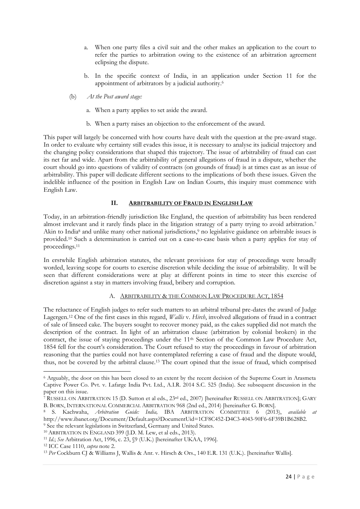- a. When one party files a civil suit and the other makes an application to the court to refer the parties to arbitration owing to the existence of an arbitration agreement eclipsing the dispute.
- b. In the specific context of India, in an application under Section 11 for the appointment of arbitrators by a judicial authority.<sup>6</sup>
- (b) *At the Post award stage:*
	- a. When a party applies to set aside the award.
	- b. When a party raises an objection to the enforcement of the award.

This paper will largely be concerned with how courts have dealt with the question at the pre-award stage. In order to evaluate why certainty still evades this issue, it is necessary to analyse its judicial trajectory and the changing policy considerations that shaped this trajectory. The issue of arbitrability of fraud can cast its net far and wide. Apart from the arbitrability of general allegations of fraud in a dispute, whether the court should go into questions of validity of contracts (on grounds of fraud) is at times cast as an issue of arbitrability. This paper will dedicate different sections to the implications of both these issues. Given the indelible influence of the position in English Law on Indian Courts, this inquiry must commence with English Law.

## **II. ARBITRABILITY OF FRAUD IN ENGLISH LAW**

Today, in an arbitration-friendly jurisdiction like England, the question of arbitrability has been rendered almost irrelevant and it rarely finds place in the litigation strategy of a party trying to avoid arbitration.<sup>7</sup> Akin to India<sup>8</sup> and unlike many other national jurisdictions,<sup>9</sup> no legislative guidance on arbitrable issues is provided.<sup>10</sup> Such a determination is carried out on a case-to-case basis when a party applies for stay of proceedings.<sup>11</sup>

In erstwhile English arbitration statutes, the relevant provisions for stay of proceedings were broadly worded, leaving scope for courts to exercise discretion while deciding the issue of arbitrability. It will be seen that different considerations were at play at different points in time to steer this exercise of discretion against a stay in matters involving fraud, bribery and corruption.

# A. ARBITRABILITY & THE COMMON LAW PROCEDURE ACT, 1854

The reluctance of English judges to refer such matters to an arbitral tribunal pre-dates the award of Judge Lagergen.<sup>12</sup> One of the first cases in this regard, *Wallis* v. *Hirch*, involved allegations of fraud in a contract of sale of linseed cake. The buyers sought to recover money paid, as the cakes supplied did not match the description of the contract. In light of an arbitration clause (arbitration by colonial brokers) in the contract, the issue of staying proceedings under the 11<sup>th</sup> Section of the Common Law Procedure Act, 1854 fell for the court's consideration. The Court refused to stay the proceedings in favour of arbitration reasoning that the parties could not have contemplated referring a case of fraud and the dispute would, thus, not be covered by the arbitral clause.<sup>13</sup> The court opined that the issue of fraud, which comprised

<sup>-</sup><sup>6</sup> Arguably, the door on this has been closed to an extent by the recent decision of the Supreme Court in Arasmeta Captive Power Co. Pvt. v. Lafarge India Pvt. Ltd., A.I.R. 2014 S.C. 525 (India). See subsequent discussion in the paper on this issue.

<sup>7</sup> RUSSELL ON ARBITRATION 15 (D. Sutton et al eds., 23rd ed., 2007) [hereinafter RUSSELL ON ARBITRATION]; GARY B. BORN, INTERNATIONAL COMMERCIAL ARBITRATION 968 (2nd ed., 2014) [hereinafter G. BORN].

<sup>8</sup> S. Kachwaha, *Arbitration Guide: India,* IBA ARBITRATION COMMITTEE 6 (2013), *available at*  http://www.ibanet.org/Document/Default.aspx?DocumentUid=1CF8C452-D4C3-4043-90F6-6F39B1B628B2. <sup>9</sup> See the relevant legislations in Switzerland, Germany and United States.

<sup>10</sup> ARBITRATION IN ENGLAND 399 (J.D. M. Lew, et al eds., 2013).

<sup>11</sup> *Id.*; *See* Arbitration Act, 1996, c. 23, §9 (U.K.) [hereinafter UKAA, 1996].

<sup>12</sup> ICC Case 1110, *supra* note 2.

<sup>13</sup> *Per* Cockburn CJ & Williams J, Wallis & Anr. v. Hirsch & Ors., 140 E.R. 131 (U.K.). [hereinafter Wallis].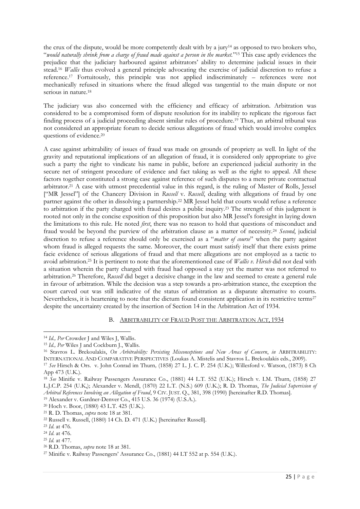the crux of the dispute, would be more competently dealt with by a jury<sup>14</sup> as opposed to two brokers who, "*would naturally shrink from a charge of fraud made against a person in the market.*" <sup>15</sup> This case aptly evidences the prejudice that the judiciary harboured against arbitrators' ability to determine judicial issues in their stead.<sup>16</sup> *Wallis* thus evolved a general principle advocating the exercise of judicial discretion to refuse a reference.<sup>17</sup> Fortuitously, this principle was not applied indiscriminately – references were not mechanically refused in situations where the fraud alleged was tangential to the main dispute or not serious in nature.<sup>18</sup>

The judiciary was also concerned with the efficiency and efficacy of arbitration. Arbitration was considered to be a compromised form of dispute resolution for its inability to replicate the rigorous fact finding process of a judicial proceeding absent similar rules of procedure.<sup>19</sup> Thus, an arbitral tribunal was not considered an appropriate forum to decide serious allegations of fraud which would involve complex questions of evidence.<sup>20</sup>

A case against arbitrability of issues of fraud was made on grounds of propriety as well. In light of the gravity and reputational implications of an allegation of fraud, it is considered only appropriate to give such a party the right to vindicate his name in public, before an experienced judicial authority in the secure net of stringent procedure of evidence and fact taking as well as the right to appeal. All these factors together constituted a strong case against reference of such disputes to a mere private contractual arbitrator.<sup>21</sup> A case with utmost precedential value in this regard, is the ruling of Master of Rolls, Jessel ["MR Jessel"] of the Chancery Division in *Russell* v. *Russell*, dealing with allegations of fraud by one partner against the other in dissolving a partnership.<sup>22</sup> MR Jessel held that courts would refuse a reference to arbitration if the party charged with fraud desires a public inquiry.<sup>23</sup> The strength of this judgment is rooted not only in the concise exposition of this proposition but also MR Jessel's foresight in laying down the limitations to this rule. He noted *first*, there was no reason to hold that questions of misconduct and fraud would be beyond the purview of the arbitration clause as a matter of necessity.<sup>24</sup> *Second*, judicial discretion to refuse a reference should only be exercised as a "*matter of course*" when the party against whom fraud is alleged requests the same. Moreover, the court must satisfy itself that there exists prime facie evidence of serious allegations of fraud and that mere allegations are not employed as a tactic to avoid arbitration.<sup>25</sup> It is pertinent to note that the aforementioned case of *Wallis v. Hirsch* did not deal with a situation wherein the party charged with fraud had opposed a stay yet the matter was not referred to arbitration.<sup>26</sup> Therefore, *Russell* did beget a decisive change in the law and seemed to create a general rule in favour of arbitration. While the decision was a step towards a pro-arbitration stance, the exception the court carved out was still indicative of the status of arbitration as a disparate alternative to courts. Nevertheless, it is heartening to note that the dictum found consistent application in its restrictive terms<sup>27</sup> despite the uncertainty created by the insertion of Section 14 in the Arbitration Act of 1934.

#### B. ARBITRABILITY OF FRAUD POST THE ARBITRATION ACT, 1934

<sup>19</sup> Alexander v. Gardner-Denver Co., 415 U.S. 36 (1974) (U.S.A.).

<sup>-</sup><sup>14</sup> *Id., Per* Crowder J and Wiles J, Wallis.

<sup>15</sup> *Id., Per* Wiles J and Cockburn J., Wallis.

<sup>16</sup> Stavros L. Brekoulakis, *On Arbitrability: Persisting Misconceptions and New Areas of Concern*, *in* ARBITRABILITY: INTERNATIONAL AND COMPARATIVE PERSPECTIVES (Loukas A. Mistelis and Stavros L. Brekoulakis eds., 2009).

<sup>17</sup> *See* Hirsch & Ors. v. John Conrad im Thurn*,* (1858) 27 L. J. C. P. 254 (U.K.); Willesford v. Watson, (1873) 8 Ch App 473 (U.K.).

<sup>18</sup> *See* Minifie v. Railway Passengers Assurance Co., (1881) 44 L.T. 552 (U.K.); Hirsch v. I.M. Thurn, (1858) 27 L.J.C.P. 254 (U.K,); Alexander v. Mendl, (1870) 22 L.T. (N.S.) 609 (U.K.); R. D. Thomas, *The Judicial Supervision of Arbitral References Involving an Allegation of Fraud*, 9 CIV. JUST. Q., 381, 398 (1990) [hereinafter R.D. Thomas].

<sup>20</sup> Hoch v. Boor, (1880) 43 L.T. 425 (U.K.). <sup>21</sup> R. D. Thomas, *supra* note 18 at 381.

<sup>22</sup> Russell v. Russell, (1880) 14 Ch. D. 471 (U.K.) [hereinafter Russell].

<sup>23</sup> *Id*. at 476.

<sup>24</sup> *Id*. at 476.

<sup>25</sup> *Id.* at 477.

<sup>26</sup> R.D. Thomas, *supra* note 18 at 381.

<sup>27</sup> Minifie v. Railway Passengers' Assurance Co., (1881) 44 LT 552 at p. 554 (U.K.).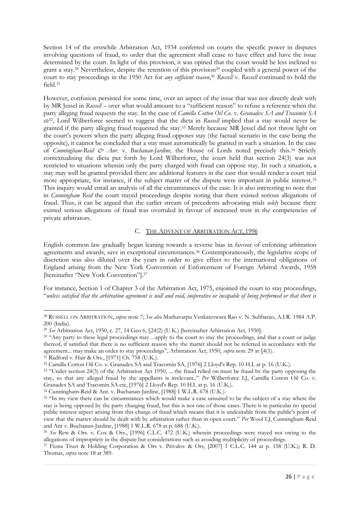Section 14 of the erstwhile Arbitration Act, 1934 conferred on courts the specific power in disputes involving questions of fraud, to order that the agreement shall cease to have effect and have the issue determined by the court. In light of this provision, it was opined that the court would be less inclined to grant a stay.<sup>28</sup> Nevertheless, despite the retention of this provision<sup>29</sup> coupled with a general power of the court to stay proceedings in the 1950 Act for *any sufficient reason*, <sup>30</sup> *Russell* v. *Russell* continued to hold the field.<sup>31</sup>

However, confusion persisted for some time, over an aspect of the issue that was not directly dealt with by MR Jessel in *Russell* – over what would amount to a "sufficient reason" to refuse a reference when the party alleging fraud requests the stay. In the case of *Camilla Cotton Oil Co*. v. *Granadex SA and Tracomin SA etc*32, Lord Wilberforce seemed to suggest that the dicta in *Russell* implied that a stay would never be granted if the party alleging fraud requested the stay.<sup>33</sup> Merely because MR Jessel did not throw light on the court's powers when the party alleging fraud opposes stay (the factual scenario in the case being the opposite), it cannot be concluded that a stay must automatically be granted in such a situation. In the case of *Cunningham-Reid & Anr.* v. *Buchanan-Jardine,* the House of Lords noted precisely this.<sup>34</sup> Strictly contextualising the dicta put forth by Lord Wilberforce, the court held that section 24(3) was not restricted to situations wherein only the party charged with fraud can oppose stay. In such a situation, a stay may well be granted provided there are additional features in the case that would render a court trial more appropriate, for instance, if the subject matter of the dispute were important in public interest.<sup>35</sup> This inquiry would entail an analysis of all the circumstances of the case. It is also interesting to note that in *Cunningham Reid* the court stayed proceedings despite noting that there existed serious allegations of fraud. Thus, it can be argued that the earlier stream of precedents advocating trials *solely* because there existed serious allegations of fraud was overruled in favour of increased trust in the competencies of private arbitrators.

## C. THE ADVENT OF ARBITRATION ACT, 1996

English common law gradually began leaning towards a reverse bias in favour of enforcing arbitration agreements and awards, save in exceptional circumstances.<sup>36</sup> Contemporaneously, the legislative scope of discretion was also diluted over the years in order to give effect to the international obligations of England arising from the New York Convention of Enforcement of Foreign Arbitral Awards, 1958 [hereinafter "New York Convention"].<sup>37</sup>

For instance, Section 1 of Chapter 3 of the Arbitration Act, 1975, enjoined the court to stay proceedings, "*unless satisfied that the arbitration agreement is null and void, inoperative or incapable of being performed or that there is* 

<sup>-</sup><sup>28</sup> RUSSELL ON ARBITRATION, *supra* note 7; *See also* Muthavarpu Venkateswara Rao v. N. Subbarao, A.I.R. 1984 A.P. 200 (India).

<sup>29</sup> *See* Arbitration Act, 1950, c. 27, 14 Geo 6, §24(2) (U.K.) [hereinafter Arbitration Act, 1950].

<sup>30</sup> "Any party to these legal proceedings may…apply to the court to stay the proceedings, and that a court or judge thereof, if satisfied that there is no sufficient reason why the matter should not be referred in accordance with the agreement... may make an order to stay proceedings", Arbitration Act, 1950, *supra* note 29 at §4(1).

<sup>31</sup> Radford v. Hair & Ors., [1971] Ch. 758 (U.K.).

<sup>32</sup> Camilla Cotton Oil Co. v. Granadex SA and Tracomin SA, [1976] 2 Lloyd's Rep. 10 H.L at p. 16 (U.K.).

<sup>33</sup> "Under section 24(3) of the Arbitration Act 1950, ... the fraud relied on must be fraud by the party opposing the stay, so that any alleged fraud by the appellants is irrelevant.." *Per* Wilberforce LJ, Camilla Cotton Oil Co. v. Granadex SA and Tracomin SA etc, [1976] 2 Lloyd's Rep. 10 H.L at p. 16 (U.K.).

<sup>34</sup> Cunningham-Reid & Anr. v. Buchanan-Jardine, [1988] 1 W.L.R. 678 (U.K.).

<sup>&</sup>lt;sup>35</sup> "In my view there can be circumstances which would make a case unsuited to be the subject of a stay where the stay is being opposed by the party charging fraud, but this is not one of those cases. There is in particular no special public interest aspect arising from this charge of fraud which means that it is undesirable from the public's point of view that the matter should be dealt with by arbitration rather than in open court." *Per* Wool LJ, Cunningham-Reid and Anr v. Buchanan-Jardine, [1988] 1 W.L.R. 678 at p. 688 (U.K.).

<sup>36</sup> *See* Rew & Ors. v. Cox & Ors., [1996] C.L.C. 472 (U.K.) wherein proceedings were stayed not owing to the allegations of impropriety in the dispute but considerations such as avoiding multiplicity of proceedings.

<sup>37</sup> Fiona Trust & Holding Corporation & Ors v. Privalov & Ors, [2007] 1 C.L.C. 144 at p. 158 (U.K.); R. D. Thomas, *supra* note 18 at 389.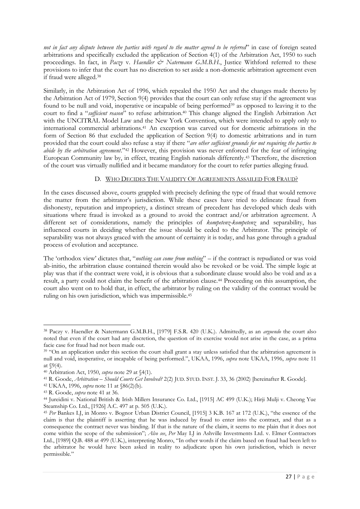*not in fact any dispute between the parties with regard to the matter agreed to be referred*" in case of foreign seated arbitrations and specifically excluded the application of Section 4(1) of the Arbitration Act, 1950 to such proceedings. In fact, in *Paczy v. Haendler & Natermann G.M.B.H.*, Justice Withford referred to these provisions to infer that the court has no discretion to set aside a non-domestic arbitration agreement even if fraud were alleged.<sup>38</sup>

Similarly, in the Arbitration Act of 1996, which repealed the 1950 Act and the changes made thereto by the Arbitration Act of 1979, Section 9(4) provides that the court can only refuse stay if the agreement was found to be null and void, inoperative or incapable of being performed<sup>39</sup> as opposed to leaving it to the court to find a "*sufficient reason*" to refuse arbitration.<sup>40</sup> This change aligned the English Arbitration Act with the UNCITRAL Model Law and the New York Convention, which were intended to apply only to international commercial arbitrations.<sup>41</sup> An exception was carved out for domestic arbitrations in the form of Section 86 that excluded the application of Section 9(4) to domestic arbitrations and in turn provided that the court could also refuse a stay if there "*are other sufficient grounds for not requiring the parties to abide by the arbitration agreement*."<sup>42</sup> However, this provision was never enforced for the fear of infringing European Community law by, in effect, treating English nationals differently.<sup>43</sup> Therefore, the discretion of the court was virtually nullified and it became mandatory for the court to refer parties alleging fraud.

# D. WHO DECIDES THE VALIDITY OF AGREEMENTS ASSAILED FOR FRAUD?

In the cases discussed above, courts grappled with precisely defining the type of fraud that would remove the matter from the arbitrator's jurisdiction. While these cases have tried to delineate fraud from dishonesty, reputation and impropriety, a distinct stream of precedent has developed which deals with situations where fraud is invoked as a ground to avoid the contract and/or arbitration agreement. A different set of considerations, namely the principles of *kompetenz-kompetenz* and separability, has influenced courts in deciding whether the issue should be ceded to the Arbitrator. The principle of separability was not always graced with the amount of certainty it is today, and has gone through a gradual process of evolution and acceptance.

The 'orthodox view' dictates that, "*nothing can come from nothing*" – if the contract is repudiated or was void ab-initio, the arbitration clause contained therein would also be revoked or be void. The simple logic at play was that if the contract were void, it is obvious that a subordinate clause would also be void and as a result, a party could not claim the benefit of the arbitration clause.<sup>44</sup> Proceeding on this assumption, the court also went on to hold that, in effect, the arbitrator by ruling on the validity of the contract would be ruling on his own jurisdiction, which was impermissible.<sup>45</sup>

<sup>1</sup> <sup>38</sup> Paczy v. Haendler & Natermann G.M.B.H., [1979] F.S.R. 420 (U.K.). Admittedly, as an *arguendo* the court also noted that even if the court had any discretion, the question of its exercise would not arise in the case, as a prima facie case for fraud had not been made out.

<sup>&</sup>lt;sup>39</sup> "On an application under this section the court shall grant a stay unless satisfied that the arbitration agreement is null and void, inoperative, or incapable of being performed.", UKAA, 1996, *supra* note UKAA, 1996, *supra* note 11 at §9(4).

<sup>40</sup> Arbitration Act, 1950, *supra* note 29 at §4(1).

<sup>41</sup> R. Goode, *Arbitration – Should Courts Get Involved?* 2(2) JUD. STUD. INST. J. 33, 36 (2002) [hereinafter R. Goode].

<sup>42</sup> UKAA, 1996, *supra* note 11 at §86(2)(b).

<sup>43</sup> R. Goode, *supra* note 41 at 36.

<sup>44</sup> Jureidini v. National British & Irish Millers Insurance Co. Ltd., [1915] AC 499 (U.K.); Hirji Mulji v. Cheong Yue Steamship Co. Ltd., [1926] A.C. 497 at p. 505 (U.K.).

<sup>45</sup> *Per* Bankes LJ, in Monro v. Bognor Urban District Council, [1915] 3 K.B. 167 at 172 (U.K.), "the essence of the claim is that the plaintiff is asserting that he was induced by fraud to enter into the contract, and that as a consequence the contract never was binding. If that is the nature of the claim, it seems to me plain that it does not come within the scope of the submission"; *Also see*, *Per* May LJ in Ashville Investments Ltd. v. Elmer Contractors Ltd., [1989] Q.B. 488 at 499 (U.K.), interpreting Monro, "In other words if the claim based on fraud had been left to the arbitrator he would have been asked in reality to adjudicate upon his own jurisdiction, which is never permissible*.*"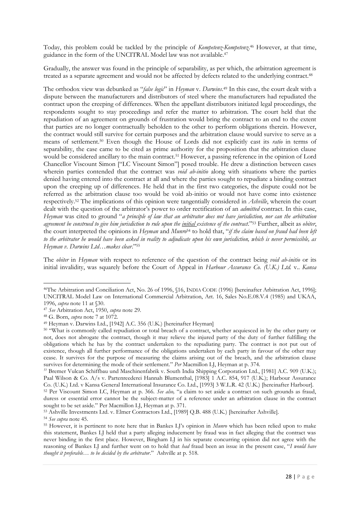Today, this problem could be tackled by the principle of *Kompetenz-Kompetenz*. <sup>46</sup> However, at that time, guidance in the form of the UNCITRAL Model law was not available.<sup>47</sup>

Gradually, the answer was found in the principle of separability, as per which, the arbitration agreement is treated as a separate agreement and would not be affected by defects related to the underlying contract.<sup>48</sup>

The orthodox view was debunked as "*false logic*" in *Heyman* v. *Darwins*. <sup>49</sup> In this case, the court dealt with a dispute between the manufacturers and distributors of steel where the manufacturers had repudiated the contract upon the creeping of differences. When the appellant distributors initiated legal proceedings, the respondents sought to stay proceedings and refer the matter to arbitration. The court held that the repudiation of an agreement on grounds of frustration would bring the contract to an end to the extent that parties are no longer contractually beholden to the other to perform obligations therein. However, the contract would still survive for certain purposes and the arbitration clause would survive to serve as a means of settlement.<sup>50</sup> Even though the House of Lords did not explicitly cast its *ratio* in terms of separability, the case came to be cited as prime authority for the proposition that the arbitration clause would be considered ancillary to the main contract.<sup>51</sup> However, a passing reference in the opinion of Lord Chancellor Viscount Simon ["LC Viscount Simon"] posed trouble. He drew a distinction between cases wherein parties contended that the contract was *void ab-initio* along with situations where the parties denied having entered into the contract at all and where the parties sought to repudiate a binding contract upon the creeping up of differences. He held that in the first two categories, the dispute could not be referred as the arbitration clause too would be void ab-initio or would not have come into existence respectively.<sup>52</sup> The implications of this opinion were tangentially considered in *Ashville*, wherein the court dealt with the question of the arbitrator's power to order rectification of an *admitted* contract. In this case, *Heyman* was cited to ground "*a principle of law that an arbitrator does not have jurisdiction, nor can the arbitration agreement be construed to give him jurisdiction to rule upon the initial existence of the contract*."<sup>53</sup> Further, albeit as *obiter*, the court interpreted the opinions in *Heyman* and *Munro*<sup>54</sup> to hold that, "*if the claim based on fraud had been left to the arbitrator he would have been asked in reality to adjudicate upon his own jurisdiction, which is never permissible, as Heyman v. Darwins Ltd…makes clear*."<sup>55</sup>

The *obiter* in *Heyman* with respect to reference of the question of the contract being *void ab-initio* or its initial invalidity, was squarely before the Court of Appeal in *Harbour Assurance Co. (U.K.) Ltd.* v.. *Kansa* 

<sup>-</sup><sup>46</sup>The Arbitration and Conciliation Act, No. 26 of 1996, §16, INDIA CODE (1996) [hereinafter Arbitration Act, 1996]; UNCITRAL Model Law on International Commercial Arbitration, Art. 16, Sales No.E.08.V.4 (1985) and UKAA, 1996, *supra* note 11 at §30.

<sup>47</sup> *See* Arbitration Act, 1950, *supra* note 29.

<sup>48</sup> G. Born, *supra* note 7 at 1072.

<sup>49</sup> Heyman v. Darwins Ltd., [1942] A.C. 356 (U.K.) [hereinafter Heyman]

<sup>50</sup> "What is commonly called repudiation or total breach of a contract, whether acquiesced in by the other party or not, does not abrogate the contract, though it may relieve the injured party of the duty of further fulfilling the obligations which he has by the contract undertaken to the repudiating party. The contract is not put out of existence, though all further performance of the obligations undertaken by each party in favour of the other may cease. It survives for the purpose of measuring the claims arising out of the breach, and the arbitration clause survives for determining the mode of their settlement*.*" *Per* Macmillon LJ, Heyman at p. 374.

*<sup>51</sup>* Bremer Vulcan Schiffbau und Maschinenfabrik v. South India Shipping Corporation Ltd., [1981] A.C. 909 (U.K.); Paal Wilson & Co. A/s v. Partenreederei Hannah Blumenthal, [1983] 1 A.C. 854, 917 (U.K.); Harbour Assurance Co. (U.K.) Ltd. v Kansa General International Insurance Co. Ltd., [1993] 3 W.L.R. 42 (U.K.) [hereinafter Harbour].

<sup>52</sup> Per Viscount Simon LC, Heyman at p. 366. *See also,* "a claim to set aside a contract on such grounds as fraud, duress or essential error cannot be the subject-matter of a reference under an arbitration clause in the contract sought to be set aside." Per Macmillon LJ, Heyman at p. 371.

<sup>53</sup> Ashville Investments Ltd. v. Elmer Contractors Ltd., [1989] Q.B. 488 (U.K.) [hereinafter Ashville].

<sup>54</sup> *See supra* note 45.

<sup>55</sup> However, it is pertinent to note here that in Bankes LJ's opinion in *Munro* which has been relied upon to make this statement, Bankes LJ held that a party alleging inducement by fraud was in fact alleging that the contract was never binding in the first place. However, Bingham LJ in his separate concurring opinion did not agree with the reasoning of Bankes LJ and further went on to hold that *had* fraud been an issue in the present case, "*I would have thought it preferable… to be decided by the arbitrator*." Ashville at p. 518.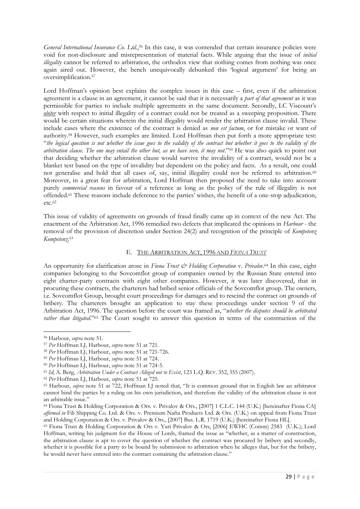*General International Insurance Co. Ltd*., <sup>56</sup> In this case, it was contended that certain insurance policies were void for non-disclosure and misrepresentation of material facts. While arguing that the issue of *initial illegality* cannot be referred to arbitration, the orthodox view that nothing comes from nothing was once again aired out. However, the bench unequivocally debunked this 'logical argument' for being an oversimplification.<sup>57</sup>

Lord Hoffman's opinion best explains the complex issues in this case – first, even if the arbitration agreement is a clause in an agreement, it cannot be said that it is necessarily a *part of that agreement* as it was permissible for parties to include multiple agreements in the same document. Secondly, LC Viscount's *obiter* with respect to initial illegality of a contract could not be treated as a sweeping proposition. There would be certain situations wherein the initial illegality would render the arbitration clause invalid. These include cases where the existence of the contract is denied as *non est factum*, or for mistake or want of authority.<sup>58</sup> However, such examples are limited. Lord Hoffman then put forth a more appropriate test: "*the logical question is not whether the issue goes to the validity of the contract but whether it goes to the validity of the arbitration clause. The one may entail the other but, as we have seen, it may not*."<sup>59</sup> He was also quick to point out that deciding whether the arbitration clause would survive the invalidity of a contract, would not be a blanket test based on the type of invalidity but dependent on the policy and facts. As a result, one could not generalise and hold that all cases of, say, initial illegality could not be referred to arbitration.<sup>60</sup> Moreover, in a great feat for arbitration, Lord Hoffman then proposed the need to take into account purely *commercial reasons* in favour of a reference as long as the policy of the rule of illegality is not offended.<sup>61</sup> These reasons include deference to the parties' wishes, the benefit of a one-stop adjudication, etc.<sup>62</sup>

This issue of validity of agreements on grounds of fraud finally came up in context of the new Act. The enactment of the Arbitration Act, 1996 remedied two defects that implicated the opinions in *Harbour* - the removal of the provision of discretion under Section 24(2) and recognition of the principle of *Kompetenz Kompetenz*. 63

## E. THE ARBITRATION ACT, 1996 AND *FIONA TRUST*

An opportunity for clarification arose in Fiona Trust & Holding Corporation v. Privalov.<sup>64</sup> In this case, eight companies belonging to the Sovcomflot group of companies owned by the Russian State entered into eight charter-party contracts with eight other companies. However, it was later discovered, that in procuring these contracts, the charterers had bribed senior officials of the Sovcomflot group. The owners, i.e. Sovcomflot Group, brought court proceedings for damages and to rescind the contract on grounds of bribery. The charterers brought an application to stay these proceedings under section 9 of the Arbitration Act, 1996. The question before the court was framed as, "*whether the disputes should be arbitrated rather than litigated*."<sup>65</sup> The Court sought to answer this question in terms of the construction of the

<sup>56</sup> Harbour, *supra* note 51.

<sup>57</sup> *Per* Hoffman LJ, Harbour, *supra* note 51 at 721.

<sup>58</sup> *Per* Hoffman LJ, Harbour, *supra* note 51 at 721-726.

<sup>59</sup> *Per* Hoffman LJ, Harbour, *supra* note 51 at 724.

<sup>60</sup> *Per* Hoffman LJ, Harbour, *supra* note 51 at 724-5.

<sup>61</sup> *Id*; A. Berg, *Arbitration Under a Contract Alleged not to Exist*, 123 L.Q. REV. 352, 355 (2007).

<sup>62</sup> *Per* Hoffman LJ, Harbour, *supra* note 51 at 725.

<sup>63</sup> Harbour, *supra* note 51 at 722, Hoffman LJ noted that, "It is common ground that in English law an arbitrator cannot bind the parties by a ruling on his own jurisdiction, and therefore the validity of the arbitration clause is not an arbitrable issue."

<sup>64</sup> Fiona Trust & Holding Corporation & Ors. v. Privalov & Ors., [2007] 1 C.L.C. 144 (U.K.) [hereinafter Fiona CA] *affirmed in* Fili Shipping Co. Ltd. & Ors. v. Premium Nafta Products Ltd. & Ors. (U.K.) on appeal from Fiona Trust and Holding Corporation & Ors. v. Privalov & Ors., [2007] Bus. L.R. 1719 (U.K.) [hereinafter Fiona HL].

<sup>65</sup> Fiona Trust & Holding Corporation & Ors v. Yuri Privalov & Ors, [2006] EWHC (Comm) 2583 (U.K.); Lord Hoffman, writing his judgment for the House of Lords, framed the issue as "whether, as a matter of construction, the arbitration clause is apt to cover the question of whether the contract was procured by bribery and secondly, whether it is possible for a party to be bound by submission to arbitration when he alleges that, but for the bribery, he would never have entered into the contract containing the arbitration clause."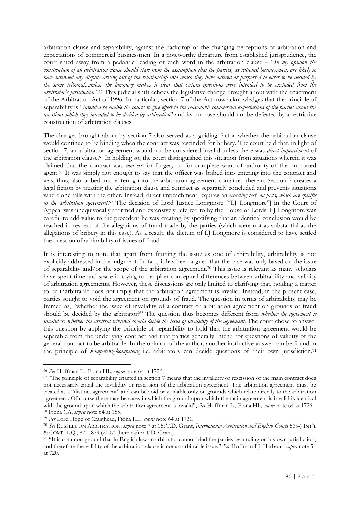arbitration clause and separability, against the backdrop of the changing perceptions of arbitration and expectations of commercial businessmen. In a noteworthy departure from established jurisprudence, the court shied away from a pedantic reading of each word in the arbitration clause – "*In my opinion the construction of an arbitration clause should start from the assumption that the parties, as rational businessmen, are likely to have intended any dispute arising out of the relationship into which they have entered or purported to enter to be decided by the same tribunal...unless the language makes it clear that certain questions were intended to be excluded from the arbitrator's jurisdiction*."<sup>66</sup> This judicial shift echoes the legislative change brought about with the enactment of the Arbitration Act of 1996. In particular, section 7 of the Act now acknowledges that the principle of separability is "*intended to enable the courts to give effect to the reasonable commercial expectations of the parties about the questions which they intended to be decided by arbitration*" and its purpose should not be defeated by a restrictive construction of arbitration clauses.

The changes brought about by section 7 also served as a guiding factor whether the arbitration clause would continue to be binding when the contract was rescinded for bribery. The court held that, in light of section 7, an arbitration agreement would not be considered invalid unless there was *direct impeachment* of the arbitration clause.<sup>67</sup> In holding so, the court distinguished this situation from situations wherein it was claimed that the contract was *non est* for forgery or for complete want of authority of the purported agent.<sup>68</sup> It was simply not enough to say that the officer was bribed into entering into the contract and was, thus, also bribed into entering into the arbitration agreement contained therein. Section 7 creates a legal fiction by treating the arbitration clause and contract as separately concluded and prevents situations where one falls with the other. Instead, direct impeachment requires an *exacting test, on facts, which are specific to the arbitration agreement*. <sup>69</sup> The decision of Lord Justice Longmore ["LJ Longmore"] in the Court of Appeal was unequivocally affirmed and extensively referred to by the House of Lords. LJ Longmore was careful to add value to the precedent he was creating by specifying that an identical conclusion would be reached in respect of the allegations of fraud made by the parties (which were not as substantial as the allegations of bribery in this case). As a result, the dictum of LJ Longmore is considered to have settled the question of arbitrability of issues of fraud.

It is interesting to note that apart from framing the issue as one of arbitrability, arbitrability is not explicitly addressed in the judgment. In fact, it has been argued that the case was only based on the issue of separability and/or the scope of the arbitration agreement.<sup>70</sup> This issue is relevant as many scholars have spent time and space in trying to decipher conceptual differences between arbitrability and validity of arbitration agreements. However, these discussions are only limited to clarifying that, holding a matter to be inarbitrable does not imply that the arbitration agreement is invalid. Instead, in the present case, parties sought to void the agreement on grounds of fraud. The question in terms of arbitrability may be framed as, "whether the issue of invalidity of a contract or arbitration agreement on grounds of fraud should be decided by the arbitrator?" The question thus becomes different from *whether the agreement is invalid* to *whether the arbitral tribunal should decide the issue of invalidity of the agreement*. The court chose to answer this question by applying the principle of separability to hold that the arbitration agreement would be separable from the underlying contract and that parties generally intend for questions of validity of the general contract to be arbitrable. In the opinion of the author, another instinctive answer can be found in the principle of *kompetenz-kompetenz* i.e. arbitrators can decide questions of their own jurisdiction.<sup>71</sup>

<sup>-</sup><sup>66</sup> *Per* Hoffman L., Fiona HL, *supra* note 64 at 1726.

<sup>&</sup>lt;sup>67</sup> "The principle of separability enacted in section 7 means that the invalidity or rescission of the main contract does not necessarily entail the invalidity or rescission of the arbitration agreement. The arbitration agreement must be treated as a "distinct agreement" and can be void or voidable only on grounds which relate directly to the arbitration agreement. Of course there may be cases in which the ground upon which the main agreement is invalid is identical with the ground upon which the arbitration agreement is invalid", *Per* Hoffman L., Fiona HL, *supra* note 64 at 1726. <sup>68</sup> Fiona CA, *supra* note 64 at 155.

<sup>69</sup> *Per* Lord Hope of Craighead, Fiona HL, *supra* note 64 at 1731.

<sup>70</sup> *See* RUSSELL ON ARBITRATION, *supra* note 7 at 15; T.D. Grant, *International Arbitration and English Courts* 56(4) INT'L & COMP. L.Q., 871, 879 (2007) [hereinafter T.D. Grant].

<sup>71</sup> "It is common ground that in English law an arbitrator cannot bind the parties by a ruling on his own jurisdiction, and therefore the validity of the arbitration clause is not an arbitrable issue." *Per* Hoffman LJ, Harbour, *supra* note 51 at 720.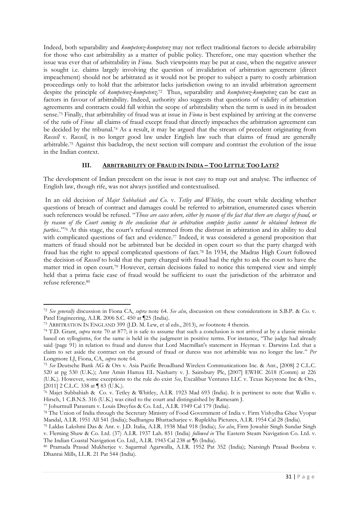Indeed, both separability and *kompetenz-kompetenz* may not reflect traditional factors to decide arbitrability for those who cast arbitrability as a matter of public policy. Therefore, one may question whether the issue was ever that of arbitrability in *Fiona*. Such viewpoints may be put at ease, when the negative answer is sought i.e. claims largely involving the question of invalidation of arbitration agreement (direct impeachment) should not be arbitrated as it would not be proper to subject a party to costly arbitration proceedings only to hold that the arbitrator lacks jurisdiction owing to an invalid arbitration agreement despite the principle of *kompetenz-kompetenz*. 72 Thus, separability and *kompetenz-kompetenz* can be cast as factors in favour of arbitrability. Indeed, authority also suggests that questions of validity of arbitration agreements and contracts could fall within the scope of arbitrability when the term is used in its broadest sense.<sup>73</sup> Finally, that arbitrability of fraud was at issue in *Fiona* is best explained by arriving at the converse of the *ratio* of *Fiona* all claims of fraud except fraud that directly impeaches the arbitration agreement can be decided by the tribunal.<sup>74</sup> As a result, it may be argued that the stream of precedent originating from *Russell* v. *Russell*, is no longer good law under English law such that claims of fraud are generally arbitrable.<sup>75</sup> Against this backdrop, the next section will compare and contrast the evolution of the issue in the Indian context.

# **III. ARBITRABILITY OF FRAUD IN INDIA – TOO LITTLE TOO LATE?**

The development of Indian precedent on the issue is not easy to map out and analyse. The influence of English law, though rife, was not always justified and contextualised.

In an old decision of *Majet Subbahiah and Co.* v. *Tetley and Whitley*, the court while deciding whether questions of breach of contract and damages could be referred to arbitration, enumerated cases wherein such references would be refused. "*Those are cases where, either by reason of the fact that there are charges of fraud, or by reason of the Court coming to the conclusion that in arbitration complete justice cannot be obtained between the parties..*" <sup>76</sup> At this stage, the court's refusal stemmed from the distrust in arbitration and its ability to deal with complicated questions of fact and evidence.<sup>77</sup> Indeed, it was considered a general proposition that matters of fraud should not be arbitrated but be decided in open court so that the party charged with fraud has the right to appeal complicated questions of fact.<sup>78</sup> In 1934, the Madras High Court followed the decision of *Russell* to hold that the party charged with fraud had the right to ask the court to have the matter tried in open court.<sup>79</sup> However, certain decisions failed to notice this tempered view and simply held that a prima facie case of fraud would be sufficient to oust the jurisdiction of the arbitrator and refuse reference.<sup>80</sup>

<sup>-</sup><sup>72</sup> *See generally* discussion in Fiona CA, *supra* note 64. *See also*, discussion on these considerations in S.B.P. & Co. v. Patel Engineering, A.I.R. 2006 S.C. 450 at ¶25 (India).

<sup>73</sup> ARBITRATION IN ENGLAND 399 (J.D. M. Lew, et al eds., 2013), *see* footnote 4 therein.

<sup>74</sup> T.D. Grant, *supra* note 70 at 877; it is safe to assume that such a conclusion is not arrived at by a classic mistake based on syllogisms, for the same is held in the judgment in positive terms. For instance, "The judge had already said (page 91) in relation to fraud and duress that Lord Macmillan's statement in Heyman v. Darwins Ltd. that a claim to set aside the contract on the ground of fraud or duress was not arbitrable was no longer the law*.*" *Per* Longmore LJ, Fiona, CA, *supra* note 64.

<sup>75</sup> *See* Deutsche Bank AG & Ors v. Asia Pacific Broadband Wireless Communications Inc. & Anr., [2008] 2 C.L.C. 520 at pg 530 (U.K.); Amr Amin Hamza EL Nasharty v. J. Sainsbury Plc, [2007] EWHC 2618 (Comm) at 226 (U.K.). However, some exceptions to the rule do exist *See*, Excalibur Ventures LLC v. Texas Keystone Inc & Ors., [2011] 2 C.L.C. 338 at ¶ 83 (U.K.).

<sup>76</sup> Majet Subbahiah & Co. v. Tetley & Whitley, A.I.R. 1923 Mad 693 (India). It is pertinent to note that Wallis v. Hirsch, 1 C.B.N.S. 316 (U.K.) was cited to the court and distinguished by Ramesam J.

<sup>77</sup> Johurmull Parasram v. Louis Dreyfus & Co. Ltd., A.I.R. 1949 Cal 179 (India).

<sup>&</sup>lt;sup>78</sup> The Union of India through the Secretary Ministry of Food Government of India v. Firm Vishydha Ghee Vyopar Mandal, A.I.R. 1951 All 541 (India); Sudhangsu Bhattacharjee v. Ruplekha Pictures, A.I.R. 1954 Cal 28 (India).

<sup>79</sup> Laldas Lakshmi Das & Anr. v. J.D. Italia, A.I.R. 1938 Mad 918 (India); *See also*, Firm Jowahir Singh Sundar Singh v. Fleming Shaw & Co. Ltd. (37) A.I.R. 1937 Lah. 851 (India) *followed in* The Eastern Steam Navigation Co. Ltd. v. The Indian Coastal Navigation Co. Ltd., A.I.R. 1943 Cal 238 at ¶6 (India).

<sup>80</sup> Pramada Prasad Mukherjee v. Sagarmal Agarwalla, A.I.R. 1952 Pat 352 (India); Narsingh Prasad Boobna v. Dhanrai Mills, I.L.R. 21 Pat 544 (India).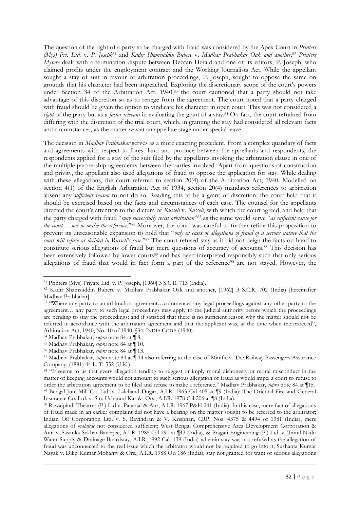The question of the right of a party to be charged with fraud was considered by the Apex Court in *Printers (Mys) Pvt. Ltd.* v. *P. Joseph*<sup>81</sup> and *Kadir Shamsuddin Bubere* v. *Madhav Prabhakar Oak and another*. <sup>82</sup> *Printers Mysore* dealt with a termination dispute between Deccan Herald and one of its editors, P. Joseph, who claimed profits under the employment contract and the Working Journalists Act. While the appellant sought a stay of suit in favour of arbitration proceedings, P. Joseph, sought to oppose the same on grounds that his character had been impeached. Exploring the discretionary scope of the court's powers under Section 34 of the Arbitration Act, 1940,<sup>83</sup> the court cautioned that a party should not take advantage of this discretion so as to renege from the agreement. The court noted that a party charged with fraud should be given the option to vindicate his character in open court. This was not considered a *right* of the party but as a *factor relevant* in evaluating the grant of a stay.<sup>84</sup> On fact, the court refrained from differing with the discretion of the trial court, which, in granting the stay had considered all relevant facts and circumstances, as the matter was at an appellate stage under special leave.

The decision in *Madhav Prabhakar* serves as a more exacting precedent. From a complex quandary of facts and agreements with respect to forest land and produce between the appellants and respondents, the respondents applied for a stay of the suit filed by the appellants invoking the arbitration clause in one of the multiple partnership agreements between the parties involved. Apart from questions of construction and privity, the appellant also used allegations of fraud to oppose the application for stay. While dealing with these allegations, the court referred to section 20(4) of the Arbitration Act, 1940. Modelled on section 4(1) of the English Arbitration Act of 1934, section 20(4) mandates references to arbitration absent any *sufficient reason* to not do so. Reading this to be a grant of discretion, the court held that it should be exercised based on the facts and circumstances of each case. The counsel for the appellants directed the court's attention to the dictum of *Russell* v. *Russell*, with which the court agreed, and held that the party charged with fraud "*may successfully resist arbitration*" <sup>85</sup> as the same would serve "*as sufficient cause for the court …not to make the reference*."<sup>86</sup> Moreover, the court was careful to further refine this proposition to prevent its unreasonable expansion to hold that "*only in cases of allegations of fraud of a serious nature that the court will refuse as decided in Russell's case*."<sup>87</sup> The court refused stay as it did not deign the facts on hand to constitute serious allegations of fraud but mere questions of accuracy of accounts.<sup>88</sup> This decision has been extensively followed by lower courts<sup>89</sup> and has been interpreted responsibly such that only serious allegations of fraud that would in fact form a part of the reference<sup>90</sup> are not stayed. However, the

<sup>-</sup><sup>81</sup> Printers (Mys) Private Ltd. v. P. Joseph, [1960] 3 S.C.R. 713 (India).

<sup>82</sup> Kadir Shamsuddin Bubere v. Madhav Prabhakar Oak and another, [1962] 3 S.C.R. 702 (India) [hereinafter Madhav Prabhakar].

<sup>83</sup> "Where any party to an arbitration agreement…commences any legal proceedings against any other party to the agreement… any party to such legal proceedings may apply to the judicial authority before which the proceedings are pending to stay the proceedings; and if satisfied that there is no sufficient reason why the matter should not be referred in accordance with the arbitration agreement and that the applicant was, at the time when the proceed", Arbitration Act, 1940, No. 10 of 1940, §34, INDIA CODE (1940).

<sup>84</sup> Madhav Prabhakar, *supra* note 84 at ¶ 8.

<sup>85</sup> Madhav Prabhakar, *supra* note 84 at ¶ 10.

<sup>86</sup> Madhav Prabhakar, *supra* note 84 at ¶ 13.

<sup>87</sup> Madhav Prabhakar, *supra* note 84 at ¶ 14 also referring to the case of Minifie v. The Railway Passengers Assurance Company, (1881) 44 L. T. 552 (U.K.).

<sup>88 &</sup>quot;It seems to us that every allegation tending to suggest or imply moral dishonesty or moral misconduct in the matter of keeping accounts would not amount to such serious allegation of fraud as would impel a court to refuse to order the arbitration agreement to be filed and refuse to make a reference." Madhav Prabhakar, *supra* note 84 at ¶15.

<sup>89</sup> Bengal Jute Mill Co. Ltd. v. Lalchand Dugar, A.I.R. 1963 Cal 405 at ¶9 (India); The Oriental Fire and General Insurance Co. Ltd. v. Sm. Usharani Kar & Ors., A.I.R. 1978 Cal 206 at ¶8 (India).

<sup>90</sup> Rawalpindi Theatres (P.) Ltd v. Patanjal & Anr, A.I.R. 1967 P&H 241 (India). In this case, mere fact of allegations of fraud made in an earlier complaint did not have a bearing on the matter sought to be referred to the arbitrator; Indian Oil Corporation Ltd. v. S. Ravindran & V. Krishnan, CRP. Nos. 4375 & 4494 of 1981 (India), mere allegations of *malafide* not considered sufficient; West Bengal Comprehensive Area Development Corporation & Anr. v. Sasanka Sekhar Banerjee, A.I.R. 1985 Cal 290 at ¶43 (India), & Pragati Engineering (P.) Ltd. v. Tamil Nadu Water Supply & Drainage Boardstay, A.I.R. 1992 Cal. 139 (India) wherein stay was not refused as the allegation of fraud was unconnected to the real issue which the arbitrator would not be required to go into it; Sushanta Kumar Nayak v. Dilip Kumar Mohanty & Ors., A.I.R. 1988 Ori 186 (India), stay not granted for want of serious allegations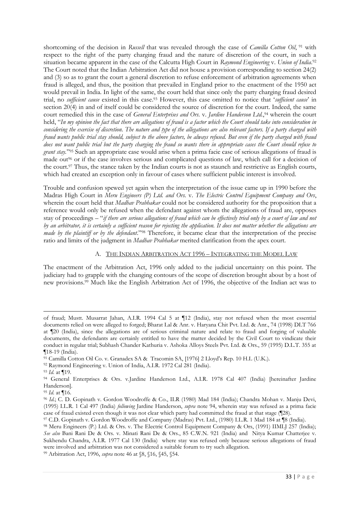shortcoming of the decision in *Russell* that was revealed through the case of *Camilla Cotton Oil*, <sup>91</sup> with respect to the right of the party charging fraud and the nature of discretion of the court, in such a situation became apparent in the case of the Calcutta High Court in *Raymond Engineering* v. *Union of India*. 92 The Court noted that the Indian Arbitration Act did not house a provision corresponding to section 24(2) and (3) so as to grant the court a general discretion to refuse enforcement of arbitration agreements when fraud is alleged, and thus, the position that prevailed in England prior to the enactment of the 1950 act would prevail in India. In light of the same, the court held that since only the party charging fraud desired trial, no *sufficient cause* existed in this case.<sup>93</sup> However, this case omitted to notice that '*sufficient cause*' in section 20(4) in and of itself could be considered the source of discretion for the court. Indeed, the same court remedied this in the case of *General Enterprises and Ors.* v. *Jardine Handerson Ltd.*, <sup>94</sup> wherein the court held, "*In my opinion the fact that there are allegations of fraud is a factor which the Court should take into consideration in considering the exercise of discretion. The nature and type of the allegations are also relevant factors. If a party charged with fraud wants public trial stay should, subject to the above factors, be always refused. But even if the party charged with fraud does not want public trial but the party charging the fraud so wants there in appropriate cases the Court should refuse to grant stay.*" <sup>95</sup> Such an appropriate case would arise when a prima facie case of serious allegations of fraud is made out<sup>96</sup> or if the case involves serious and complicated questions of law, which call for a decision of the court.<sup>97</sup> Thus, the stance taken by the Indian courts is not as staunch and restrictive as English courts, which had created an exception only in favour of cases where sufficient public interest is involved.

Trouble and confusion spewed yet again when the interpretation of the issue came up in 1990 before the Madras High Court in *Meru Engineers (P) Ltd. and Ors.* v. *The Electric Control Equipment Company and Ors*, wherein the court held that *Madhav Prabhakar* could not be considered authority for the proposition that a reference would only be refused when the defendant against whom the allegations of fraud are, opposes stay of proceedings – "*if there are serious allegations of fraud which can be effectively tried only by a court of law and not by an arbitrator, it is certainly a sufficient reason for rejecting the application. It does not matter whether the allegations are made by the plaintiff or by the defendant*."<sup>98</sup> Therefore, it became clear that the interpretation of the precise ratio and limits of the judgment in *Madhav Prabhakar* merited clarification from the apex court.

## A. THE INDIAN ARBITRATION ACT 1996 - INTEGRATING THE MODEL LAW

The enactment of the Arbitration Act, 1996 only added to the judicial uncertainty on this point. The judiciary had to grapple with the changing contours of the scope of discretion brought about by a host of new provisions.<sup>99</sup> Much like the English Arbitration Act of 1996, the objective of the Indian act was to

of fraud; Mustt. Musarrat Jahan, A.I.R. 1994 Cal 5 at ¶12 (India), stay not refused when the most essential documents relied on were alleged to forged; Bharat Lal & Anr. v. Haryana Chit Pvt. Ltd. & Anr., 74 (1998) DLT 766 at ¶20 (India), since the allegations are of serious criminal nature and relate to fraud and forging of valuable documents, the defendants are certainly entitled to have the matter decided by the Civil Court to vindicate their conduct in regular trial; Subhash Chander Kathuria v. Ashoka Alloys Steels Pvt. Ltd. & Ors., 59 (1995) D.L.T. 355 at ¶18-19 (India).

<sup>91</sup> Camilla Cotton Oil Co. v. Granadex SA & Tracomin SA, [1976] 2 Lloyd's Rep. 10 H.L (U.K.).

<sup>92</sup> Raymond Engineering v. Union of India, A.I.R. 1972 Cal 281 (India).

<sup>93</sup> *Id.* at ¶19.

<sup>94</sup> General Enterprises & Ors. v.Jardine Handerson Ltd., A.I.R. 1978 Cal 407 (India) [hereinafter Jardine Handerson].

<sup>95</sup> *Id.* at ¶16.

<sup>96</sup> *Id.*; C. D. Gopinath v. Gordon Woodroffe & Co., ILR (1980) Mad 184 (India); Chandra Mohan v. Manju Devi, (1995) I.L.R. 1 Cal 497 (India) *following* Jardine Handerson, *supra* note 94, wherein stay was refused as a prima facie case of fraud existed even though it was not clear which party had committed the fraud at that stage (¶28).

<sup>97</sup> C.D. Gopinath v. Gordon Woodroffe and Company (Madras) Pvt. Ltd., (1980) I.L.R. 1 Mad 184 at ¶8 (India).

<sup>98</sup> Meru Engineers (P.) Ltd. & Ors. v. The Electric Control Equipment Company & Ors, (1991) IIMLJ 257 (India); *See also* Bani Rani De & Ors. v. Minati Rani De & Ors., 85 C.W.N. 921 (India) and Nitya Kumar Chatterjee v. Sukhendu Chandra, A.I.R. 1977 Cal 130 (India) where stay was refused only because serious allegations of fraud were involved and arbitration was not considered a suitable forum to try such allegation.

<sup>99</sup> Arbitration Act, 1996, *supra* note 46 at §8, §16, §45, §54.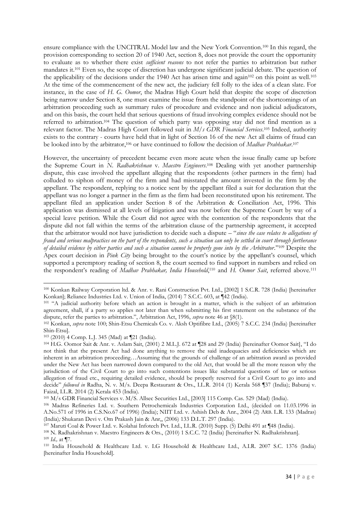ensure compliance with the UNCITRAL Model law and the New York Convention.<sup>100</sup> In this regard, the provision corresponding to section 20 of 1940 Act, section 8, does not provide the court the opportunity to evaluate as to whether there exist *sufficient reasons* to not refer the parties to arbitration but rather mandates it.<sup>101</sup> Even so, the scope of discretion has undergone significant judicial debate. The question of the applicability of the decisions under the 1940 Act has arisen time and again<sup>102</sup> on this point as well.<sup>103</sup> At the time of the commencement of the new act, the judiciary fell folly to the idea of a clean slate. For instance, in the case of *H. G. Oomor*, the Madras High Court held that despite the scope of discretion being narrow under Section 8, one must examine the issue from the standpoint of the shortcomings of an arbitration proceeding such as summary rules of procedure and evidence and non judicial adjudicators, and on this basis, the court held that serious questions of fraud involving complex evidence should not be referred to arbitration.<sup>104</sup> The question of which party was opposing stay did not find mention as a relevant factor. The Madras High Court followed suit in *M/s GDR Financial Services*. <sup>105</sup> Indeed, authority exists to the contrary - courts have held that in light of Section 16 of the new Act all claims of fraud can be looked into by the arbitrator,<sup>106</sup> or have continued to follow the decision of *Madhav Prabhakar*.<sup>107</sup>

However, the uncertainty of precedent became even more acute when the issue finally came up before the Supreme Court in *N. Radhakrishnan* v. *Maestro Engineers*. <sup>108</sup> Dealing with yet another partnership dispute, this case involved the appellant alleging that the respondents (other partners in the firm) had colluded to siphon off money of the firm and had misstated the amount invested in the firm by the appellant. The respondent, replying to a notice sent by the appellant filed a suit for declaration that the appellant was no longer a partner in the firm as the firm had been reconstituted upon his retirement. The appellant filed an application under Section 8 of the Arbitration & Conciliation Act, 1996. This application was dismissed at all levels of litigation and was now before the Supreme Court by way of a special leave petition. While the Court did not agree with the contention of the respondents that the dispute did not fall within the terms of the arbitration clause of the partnership agreement, it accepted that the arbitrator would not have jurisdiction to decide such a dispute – "*since the case relates to allegations of fraud and serious malpractices on the part of the respondents, such a situation can only be settled in court through furtherance of detailed evidence by either parties and such a situation cannot be properly gone into by the Arbitrator*."<sup>109</sup> Despite the Apex court decision in *Pink City* being brought to the court's notice by the appellant's counsel, which supported a peremptory reading of section 8, the court seemed to find support in numbers and relied on the respondent's reading of *Madhav Prabhakar, India Household*, <sup>110</sup> and *H. Oomor Sait*, referred above.<sup>111</sup>

<sup>-</sup><sup>100</sup> Konkan Railway Corporation ltd. & Anr. v. Rani Construction Pvt. Ltd., [2002] 1 S.C.R. 728 (India) [hereinafter Konkan]; Reliance Industries Ltd. v. Union of India, (2014) 7 S.C.C. 603, at ¶42 (India).

<sup>101</sup> "A judicial authority before which an action is brought in a matter, which is the subject of an arbitration agreement, shall, if a party so applies not later than when submitting his first statement on the substance of the dispute, refer the parties to arbitration.", Arbitration Act, 1996, *supra* note 46 at §8(1).

<sup>102</sup> Konkan, *supra* note 100; Shin-Etsu Chemicals Co. v. Aksh Optifibre Ltd., (2005) 7 S.C.C. 234 (India) [hereinafter Shin-Etsu].

<sup>103</sup> (2010) 4 Comp. L.J. 345 (Mad) at ¶21 (India).

<sup>104</sup> H.G. Oomor Sait & Anr. v. Aslam Sait, (2001) 2 M.L.J. 672 at ¶28 and 29 (India) [hereinafter Oomor Sait], "I do not think that the present Act had done anything to remove the said inadequacies and deficiencies which are inherent in an arbitration proceeding…Assuming that the grounds of challenge of an arbitration award as provided under the New Act has been narrowed down compared to the old Act, that would be all the more reason why the jurisdiction of the Civil Court to go into such contentions issues like substantial questions of law or serious allegation of fraud etc., requiring detailed evidence, should be properly reserved for a Civil Court to go into and decide" *followed in* Radha, N. v. M/s. Deepa Restaurant & Ors., I.L.R. 2014 (1) Kerala 568 ¶37 (India); Baburaj v. Faizal, I.L.R. 2014 (2) Kerala 453 (India).

<sup>105</sup> M/s GDR Financial Services v. M/S. Allsec Securities Ltd., [2003] 115 Comp. Cas. 529 (Mad) (India).

<sup>106</sup> Madras Refineries Ltd. v. Southern Petrochemicals Industries Corporation Ltd., (decided on 11.03.1996 in A.No.571 of 1996 in C.S.No.67 of 1996) (India); NIIT Ltd. v. Ashish Deb & Anr., 2004 (2) ARB. L.R. 133 (Madras) (India)*;* Shukaran Devi v. Om Prakash Jain & Anr,, (2006) 133 D.L.T. 297 (India).

<sup>107</sup> Maruti Coal & Power Ltd. v. Kolahai Infotech Pvt. Ltd., I.L.R. (2010) Supp. (5) Delhi 491 at ¶48 (India).

<sup>108</sup> N. Radhakrishnan v. Maestro Engineers & Ors., (2010) 1 S.C.C. 72 (India) [hereinafter N. Radhakrishnan]. <sup>109</sup> *Id.,* at ¶7.

<sup>110</sup> India Household & Healthcare Ltd. v. LG Household & Healthcare Ltd., A.I.R. 2007 S.C. 1376 (India) [hereinafter India Household].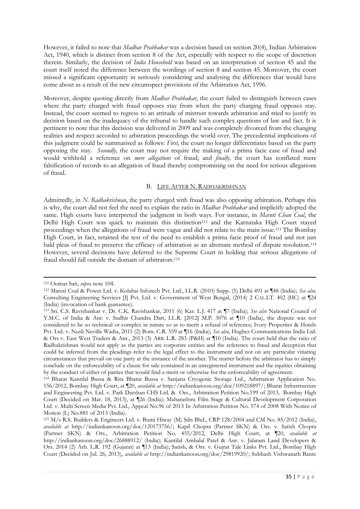However, it failed to note that *Madhav Prabhakar* was a decision based on section 20(4), Indian Arbitration Act, 1940, which is distinct from section 8 of the Act, especially with respect to the scope of discretion therein. Similarly, the decision of *India Household* was based on an interpretation of section 45 and the court itself noted the difference between the wordings of section 8 and section 45. Moreover, the court missed a significant opportunity in seriously considering and analysing the differences that would have come about as a result of the new circumspect provisions of the Arbitration Act, 1996.

Moreover, despite quoting directly from *Madhav Prabhakar*, the court failed to distinguish between cases where the party charged with fraud opposes stay from when the party charging fraud opposes stay. Instead, the court seemed to regress to an attitude of mistrust towards arbitration and tried to justify its decision based on the inadequacy of the tribunal to handle such complex questions of law and fact. It is pertinent to note that this decision was delivered in 2009 and was completely divorced from the changing realities and respect accorded to arbitration proceedings the world over. The precedential implications of this judgment could be summarised as follows: *First*, the court no longer differentiates based on the party opposing the stay. *Secondly,* the court may not require the making of a prima facie case of fraud and would withhold a reference on *mere allegations* of fraud; and *finally,* the court has conflated mere falsification of records to an allegation of fraud thereby compromising on the need for serious allegations of fraud.

## B. LIFE AFTER N. RADHAKRISHNAN

Admittedly, in *N*. *Radhakrishnan*, the party charged with fraud was also opposing arbitration. Perhaps this is why, the court did not feel the need to explain the ratio in *Madhav Prabhakar* and implicitly adopted the same. High courts have interpreted the judgment in both ways. For instance, in *Maruti Clean Coal*, the Delhi High Court was quick to maintain this distinction<sup>112</sup> and the Karnataka High Court stayed proceedings when the allegations of fraud were vague and did not relate to the main issue.<sup>113</sup> The Bombay High Court, in fact, retained the test of the need to establish a prima facie proof of fraud and not just bald pleas of fraud to preserve the efficacy of arbitration as an alternate method of dispute resolution.<sup>114</sup> However, several decisions have deferred to the Supreme Court in holding that serious allegations of fraud should fall outside the domain of arbitrators.<sup>115</sup>

<sup>-</sup><sup>111</sup> Oomar Sait, *supra* note 104.

<sup>112</sup> Maruti Coal & Power Ltd. v. Kolahai Infotech Pvt. Ltd., I.L.R. (2010) Supp. (5) Delhi 491 at ¶48 (India); *See also,* Consulting Engineering Services [I] Pvt. Ltd. v. Government of West Bengal, (2014) 2 CAL.LT. 402 (HC) at ¶24 (India) (invocation of bank guarantee).

<sup>113</sup> Sri. C.S. Ravishankar v. Dr. C.K. Ravishankar, 2011 (6) Kar. L.J. 417 at ¶7 (India); *See also* National Council of Y.M.C. of India & Anr. v. Sudhir Chandra Datt, I.L.R. [2012] M.P. 3076 at ¶10 (India), the dispute was not considered to be so technical or complex in nature so as to merit a refusal of reference; Ivory Properties & Hotels Pvt. Ltd. v. Nusli Neville Wadia, 2011 (2) Bom. C.R. 559 at ¶16 (India); *See also*, Hughes Communications India Ltd. & Ors v. East West Traders & Anr., 2013 (3) ARB. L.R. 283 (P&H) at ¶10 (India). The court held that the ratio of Radhakrishnan would not apply as the parties are corporate entities and the reference to fraud and deception that could be inferred from the pleadings refer to the legal effect to the instrument and not on any particular vitiating circumstances that prevail on one party at the instance of the another. The matter before the arbitrator has to simply conclude on the enforceability of a clause for sale contained in an unregistered instrument and the equities obtaining by the conduct of either of parties that would find a merit or otherwise for the enforceability of agreement.

<sup>114</sup> Bharat Kantilal Bussa & Rita Bharat Bussa v. Sanjana Cryogenic Storage Ltd., Arbitration Application No. 156/2012, Bombay High Court, at ¶20, *available at* http://indiankanoon.org/doc/109218897/; Bharat Infrastructure and Engineering Pvt. Ltd. v. Park Darshan CHS Ltd. & Ors., Arbitration Petition No.199 of 2013, Bombay High Court (Decided on Mar. 18, 2013), at ¶26 (India); Maharashtra Film Stage & Cultural Development Corporation Ltd. v. Multi Screen Media Pvt. Ltd., Appeal No.96 of 2013 In Arbitration Petition No. 574 of 2008 With Notice of Motion (L) No.881 of 2013 (India).

<sup>115</sup> M/s R.S. Builders & Engineers Ltd. v. Bumi Hiway (M) Sdn Bhd., CRP 128/2004 and CM No. 85/2012 (India), *available at* http://indiankanoon.org/doc/120173756/; Kapil Chopra (Partner SKN) & Ors. v. Satish Chopra (Partner SKN) & Ors., Arbitration Petition No. 455/2012, Delhi High Court, at ¶20, *available at* http://indiankanoon.org/doc/26888912/ (India); Kantilal Ambalal Patel & Anr. v. Jalaram Land Developers & Ors. 2014 (2) Arb. L.R. 192 (Gujarat) at ¶13 (India); Satish, & Ors. v. Gujrat Tale Links Pvt. Ltd., Bombay High Court (Decided on Jul. 26, 2013), *available at* http://indiankanoon.org/doc/29819920/; Subhash Vishwanath Bante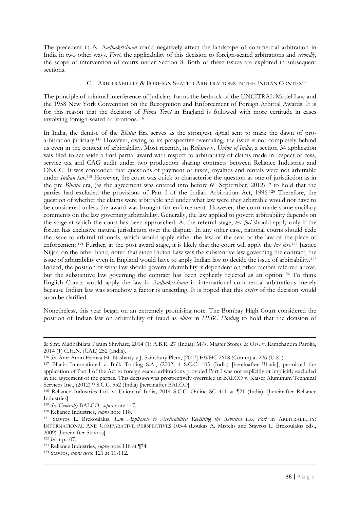The precedent in *N. Radhakrishnan* could negatively affect the landscape of commercial arbitration in India in two other ways. *First*, the applicability of this decision to foreign-seated arbitrations and *secondly*, the scope of intervention of courts under Section 8. Both of these issues are explored in subsequent sections.

## C. ARBITRABILITY & FOREIGN SEATED ARBITRATIONS IN THE INDIAN CONTEXT

The principle of minimal interference of judiciary forms the bedrock of the UNCITRAL Model Law and the 1958 New York Convention on the Recognition and Enforcement of Foreign Arbitral Awards. It is for this reason that the decision of *Fiona Trust* in England is followed with more certitude in cases involving foreign-seated arbitrations.<sup>116</sup>

In India, the demise of the *Bhatia* Era serves as the strongest signal sent to mark the dawn of proarbitration judiciary.<sup>117</sup> However, owing to its prospective overruling, the issue is not completely behind us even in the context of arbitrability. Most recently, in *Reliance* v. *Union of India*, a section 34 application was filed to set aside a final partial award with respect to arbitrability of claims made in respect of cess, service tax and CAG audit under two production sharing contracts between Reliance Industries and ONGC. It was contended that questions of payment of taxes, royalties and rentals were not arbitrable under *Indian law*. <sup>118</sup> However, the court was quick to characterise the question as one of jurisdiction as in the pre *Bhatia* era, (as the agreement was entered into before 6th September, 2012)<sup>119</sup> to hold that the parties had excluded the provisions of Part I of the Indian Arbitration Act, 1996.<sup>120</sup> Therefore, the question of whether the claims were arbitrable and under what law were they arbitrable would not have to be considered unless the award was brought for enforcement. However, the court made some ancillary comments on the law governing arbitrability. Generally, the law applied to govern arbitrability depends on the stage at which the court has been approached. At the referral stage, *lex fori* should apply only if the forum has exclusive natural jurisdiction over the dispute. In any other case, national courts should cede the issue to arbitral tribunals, which would apply either the law of the seat or the law of the place of enforcement.<sup>121</sup> Further, at the post award stage, it is likely that the court will apply the *lex fori*. <sup>122</sup> Justice Nijjar, on the other hand, noted that since Indian Law was the substantive law governing the contract, the issue of arbitrability even in England would have to apply Indian law to decide the issue of arbitrability.<sup>123</sup> Indeed, the position of what law should govern arbitrability is dependent on other factors referred above, but the substantive law governing the contract has been explicitly rejected as an option.<sup>124</sup> To think English Courts would apply the law in *Radhakrishnan* in international commercial arbitrations merely because Indian law was somehow a factor is unsettling. It is hoped that this *obiter* of the decision would soon be clarified.

Nonetheless, this year began on an extremely promising note. The Bombay High Court considered the position of Indian law on arbitrability of fraud as *obiter* in *HSBC Holding* to hold that the decision of

<sup>&</sup>amp; Smt. Madhabilata Param Shivhare, 2014 (1) A.B.R. 27 (India); M/s. Master Stores & Ors. v. Ramchandra Parolia, 2014 (1) C.H.N. (CAL) 252 (India).

<sup>116</sup> *See* Amr Amin Hamza EL Nasharty v J. Sainsbury Plcm, [2007] EWHC 2618 (Comm) at 226 (U.K.).

<sup>117</sup> Bhatia International v. Bulk Trading S.A., (2002) 4 S.C.C. 105 (India) [hereinafter Bhatia], permitted the application of Part I of the Act to foreign seated arbitrations provided Part I was not explicitly or implicitly excluded in the agreement of the parties. This decision was prospectively overruled in BALCO v. Kaiser Aluminum Technical Services Inc., (2012) 9 S.C.C. 552 (India) [hereinafter BALCO].

<sup>118</sup> Reliance Industries Ltd. v. Union of India, 2014 S.C.C. Online SC 411 at ¶21 (India). [hereinafter Reliance Industries].

<sup>119</sup> *See Generally* BALCO, *supra* note 117.

<sup>120</sup> Reliance Industries, *supra* note 118.

<sup>121</sup> Stavros L. Brekoulakis, *Law Applicable to Arbitrability: Revisiting the Revisited Lex Fori* in ARBITRABILITY: INTERNATIONAL AND COMPARATIVE PERSPECTIVES 103-4 (Loukas A. Mistelis and Stavros L. Brekoulakis eds., 2009) [hereinafter Stavros].

<sup>122</sup> *Id* at p.107.

<sup>123</sup> Reliance Industries, *supra* note 118 at ¶74.

<sup>124</sup> Stavros, *supra* note 121 at 11-112.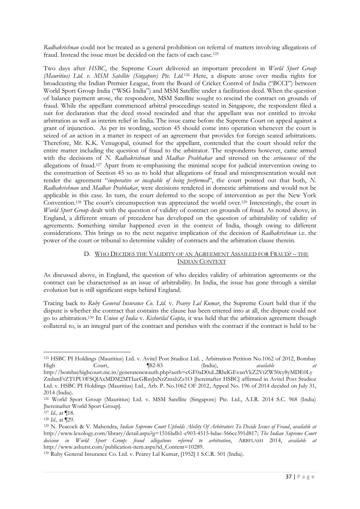*Radhakrishnan* could not be treated as a general prohibition on referral of matters involving allegations of fraud. Instead the issue must be decided on the facts of each case.<sup>125</sup>

Two days after *HSBC*, the Supreme Court delivered an important precedent in *World Sport Group (Mauritius) Ltd. v. MSM Satellite (Singapore) Pte. Ltd.*<sup>126</sup> Here, a dispute arose over media rights for broadcasting the Indian Premier League, from the Board of Cricket Control of India ("BCCI") between World Sport Group India ("WSG India") and MSM Satellite under a facilitation deed. When the question of balance payment arose, the respondent, MSM Satellite sought to rescind the contract on grounds of fraud. While the appellant commenced arbitral proceedings seated in Singapore, the respondent filed a suit for declaration that the deed stood rescinded and that the appellant was not entitled to invoke arbitration as well as interim relief in India. The issue came before the Supreme Court on appeal against a grant of injunction. As per its wording, section 45 should come into operation whenever the court is seized of *an* action in a matter in respect of an agreement that provides for foreign seated arbitrations. Therefore, Mr. K.K. Venugopal, counsel for the appellant, contended that the court should refer the entire matter including the question of fraud to the arbitrator. The respondents however, came armed with the decisions of *N. Radhakrishnan* and *Madhav Prabhakar* and stressed on the *seriousness* of the allegations of fraud.<sup>127</sup> Apart from re-emphasising the minimal scope for judicial intervention owing to the construction of Section 45 so as to hold that allegations of fraud and misrepresentation would not render the agreement "*inoperative or incapable of being performed*", the court pointed out that both, *N. Radhakrishnan* and *Madhav Prabhakar*, were decisions rendered in domestic arbitrations and would not be applicable in this case. In turn, the court deferred to the scope of intervention as per the New York Convention.<sup>128</sup> The court's circumspection was appreciated the world over.<sup>129</sup> Interestingly, the court in *World Sport Group* dealt with the question of validity of contract on grounds of fraud. As noted above, in England, a different stream of precedent has developed on the question of arbitrability of validity of agreements. Something similar happened even in the context of India, though owing to different considerations. This brings us to the next negative implication of the decision of *Radhakrishnan* i.e. the power of the court or tribunal to determine validity of contracts and the arbitration clause therein.

# D. WHO DECIDES THE VALIDITY OF AN AGREEMENT ASSAILED FOR FRAUD? - THE INDIAN CONTEXT

As discussed above, in England, the question of who decides validity of arbitration agreements or the contract can be characterised as an issue of arbitrability. In India, the issue has gone through a similar evolution but is still significant steps behind England.

Tracing back to *Ruby General Insurance Co. Ltd.* v. *Pearey Lal Kumar*, the Supreme Court held that if the dispute is whether the contract that contains the clause has been entered into at all, the dispute could not go to arbitration.<sup>130</sup> In *Union of India* v. *Kishorilal Gupta*, it was held that the arbitration agreement though collateral to, is an integral part of the contract and perishes with the contract if the contract is held to be

<sup>1</sup> <sup>125</sup> HSBC PI Holdings (Mauritius) Ltd. v. Avitel Post Studioz Ltd. , Arbitration Petition No.1062 of 2012, Bombay High Court, ¶82-83 (India), *available at* 

http://bombayhighcourt.nic.in/generatenewauth.php?auth=cGF0aD0uL2RhdGEvanVkZ2VtZW50cy8yMDE0Ly ZmbmFtZT1PU0FSQlAxMDM2MTIucGRmJnNtZmxhZz1O [hereinafter HSBC] affirmed in Avitel Post Studioz Ltd. v. HSBC PI Holdings (Mauritius) Ltd., Arb. P. No.1062 OF 2012, Appeal No. 196 of 2014 decided on July 31, 2014 (India).

<sup>126</sup> World Sport Group (Mauritius) Ltd. v. MSM Satellite (Singapore) Pte. Ltd., A.I.R. 2014 S.C. 968 (India) [hereinafter World Sport Group].

<sup>127</sup> *Id.,* at ¶18.

<sup>128</sup> *Id.,* at ¶29.

<sup>129</sup> N. Peacock & V. Mahendra, *Indian Supreme Court Upholds Ability Of Arbitrators To Decide Issues of Fraud*, *available at* http://www.lexology.com/library/detail.aspx?g=1516bdb1-e903-4515-bdae-566cc391d817; *The Indian Supreme Court decision in World Sport Group: fraud allegations referred to arbitration*, ARBFLASH 2014, *available at* http://www.ashurst.com/publication-item.aspx?id\_Content=10289.

<sup>130</sup> Ruby General Insurance Co. Ltd. v. Pearey Lal Kumar, [1952] 1 S.C.R. 501 (India).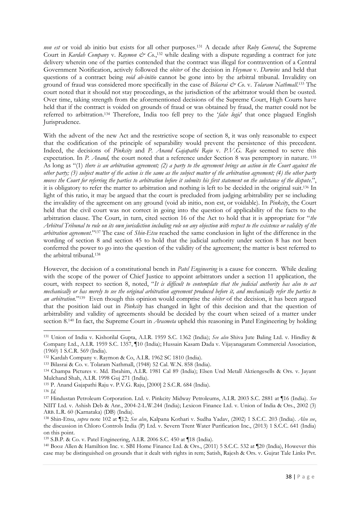*non est* or void ab initio but exists for all other purposes.<sup>131</sup> A decade after *Ruby General*, the Supreme Court in *Kardah Company* v. Raymon & Co.,<sup>132</sup> while dealing with a dispute regarding a contract for jute delivery wherein one of the parties contended that the contract was illegal for contravention of a Central Government Notification, actively followed the *obiter* of the decision in *Heyman* v. *Darwins* and held that questions of a contract being *void ab-initio* cannot be gone into by the arbitral tribunal. Invalidity on ground of fraud was considered more specifically in the case of *Bilasrai & Co. v. Tolaram Nathmall*.<sup>133</sup> The court noted that it should not stay proceedings, as the jurisdiction of the arbitrator would then be ousted. Over time, taking strength from the aforementioned decisions of the Supreme Court, High Courts have held that if the contract is voided on grounds of fraud or was obtained by fraud, the matter could not be referred to arbitration.<sup>134</sup> Therefore, India too fell prey to the '*false logic*' that once plagued English Jurisprudence.

With the advent of the new Act and the restrictive scope of section 8, it was only reasonable to expect that the codification of the principle of separability would prevent the persistence of this precedent. Indeed, the decisions of *Pinkcity* and *P. Anand Gajapathi Raju* v. *P.V.G. Raju* seemed to serve this expectation. In *P. Anand,* the court noted that a reference under Section 8 was peremptory in nature. <sup>135</sup> As long as "(1) *there is an arbitration agreement; (2) a party to the agreement brings an action in the Court against the other party; (3) subject matter of the action is the same as the subject matter of the arbitration agreement; (4) the other party moves the Court for referring the parties to arbitration before it submits his first statement on the substance of the dispute*.", it is obligatory to refer the matter to arbitration and nothing is left to be decided in the original suit.<sup>136</sup> In light of this ratio, it may be argued that the court is precluded from judging arbitrability per se including the invalidity of the agreement on any ground (void ab initio, non est, or voidable). In *Pinkcity*, the Court held that the civil court was not correct in going into the question of applicability of the facts to the arbitration clause. The Court, in turn, cited section 16 of the Act to hold that it is appropriate for "*the Arbitral Tribunal to rule on its own jurisdiction including rule on any objection with respect to the existence or validity of the arbitration agreement*."<sup>137</sup> The case of *Shin-Etsu* reached the same conclusion in light of the difference in the wording of section 8 and section 45 to hold that the judicial authority under section 8 has not been conferred the power to go into the question of the validity of the agreement; the matter is best referred to the arbitral tribunal.<sup>138</sup>

However, the decision of a constitutional bench in *Patel Engineering* is a cause for concern. While dealing with the scope of the power of Chief Justice to appoint arbitrators under a section 11 application, the court, with respect to section 8, noted, "*It is difficult to contemplate that the judicial authority has also to act mechanically or has merely to see the original arbitration agreement produced before it, and mechanically refer the parties to an arbitration.*" 139 Even though this opinion would comprise the *obiter* of the decision, it has been argued that the position laid out in *Pinkcity* has changed in light of this decision and that the question of arbitrability and validity of agreements should be decided by the court when seized of a matter under section 8.<sup>140</sup> In fact, the Supreme Court in *Arasmeta* upheld this reasoning in Patel Engineering by holding

<sup>131</sup> Union of India v. Kishorilal Gupta, A.I.R. 1959 S.C. 1362 (India); *See also* Shiva Jute Baling Ltd. v. Hindley & Company Ltd., A.I.R. 1959 S.C. 1357, ¶10 (India); Hussain Kasam Dada v. Vijayanagaram Commercial Association, (1960) 1 S.C.R. 569 (India).

<sup>132</sup> Kardah Company v. Raymon & Co, A.I.R. 1962 SC 1810 (India).

<sup>133</sup> Bilasrai & Co. v. Tolaram Nathmall, (1948) 52 Cal. W.N. 858 (India).

<sup>134</sup> Champa Pictures v. Md. Ibrahim, A.I.R. 1981 Cal 89 (India); Elsen Und Metall Aktiengesells & Ors. v. Jayant Mulchand Shah, A.I.R. 1998 Guj 271 (India).

<sup>135</sup> P. Anand Gajapathi Raju v. P.V.G. Raju, [2000] 2 S.C.R. 684 (India).

<sup>136</sup> *Id.*

<sup>137</sup> Hindustan Petroleum Corporation. Ltd. v. Pinkcity Midway Petroleums, A.I.R. 2003 S.C. 2881 at ¶16 (India). *See* NIIT Ltd. v. Ashish Deb & Anr., 2004-2-L.W.244 (India); Lexicon Finance Ltd. v. Union of India & Ors., 2002 (3) ARB. L.R. 60 (Karnataka) (DB) (India).

<sup>138</sup> Shin-Etsu, *supra* note 102 at ¶12; *See also*, Kalpana Kothari v. Sudha Yadav, (2002) 1 S.C.C. 203 (India). *Also see*, the discussion in Chloro Controls India (P) Ltd. v. Severn Trent Water Purification Inc., (2013) 1 S.C.C. 641 (India) on this point.

<sup>139</sup> S.B.P. & Co. v. Patel Engineering, A.I.R. 2006 S.C. 450 at ¶18 (India).

<sup>140</sup> Booz Allen & Hamiltion Inc. v. SBI Home Finance Ltd. & Ors., (2011) 5 S.C.C. 532 at ¶20 (India), However this case may be distinguished on grounds that it dealt with rights in rem; Satish, Rajesh & Ors. v. Gujrat Tale Links Pvt.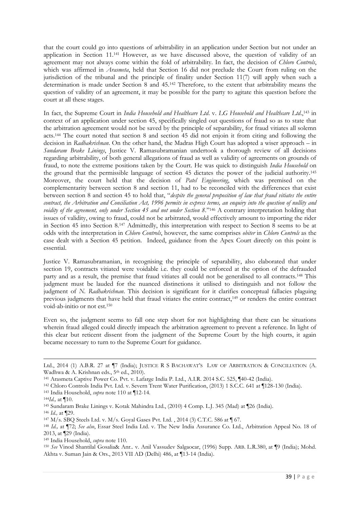that the court could go into questions of arbitrability in an application under Section but not under an application in Section 11.<sup>141</sup> However, as we have discussed above, the question of validity of an agreement may not always come within the fold of arbitrability. In fact, the decision of *Chloro Controls*, which was affirmed in *Arasmeta*, held that Section 16 did not preclude the Court from ruling on the jurisdiction of the tribunal and the principle of finality under Section 11(7) will apply when such a determination is made under Section 8 and 45.<sup>142</sup> Therefore, to the extent that arbitrability means the question of validity of an agreement, it may be possible for the party to agitate this question before the court at all these stages.

In fact, the Supreme Court in *India Household and Healthcare Ltd*. v. *LG Household and Healthcare Ltd*., <sup>143</sup> in context of an application under section 45, specifically singled out questions of fraud so as to state that the arbitration agreement would not be saved by the principle of separability, for fraud vitiates all solemn acts.<sup>144</sup> The court noted that section 8 and section 45 did not enjoin it from citing and following the decision in *Radhakrishnan*. On the other hand, the Madras High Court has adopted a wiser approach – in *Sundaram Brake Linings*, Justice V. Ramasubramanian undertook a thorough review of all decisions regarding arbitrability, of both general allegations of fraud as well as validity of agreements on grounds of fraud, to note the extreme positions taken by the Court. He was quick to distinguish *India Household* on the ground that the permissible language of section 45 dictates the power of the judicial authority.<sup>145</sup> Moreover, the court held that the decision of *Patel Engineering*, which was premised on the complementarity between section 8 and section 11, had to be reconciled with the differences that exist between section 8 and section 45 to hold that, "*despite the general proposition of law that fraud vitiates the entire contract, the Arbitration and Conciliation Act, 1996 permits in express terms, an enquiry into the question of nullity and voidity of the agreement, only under Section 45 and not under Section 8*."<sup>146</sup> A contrary interpretation holding that issues of validity, owing to fraud, could not be arbitrated, would effectively amount to importing the rider in Section 45 into Section 8.<sup>147</sup> Admittedly, this interpretation with respect to Section 8 seems to be at odds with the interpretation in *Chloro Controls*, however, the same comprises *obiter* in *Chloro Controls* as the case dealt with a Section 45 petition. Indeed, guidance from the Apex Court directly on this point is essential.

Justice V. Ramasubramanian, in recognising the principle of separability, also elaborated that under section 19, contracts vitiated were voidable i.e. they could be enforced at the option of the defrauded party and as a result, the premise that fraud vitiates all could not be generalised to all contracts.<sup>148</sup> This judgment must be lauded for the nuanced distinctions it utilised to distinguish and not follow the judgment of *N. Radhakrishnan*. This decision is significant for it clarifies conceptual fallacies plaguing previous judgments that have held that fraud vitiates the entire contract,<sup>149</sup> or renders the entire contract void-ab-initio or not est.<sup>150</sup>

Even so, the judgment seems to fall one step short for not highlighting that there can be situations wherein fraud alleged could directly impeach the arbitration agreement to prevent a reference. In light of this clear but reticent dissent from the judgment of the Supreme Court by the high courts, it again became necessary to turn to the Supreme Court for guidance.

Ltd., 2014 (1) A.B.R. 27 at ¶7 (India); JUSTICE R S BACHAWAT'S LAW OF ARBITRATION & CONCILIATION (A. Wadhwa & A. Krishnan eds., 5<sup>th</sup> ed., 2010).

<sup>141</sup> Arasmeta Captive Power Co. Pvt. v. Lafarge India P. Ltd., A.I.R. 2014 S.C. 525, ¶40-42 (India).

<sup>142</sup> Chloro Controls India Pvt. Ltd. v. Severn Trent Water Purification, (2013) 1 S.C.C. 641 at ¶128-130 (India).

<sup>143</sup> India Household, *supra* note 110 at ¶12-14.

<sup>144</sup>*Id.,* at ¶10.

<sup>145</sup> Sundaram Brake Linings v. Kotak Mahindra Ltd., (2010) 4 Comp. L.J. 345 (Mad) at ¶26 (India).

<sup>146</sup> *Id.,* at ¶29.

<sup>147</sup> M/s. SBQ Steels Ltd. v. M/s. Goyal Gases Pvt. Ltd. , 2014 (3) C.T.C. 586 at ¶ 67.

<sup>148</sup> *Id.,* at ¶72; *See also*, Essar Steel India Ltd. v. The New India Assurance Co. Ltd., Arbitration Appeal No. 18 of 2013, at ¶29 (India).

<sup>149</sup> India Household, *supra* note 110.

<sup>150</sup> *See* Vinod Shantilal Gosalia& Anr.. v. Anil Vassudev Salgaocar, (1996) Supp. ARB. L.R.380, at ¶9 (India); Mohd. Akhta v. Suman Jain & Ors., 2013 VII AD (Delhi) 486, at ¶13-14 (India).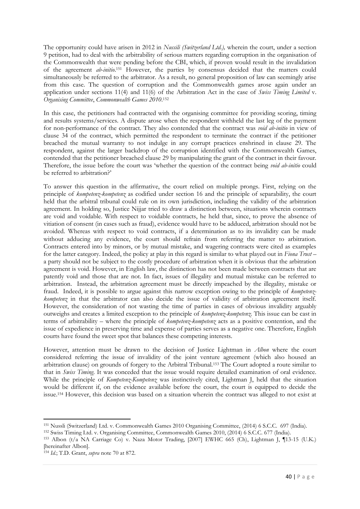The opportunity could have arisen in 2012 in *Nussili (Switzerland Ltd.),* wherein the court, under a section 9 petition, had to deal with the arbitrability of serious matters regarding corruption in the organisation of the Commonwealth that were pending before the CBI, which, if proven would result in the invalidation of the agreement *ab-initio*. <sup>151</sup> However, the parties by consensus decided that the matters could simultaneously be referred to the arbitrator. As a result, no general proposition of law can seemingly arise from this case. The question of corruption and the Commonwealth games arose again under an application under sections 11(4) and 11(6) of the Arbitration Act in the case of *Swiss Timing Limited* v. *Organising Committee*, *Commonwealth Games 2010*. 152

In this case, the petitioners had contracted with the organising committee for providing scoring, timing and results systems/services. A dispute arose when the respondent withheld the last leg of the payment for non-performance of the contract. They also contended that the contract was *void ab-initio* in view of clause 34 of the contract, which permitted the respondent to terminate the contract if the petitioner breached the mutual warranty to not indulge in any corrupt practices enshrined in clause 29. The respondent, against the larger backdrop of the corruption identified with the Commonwealth Games, contended that the petitioner breached clause 29 by manipulating the grant of the contract in their favour. Therefore, the issue before the court was 'whether the question of the contract being *void ab-initio* could be referred to arbitration?'

To answer this question in the affirmative, the court relied on multiple prongs. First, relying on the principle of *kompetenz-kompetenz* as codified under section 16 and the principle of separability, the court held that the arbitral tribunal could rule on its own jurisdiction, including the validity of the arbitration agreement. In holding so, Justice Nijjar tried to draw a distinction between, situations wherein contracts are void and voidable. With respect to voidable contracts, he held that, since, to prove the absence of vitiation of consent (in cases such as fraud), evidence would have to be adduced, arbitration should not be avoided. Whereas with respect to void contracts, if a determination as to its invalidity can be made without adducing any evidence, the court should refrain from referring the matter to arbitration. Contracts entered into by minors, or by mutual mistake, and wagering contracts were cited as examples for the latter category. Indeed, the policy at play in this regard is similar to what played out in *Fiona Trust* – a party should not be subject to the costly procedure of arbitration when it is obvious that the arbitration agreement is void. However, in English law, the distinction has not been made between contracts that are patently void and those that are not. In fact, issues of illegality and mutual mistake can be referred to arbitration. Instead, the arbitration agreement must be directly impeached by the illegality, mistake or fraud. Indeed, it is possible to argue against this narrow exception owing to the principle of *kompetenzkompetenz* in that the arbitrator can also decide the issue of validity of arbitration agreement itself. However, the consideration of not wasting the time of parties in cases of obvious invalidity arguably outweighs and creates a limited exception to the principle of *kompetenz-kompetenz.* This issue can be cast in terms of arbitrability – where the principle of *kompetenz-kompetenz* acts as a positive contention, and the issue of expedience in preserving time and expense of parties serves as a negative one. Therefore, English courts have found the sweet spot that balances these competing interests.

However, attention must be drawn to the decision of Justice Lightman in *Albon* where the court considered referring the issue of invalidity of the joint venture agreement (which also housed an arbitration clause) on grounds of forgery to the Arbitral Tribunal.<sup>153</sup> The Court adopted a route similar to that in *Swiss Timing*. It was conceded that the issue would require detailed examination of oral evidence. While the principle of *Kompetenz-Kompetenz* was instinctively cited, Lightman J, held that the situation would be different if, on the evidence available before the court, the court is equipped to decide the issue. <sup>154</sup> However, this decision was based on a situation wherein the contract was alleged to not exist at

<sup>-</sup><sup>151</sup> Nussli (Switzerland) Ltd. v. Commonwealth Games 2010 Organising Committee, (2014) 6 S.C.C. 697 (India).

<sup>152</sup> Swiss Timing Ltd. v. Organising Committee, Commonwealth Games 2010, (2014) 6 S.C.C. 677 (India).

<sup>153</sup> Albon (t/a NA Carriage Co) v. Naza Motor Trading, [2007] EWHC 665 (Ch), Lightman J, ¶13-15 (U.K.) [hereinafter Albon].

<sup>154</sup> *Id.*; T.D. Grant, *supra* note 70 at 872.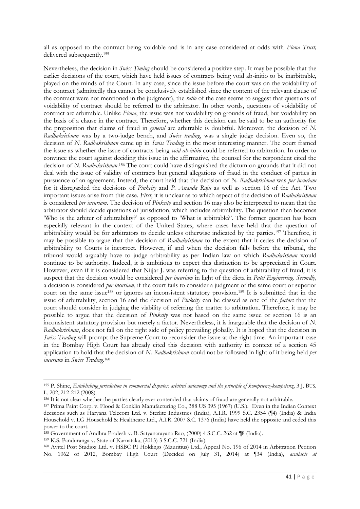all as opposed to the contract being voidable and is in any case considered at odds with *Fiona Trust,*  delivered subsequently.<sup>155</sup>

Nevertheless, the decision in *Swiss Timing* should be considered a positive step. It may be possible that the earlier decisions of the court, which have held issues of contracts being void ab-initio to be inarbitrable, played on the minds of the Court. In any case, since the issue before the court was on the voidability of the contract (admittedly this cannot be conclusively established since the content of the relevant clause of the contract were not mentioned in the judgment), the *ratio* of the case seems to suggest that questions of voidability of contract should be referred to the arbitrator. In other words, questions of voidability of contract are arbitrable. Unlike *Fiona*, the issue was not voidability on grounds of fraud, but voidability on the basis of a clause in the contract. Therefore, whether this decision can be said to be an authority for the proposition that claims of fraud in *general* are arbitrable is doubtful. Moreover, the decision of *N. Radhakrishnan* was by a two-judge bench, and *Swiss trading*, was a single judge decision. Even so, the decision of *N. Radhakrishnan* came up in *Swiss Trading* in the most interesting manner. The court framed the issue as whether the issue of contracts being *void ab-initio* could be referred to arbitration. In order to convince the court against deciding this issue in the affirmative, the counsel for the respondent cited the decision of *N. Radhakrishnan*. <sup>156</sup> The court could have distinguished the dictum on grounds that it did not deal with the issue of validity of contracts but general allegations of fraud in the conduct of parties in pursuance of an agreement. Instead, the court held that the decision of *N. Radhakrishnan* was *per incuriam* for it disregarded the decisions of *Pinkcity* and *P. Ananda Raju* as well as section 16 of the Act. Two important issues arise from this case. *First*, it is unclear as to which aspect of the decision of *Radhakrishnan* is considered *per incuriam*. The decision of *Pinkcity* and section 16 may also be interpreted to mean that the arbitrator should decide questions of jurisdiction, which includes arbitrability. The question then becomes 'Who is the arbiter of arbitrability?' as opposed to 'What is arbitrable?'. The former question has been especially relevant in the context of the United States, where cases have held that the question of arbitrability would be for arbitrators to decide unless otherwise indicated by the parties.<sup>157</sup> Therefore, it may be possible to argue that the decision of *Radhakrishnan* to the extent that it cedes the decision of arbitrability to Courts is incorrect. However, if and when the decision falls before the tribunal, the tribunal would arguably have to judge arbitrability as per Indian law on which *Radhakrishnan* would continue to be authority. Indeed, it is ambitious to expect this distinction to be appreciated in Court. However, even if it is considered that Nijjar J. was referring to the question of arbitrability of fraud, it is suspect that the decision would be considered *per incuriam* in light of the dicta in *Patel Engineering*. *Secondly,*  a decision is considered *per incuriam*, if the court fails to consider a judgment of the same court or superior court on the same issue<sup>158</sup> or ignores an inconsistent statutory provision.<sup>159</sup> It is submitted that in the issue of arbitrability, section 16 and the decision of *Pinkcity* can be classed as one of the *factors* that the court should consider in judging the viability of referring the matter to arbitration. Therefore, it may be possible to argue that the decision of *Pinkcity* was not based on the same issue or section 16 is an inconsistent statutory provision but merely a factor. Nevertheless, it is inarguable that the decision of *N. Radhakrishnan*, does not fall on the right side of policy prevailing globally. It is hoped that the decision in *Swiss Trading* will prompt the Supreme Court to reconsider the issue at the right time. An important case in the Bombay High Court has already cited this decision with authority in context of a section 45 application to hold that the decision of *N. Radhakrishnan* could not be followed in light of it being held *per incuriam* in *Swiss Trading*. 160

1

<sup>155</sup> P. Shine, *Establishing jurisdiction in commercial disputes: arbitral autonomy and the principle of kompetenz-kompetenz*, 3 J. BUS. L. 202, 212-212 (2008).

<sup>&</sup>lt;sup>156</sup> It is not clear whether the parties clearly ever contended that claims of fraud are generally not arbitrable.

<sup>157</sup> Prima Paint Corp. v. Flood & Conklin Manufacturing Co., 388 US 395 (1967) (U.S.). Even in the Indian Context decisions such as Haryana Telecom Ltd. v. Sterlite Industries (India), A.I.R. 1999 S.C. 2354 (¶4) (India) & India Household v. LG Household & Healthcare Ltd., A.I.R. 2007 S.C. 1376 (India) have held the opposite and ceded this power to the court.

<sup>158</sup> Government of Andhra Pradesh v. B. Satyanarayana Rao, (2000) 4 S.C.C. 262 at ¶8 (India).

<sup>159</sup> K.S. Panduranga v. State of Karnataka, (2013) 3 S.C.C. 721 (India).

<sup>160</sup> Avitel Post Studioz Ltd. v. HSBC PI Holdings (Mauritius) Ltd., Appeal No. 196 of 2014 in Arbitration Petition No. 1062 of 2012, Bombay High Court (Decided on July 31, 2014) at ¶34 (India), *available at*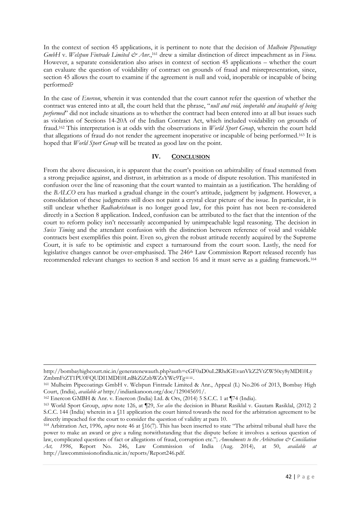In the context of section 45 applications, it is pertinent to note that the decision of *Mulheim Pipecoatings GmbH* v. *Welspun Fintrade Limited & Anr.*,<sup>161</sup> drew a similar distinction of direct impeachment as in *Fiona*. However, a separate consideration also arises in context of section 45 applications – whether the court can evaluate the question of voidability of contract on grounds of fraud and misrepresentation, since, section 45 allows the court to examine if the agreement is null and void, inoperable or incapable of being performed?

In the case of *Enercon*, wherein it was contended that the court cannot refer the question of whether the contract was entered into at all, the court held that the phrase, "*null and void, inoperable and incapable of being performed*" did not include situations as to whether the contract had been entered into at all but issues such as violation of Sections 14-20A of the Indian Contract Act, which included voidability on grounds of fraud.<sup>162</sup> This interpretation is at odds with the observations in *World Sport Group*, wherein the court held that allegations of fraud do not render the agreement inoperative or incapable of being performed.<sup>163</sup> It is hoped that *World Sport Group* will be treated as good law on the point.

## **IV. CONCLUSION**

From the above discussion, it is apparent that the court's position on arbitrability of fraud stemmed from a strong prejudice against, and distrust, in arbitration as a mode of dispute resolution. This manifested in confusion over the line of reasoning that the court wanted to maintain as a justification. The heralding of the *BALCO* era has marked a gradual change in the court's attitude, judgment by judgment. However, a consolidation of these judgments still does not paint a crystal clear picture of the issue. In particular, it is still unclear whether *Radhakrishnan* is no longer good law, for this point has not been re-considered directly in a Section 8 application. Indeed, confusion can be attributed to the fact that the intention of the court to reform policy isn't necessarily accompanied by unimpeachable legal reasoning. The decision in *Swiss Timing* and the attendant confusion with the distinction between reference of void and voidable contracts best exemplifies this point. Even so, given the robust attitude recently acquired by the Supreme Court, it is safe to be optimistic and expect a turnaround from the court soon. Lastly, the need for legislative changes cannot be over-emphasised. The 246<sup>th</sup> Law Commission Report released recently has recommended relevant changes to section 8 and section 16 and it must serve as a guiding framework.<sup>164</sup>

http://bombayhighcourt.nic.in/generatenewauth.php?auth=cGF0aD0uL2RhdGEvanVkZ2VtZW50cy8yMDE0Ly ZmbmFtZT1PU0FQUDI1MDE0LnBkZiZzbWZsYWc9Tg==.

<sup>161</sup> Mulheim Pipecoatings GmbH v. Welspun Fintrade Limited & Anr., Appeal (L) No.206 of 2013, Bombay High Court, (India), *available at* http://indiankanoon.org/doc/129045691/.

<sup>162</sup> Enercon GMBH & Anr. v. Enercon (India) Ltd. & Ors, (2014) 5 S.C.C. 1 at ¶74 (India).

<sup>163</sup> World Sport Group, *supra* note 126, at ¶29, *See also* the decision in Bharat Rasiklal v. Gautam Rasiklal, (2012) 2 S.C.C. 144 (India) wherein in a §11 application the court hinted towards the need for the arbitration agreement to be directly impeached for the court to consider the question of validity at para 10.

<sup>164</sup> Arbitration Act, 1996, *supra* note 46 at §16(7). This has been inserted to state "The arbitral tribunal shall have the power to make an award or give a ruling notwithstanding that the dispute before it involves a serious question of law, complicated questions of fact or allegations of fraud, corruption etc."; *Amendments to the Arbitration & Conciliation Act, 1996*, Report No. 246, Law Commission of India (Aug. 2014), at 50, *available at*  http://lawcommissionofindia.nic.in/reports/Report246.pdf.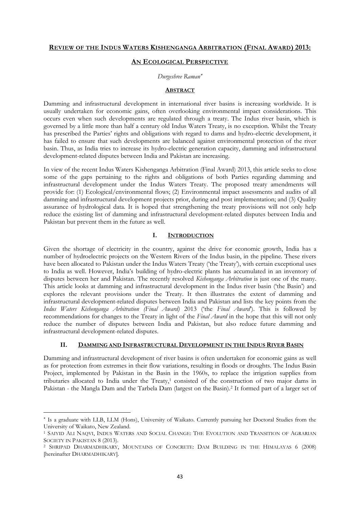#### **REVIEW OF THE INDUS WATERS KISHENGANGA ARBITRATION (FINAL AWARD) 2013:**

## **AN ECOLOGICAL PERSPECTIVE**

## *Durgeshree Raman*

#### **ABSTRACT**

Damming and infrastructural development in international river basins is increasing worldwide. It is usually undertaken for economic gains, often overlooking environmental impact considerations. This occurs even when such developments are regulated through a treaty. The Indus river basin, which is governed by a little more than half a century old Indus Waters Treaty, is no exception. Whilst the Treaty has prescribed the Parties' rights and obligations with regard to dams and hydro-electric development, it has failed to ensure that such developments are balanced against environmental protection of the river basin. Thus, as India tries to increase its hydro-electric generation capacity, damming and infrastructural development-related disputes between India and Pakistan are increasing.

In view of the recent Indus Waters Kishenganga Arbitration (Final Award) 2013, this article seeks to close some of the gaps pertaining to the rights and obligations of both Parties regarding damming and infrastructural development under the Indus Waters Treaty. The proposed treaty amendments will provide for: (1) Ecological/environmental flows; (2) Environmental impact assessments and audits of all damming and infrastructural development projects prior, during and post implementation; and (3) Quality assurance of hydrological data. It is hoped that strengthening the treaty provisions will not only help reduce the existing list of damming and infrastructural development-related disputes between India and Pakistan but prevent them in the future as well.

#### **I. INTRODUCTION**

Given the shortage of electricity in the country, against the drive for economic growth, India has a number of hydroelectric projects on the Western Rivers of the Indus basin, in the pipeline. These rivers have been allocated to Pakistan under the Indus Waters Treaty ('the Treaty'), with certain exceptional uses to India as well. However, India's building of hydro-electric plants has accumulated in an inventory of disputes between her and Pakistan. The recently resolved *Kishenganga Arbitration* is just one of the many. This article looks at damming and infrastructural development in the Indus river basin ('the Basin') and explores the relevant provisions under the Treaty. It then illustrates the extent of damming and infrastructural development-related disputes between India and Pakistan and lists the key points from the *Indus Waters Kishenganga Arbitration (Final Award)* 2013 ('the *Final Award*'). This is followed by recommendations for changes to the Treaty in light of the *Final Award* in the hope that this will not only reduce the number of disputes between India and Pakistan, but also reduce future damming and infrastructural development-related disputes.

#### **II. DAMMING AND INFRASTRUCTURAL DEVELOPMENT IN THE INDUS RIVER BASIN**

Damming and infrastructural development of river basins is often undertaken for economic gains as well as for protection from extremes in their flow variations, resulting in floods or droughts. The Indus Basin Project, implemented by Pakistan in the Basin in the 1960s, to replace the irrigation supplies from tributaries allocated to India under the Treaty,<sup>1</sup> consisted of the construction of two major dams in Pakistan - the Mangla Dam and the Tarbela Dam (largest on the Basin).<sup>2</sup> It formed part of a larger set of

**.** 

Is a graduate with LLB, LLM (Hons), University of Waikato. Currently pursuing her Doctoral Studies from the University of Waikato, New Zealand.

<sup>1</sup> SAIYID ALI NAQVI, INDUS WATERS AND SOCIAL CHANGE: THE EVOLUTION AND TRANSITION OF AGRARIAN SOCIETY IN PAKISTAN 8 (2013).

<sup>2</sup> SHRIPAD DHARMADHIKARY, MOUNTAINS OF CONCRETE: DAM BUILDING IN THE HIMALAYAS 6 (2008) [hereinafter DHARMADHIKARY].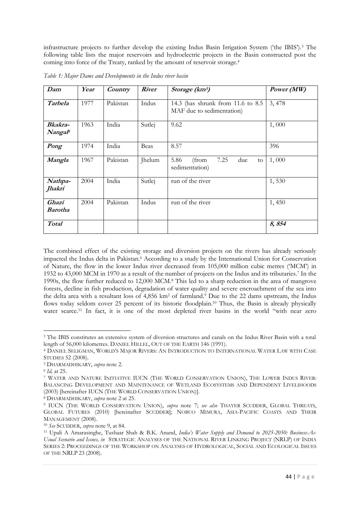infrastructure projects to further develop the existing Indus Basin Irrigation System ('the IBIS').<sup>3</sup> The following table lists the major reservoirs and hydroelectric projects in the Basin constructed post the coming into force of the Treaty, ranked by the amount of reservoir storage.<sup>4</sup>

| Dam                                   | Year | Country  | <b>River</b> | Storage (km <sup>3</sup> )                                     | Power (MW) |
|---------------------------------------|------|----------|--------------|----------------------------------------------------------------|------------|
| Tarbela                               | 1977 | Pakistan | Indus        | 14.3 (has shrunk from 11.6 to 8.5<br>MAF due to sedimentation) | 3,478      |
| <b>Bkakra-</b><br>Nangal <sup>5</sup> | 1963 | India    | Sutlej       | 9.62                                                           | 1,000      |
| Pong                                  | 1974 | India    | Beas         | 8.57                                                           | 396        |
| Mangla                                | 1967 | Pakistan | Jhelum       | 7.25<br>5.86<br>(from<br>due<br>to<br>sedimentation)           | 1,000      |
| Nathpa-<br>Jhakri                     | 2004 | India    | Sutlej       | run of the river                                               | 1,530      |
| Ghazi<br><b>Barotha</b>               | 2004 | Pakistan | Indus        | run of the river                                               | 1,450      |
| <b>Total</b>                          |      |          |              |                                                                | 8,854      |

*Table 1: Major Dams and Developments in the Indus river basin*

The combined effect of the existing storage and diversion projects on the rivers has already seriously impacted the Indus delta in Pakistan.<sup>6</sup> According to a study by the International Union for Conservation of Nature, the flow in the lower Indus river decreased from 105,000 million cubic metres ('MCM') in 1932 to 43,000 MCM in 1970 as a result of the number of projects on the Indus and its tributaries.<sup>7</sup> In the 1990s, the flow further reduced to 12,000 MCM.<sup>8</sup> This led to a sharp reduction in the area of mangrove forests, decline in fish production, degradation of water quality and severe encroachment of the sea into the delta area with a resultant loss of 4,856 km<sup>2</sup> of farmland.<sup>9</sup> Due to the 22 dams upstream, the Indus flows today seldom cover 25 percent of its historic floodplain.<sup>10</sup> Thus, the Basin is already physically water scarce.<sup>11</sup> In fact, it is one of the most depleted river basins in the world "with near zero

<sup>-</sup><sup>3</sup> The IBIS constitutes an extensive system of diversion structures and canals on the Indus River Basin with a total length of 56,000 kilometres. DANIEL HILLEL, OUT OF THE EARTH 146 (1991).

<sup>4</sup> DANIEL SELIGMAN, WORLD'S MAJOR RIVERS: AN INTRODUCTION TO INTERNATIONAL WATER LAW WITH CASE STUDIES 52 (2008).

<sup>5</sup> DHARMADHIKARY, *supra* note 2.

<sup>6</sup> *Id,* at 25.

<sup>7</sup> WATER AND NATURE INITIATIVE IUCN (THE WORLD CONSERVATION UNION), THE LOWER INDUS RIVER: BALANCING DEVELOPMENT AND MAINTENANCE OF WETLAND ECOSYSTEMS AND DEPENDENT LIVELIHOODS (2003) [hereinafter IUCN (THE WORLD CONSERVATION UNION)].

<sup>8</sup> DHARMADHIKARY, *supra* note 2 at 25.

<sup>9</sup> IUCN (THE WORLD CONSERVATION UNION), *supra* note 7; *see also* THAYER SCUDDER, GLOBAL THREATS, GLOBAL FUTURES (2010) [hereinafter SCUDDER]; NOBUO MIMURA, ASIA-PACIFIC COASTS AND THEIR MANAGEMENT (2008).

<sup>10</sup> *See* SCUDDER, *supra* note 9, at 84.

<sup>11</sup> Upali A Amarasinghe, Tushaar Shah & B.K. Anand, *India's Water Supply and Demand to 2025-2050: Business-As-Usual Scenario and Issues, in* STRATEGIC ANALYSES OF THE NATIONAL RIVER LINKING PROJECT (NRLP) OF INDIA SERIES 2: PROCEEDINGS OF THE WORKSHOP ON ANALYSES OF HYDROLOGICAL, SOCIAL AND ECOLOGICAL ISSUES OF THE NRLP 23 (2008).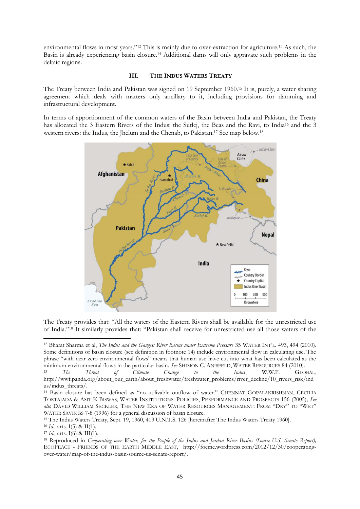environmental flows in most years."<sup>12</sup> This is mainly due to over-extraction for agriculture.<sup>13</sup> As such, the Basin is already experiencing basin closure.<sup>14</sup> Additional dams will only aggravate such problems in the deltaic regions.

#### **III. THE INDUS WATERS TREATY**

The Treaty between India and Pakistan was signed on 19 September 1960.<sup>15</sup> It is, purely, a water sharing agreement which deals with matters only ancillary to it, including provisions for damming and infrastructural development.

In terms of apportionment of the common waters of the Basin between India and Pakistan, the Treaty has allocated the 3 Eastern Rivers of the Indus: the Sutlej, the Beas and the Ravi, to India<sup>16</sup> and the 3 western rivers: the Indus, the Jhelum and the Chenab, to Pakistan.<sup>17</sup> See map below.<sup>18</sup>



The Treaty provides that: "All the waters of the Eastern Rivers shall be available for the unrestricted use of India."<sup>19</sup> It similarly provides that: "Pakistan shall receive for unrestricted use all those waters of the

<sup>-</sup><sup>12</sup> Bharat Sharma et al, *The Indus and the Ganges: River Basins under Extreme Pressure* 35 WATER INT'L. 493, 494 (2010). Some definitions of basin closure (see definition in footnote 14) include environmental flow in calculating use. The phrase "with near zero environmental flows" means that human use have cut into what has been calculated as the minimum environmental flows in the particular basin. *See* SHIMON C. ANISFELD, WATER RESOURCES 84 (2010).

<sup>13</sup> *The Threat of Climate Change to the Indus*, W.W.F. GLOBAL, http://wwf.panda.org/about\_our\_earth/about\_freshwater/freshwater\_problems/river\_decline/10\_rivers\_risk/ind us/indus\_threats/.

<sup>14</sup> Basin closure has been defined as "no utilizable outflow of water." CHENNAT GOPALAKRISHNAN, CECILIA TORTAJADA & ASIT K BISWAS, WATER INSTITUTIONS: POLICIES, PERFORMANCE AND PROSPECTS 156 (2005); *See also* DAVID WILLIAM SECKLER, THE NEW ERA OF WATER RESOURCES MANAGEMENT: FROM "DRY" TO "WET" WATER SAVINGS 7-8 (1996) for a general discussion of basin closure.

<sup>15</sup> The Indus Waters Treaty, Sept. 19, 1960, 419 U.N.T.S. 126 [hereinafter The Indus Waters Treaty 1960].

<sup>16</sup> *Id.,* arts. I(5) & II(1).

<sup>17</sup> *Id.,* arts. I(6) & III(1).

<sup>18</sup> Reproduced in *Cooperating over Water, for the People of the Indus and Jordan River Basins (Source-U.S. Senate Report),*  ECOPEACE - FRIENDS OF THE EARTH MIDDLE EAST, http://foeme.wordpress.com/2012/12/30/cooperatingover-water/map-of-the-indus-basin-source-us-senate-report/.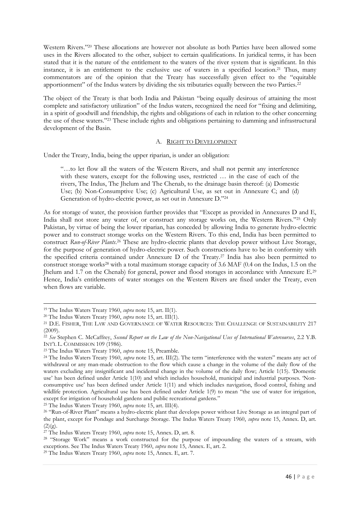Western Rivers."<sup>20</sup> These allocations are however not absolute as both Parties have been allowed some uses in the Rivers allocated to the other, subject to certain qualifications. In juridical terms, it has been stated that it is the nature of the entitlement to the waters of the river system that is significant. In this instance, it is an entitlement to the exclusive use of waters in a specified location.<sup>21</sup> Thus, many commentators are of the opinion that the Treaty has successfully given effect to the "equitable apportionment" of the Indus waters by dividing the six tributaries equally between the two Parties.<sup>22</sup>

The object of the Treaty is that both India and Pakistan "being equally desirous of attaining the most complete and satisfactory utilization" of the Indus waters, recognized the need for "fixing and delimiting, in a spirit of goodwill and friendship, the rights and obligations of each in relation to the other concerning the use of these waters."<sup>23</sup> These include rights and obligations pertaining to damming and infrastructural development of the Basin.

#### A. RIGHT TO DEVELOPMENT

Under the Treaty, India, being the upper riparian, is under an obligation:

"…to let flow all the waters of the Western Rivers, and shall not permit any interference with these waters, except for the following uses, restricted … in the case of each of the rivers, The Indus, The Jhelum and The Chenab, to the drainage basin thereof: (a) Domestic Use; (b) Non-Consumptive Use; (c) Agricultural Use, as set out in Annexure C; and (d) Generation of hydro-electric power, as set out in Annexure D."<sup>24</sup>

As for storage of water, the provision further provides that "Except as provided in Annexures D and E, India shall not store any water of, or construct any storage works on, the Western Rivers."<sup>25</sup> Only Pakistan, by virtue of being the lower riparian, has conceded by allowing India to generate hydro-electric power and to construct storage works on the Western Rivers. To this end, India has been permitted to construct *Run-of-River Plants*. <sup>26</sup> These are hydro-electric plants that develop power without Live Storage, for the purpose of generation of hydro-electric power. Such constructions have to be in conformity with the specified criteria contained under Annexure D of the Treaty.<sup>27</sup> India has also been permitted to construct storage works<sup>28</sup> with a total maximum storage capacity of 3.6 MAF (0.4 on the Indus, 1.5 on the Jhelum and 1.7 on the Chenab) for general, power and flood storages in accordance with Annexure E.<sup>29</sup> Hence, India's entitlements of water storages on the Western Rivers are fixed under the Treaty, even when flows are variable.

-

<sup>25</sup> The Indus Waters Treaty 1960, *supra* note 15, art. III(4).

<sup>19</sup> The Indus Waters Treaty 1960, *supra* note 15, art. II(1).

<sup>20</sup> The Indus Waters Treaty 1960, *supra* note 15, art. III(1).

<sup>&</sup>lt;sup>21</sup> D.E. FISHER, THE LAW AND GOVERNANCE OF WATER RESOURCES: THE CHALLENGE OF SUSTAINABILITY 217 (2009).

<sup>22</sup> *See* Stephen C. McCaffrey, *Second Report on the Law of the Non-Navigational Uses of International Watercourses*, 2.2 Y.B. INT'L L. COMMISSION 109 (1986).

<sup>23</sup> The Indus Waters Treaty 1960, *supra* note 15, Preamble.

<sup>24</sup> The Indus Waters Treaty 1960, *supra* note 15, art. III(2). The term "interference with the waters" means any act of withdrawal or any man-made obstruction to the flow which cause a change in the volume of the daily flow of the waters excluding any insignificant and incidental change in the volume of the daily flow; Article 1(15). 'Domestic use' has been defined under Article 1(10) and which includes household, municipal and industrial purposes. 'Nonconsumptive use' has been defined under Article 1(11) and which includes navigation, flood control, fishing and wildlife protection. Agricultural use has been defined under Article 1(9) to mean "the use of water for irrigation, except for irrigation of household gardens and public recreational gardens."

<sup>&</sup>lt;sup>26</sup> "Run-of-River Plant" means a hydro-electric plant that develops power without Live Storage as an integral part of the plant, except for Pondage and Surcharge Storage. The Indus Waters Treaty 1960, *supra* note 15, Annex. D, art.  $(2)(g)$ .

<sup>27</sup> The Indus Waters Treaty 1960, *supra* note 15, Annex. D, art. 8.

<sup>28</sup> "Storage Work" means a work constructed for the purpose of impounding the waters of a stream, with exceptions. See The Indus Waters Treaty 1960, *supra* note 15, Annex. E, art. 2.

<sup>29</sup> The Indus Waters Treaty 1960, *supra* note 15, Annex. E, art. 7.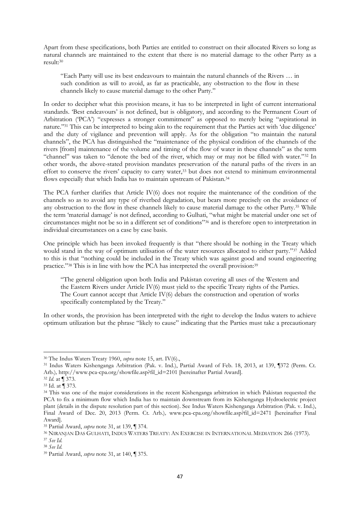Apart from these specifications, both Parties are entitled to construct on their allocated Rivers so long as natural channels are maintained to the extent that there is no material damage to the other Party as a result:<sup>30</sup>

"Each Party will use its best endeavours to maintain the natural channels of the Rivers … in such condition as will to avoid, as far as practicable, any obstruction to the flow in these channels likely to cause material damage to the other Party."

In order to decipher what this provision means, it has to be interpreted in light of current international standards. 'Best endeavours' is not defined, but is obligatory, and according to the Permanent Court of Arbitration (PCA') "expresses a stronger commitment" as opposed to merely being "aspirational in nature."<sup>31</sup> This can be interpreted to being akin to the requirement that the Parties act with 'due diligence' and the duty of vigilance and prevention will apply. As for the obligation "to maintain the natural channels", the PCA has distinguished the "maintenance of the physical condition of the channels of the rivers [from] maintenance of the volume and timing of the flow of water in these channels" as the term "channel" was taken to "denote the bed of the river, which may or may not be filled with water."<sup>32</sup> In other words, the above-stated provision mandates preservation of the natural paths of the rivers in an effort to conserve the rivers' capacity to carry water,<sup>33</sup> but does not extend to minimum environmental flows especially that which India has to maintain upstream of Pakistan.<sup>34</sup>

The PCA further clarifies that Article IV(6) does not require the maintenance of the condition of the channels so as to avoid any type of riverbed degradation, but bears more precisely on the avoidance of any obstruction to the flow in these channels likely to cause material damage to the other Party.<sup>35</sup> While the term 'material damage' is not defined, according to Gulhati, "what might be material under one set of circumstances might not be so in a different set of conditions"<sup>36</sup> and is therefore open to interpretation in individual circumstances on a case by case basis.

One principle which has been invoked frequently is that "there should be nothing in the Treaty which would stand in the way of optimum utilisation of the water resources allocated to either party."<sup>37</sup> Added to this is that "nothing could be included in the Treaty which was against good and sound engineering practice."<sup>38</sup> This is in line with how the PCA has interpreted the overall provision:<sup>39</sup>

"The general obligation upon both India and Pakistan covering all uses of the Western and the Eastern Rivers under Article IV(6) must yield to the specific Treaty rights of the Parties. The Court cannot accept that Article IV(6) debars the construction and operation of works specifically contemplated by the Treaty."

In other words, the provision has been interpreted with the right to develop the Indus waters to achieve optimum utilization but the phrase "likely to cause" indicating that the Parties must take a precautionary

<sup>1</sup> <sup>30</sup> The Indus Waters Treaty 1960, *supra* note 15, art. IV(6).,

<sup>31</sup> Indus Waters Kishenganga Arbitration (Pak. v. Ind.), Partial Award of Feb. 18, 2013, at 139, ¶372 (Perm. Ct. Arb.)*,* http://www.pca-cpa.org/showfile.asp?fil\_id=2101 [hereinafter Partial Award].

<sup>32</sup> *Id.* at ¶ 373.

<sup>33</sup> Id. at ¶ 373.

<sup>34</sup> This was one of the major considerations in the recent Kishenganga arbitration in which Pakistan requested the PCA to fix a minimum flow which India has to maintain downstream from its Kishenganga Hydroelectric project plant (details in the dispute resolution part of this section). See Indus Waters Kishenganga Arbitration (Pak. v. Ind.), Final Award of Dec. 20, 2013 (Perm. Ct. Arb.)*,* www.pca-cpa.org/showfile.asp?fil\_id=2471 [hereinafter Final Award].

<sup>35</sup> Partial Award, *supra* note 31, at 139, ¶ 374.

<sup>36</sup> NIRANJAN DAS GULHATI, INDUS WATERS TREATY: AN EXERCISE IN INTERNATIONAL MEDIATION 266 (1973).

<sup>37</sup> *See Id.*

<sup>38</sup> *See Id.*

<sup>39</sup> Partial Award, *supra* note 31, at 140, ¶ 375.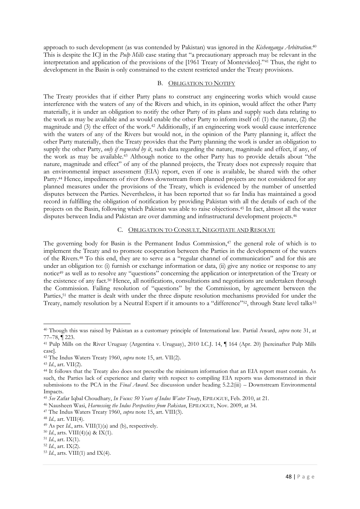approach to such development (as was contended by Pakistan) was ignored in the *Kishenganga Arbitration*. 40 This is despite the ICJ in the *Pulp Mills* case stating that "a precautionary approach may be relevant in the interpretation and application of the provisions of the [1961 Treaty of Montevideo]."<sup>41</sup> Thus, the right to development in the Basin is only constrained to the extent restricted under the Treaty provisions.

#### B. OBLIGATION TO NOTIFY

The Treaty provides that if either Party plans to construct any engineering works which would cause interference with the waters of any of the Rivers and which, in its opinion, would affect the other Party materially, it is under an obligation to notify the other Party of its plans and supply such data relating to the work as may be available and as would enable the other Party to inform itself of: (1) the nature, (2) the magnitude and (3) the effect of the work.<sup>42</sup> Additionally, if an engineering work would cause interference with the waters of any of the Rivers but would not, in the opinion of the Party planning it, affect the other Party materially, then the Treaty provides that the Party planning the work is under an obligation to supply the other Party, *only if requested by it*, such data regarding the nature, magnitude and effect, if any, of the work as may be available.<sup>43</sup> Although notice to the other Party has to provide details about "the nature, magnitude and effect" of any of the planned projects, the Treaty does not expressly require that an environmental impact assessment (EIA) report, even if one is available, be shared with the other Party.<sup>44</sup> Hence, impediments of river flows downstream from planned projects are not considered for any planned measures under the provisions of the Treaty, which is evidenced by the number of unsettled disputes between the Parties. Nevertheless, it has been reported that so far India has maintained a good record in fulfilling the obligation of notification by providing Pakistan with all the details of each of the projects on the Basin, following which Pakistan was able to raise objections.<sup>45</sup> In fact, almost all the water disputes between India and Pakistan are over damming and infrastructural development projects.<sup>46</sup>

#### C. OBLIGATION TO CONSULT, NEGOTIATE AND RESOLVE

The governing body for Basin is the Permanent Indus Commission, $47$  the general role of which is to implement the Treaty and to promote cooperation between the Parties in the development of the waters of the Rivers.<sup>48</sup> To this end, they are to serve as a "regular channel of communication" and for this are under an obligation to: (i) furnish or exchange information or data, (ii) give any notice or response to any notice<sup>49</sup> as well as to resolve any "questions" concerning the application or interpretation of the Treaty or the existence of any fact.<sup>50</sup> Hence, all notifications, consultations and negotiations are undertaken through the Commission. Failing resolution of "questions" by the Commission, by agreement between the Parties,<sup>51</sup> the matter is dealt with under the three dispute resolution mechanisms provided for under the Treaty, namely resolution by a Neutral Expert if it amounts to a "difference"<sup>52</sup>, through State level talks<sup>53</sup>

<sup>40</sup> Though this was raised by Pakistan as a customary principle of International law. Partial Award, *supra* note 31, at 77–78, ¶ 223.

<sup>41</sup> Pulp Mills on the River Uruguay (Argentina v. Uruguay), 2010 I.C.J. 14, ¶ 164 (Apr. 20) [hereinafter Pulp Mills case].

<sup>42</sup> The Indus Waters Treaty 1960, *supra* note 15, art. VII(2).

<sup>43</sup> *Id.*, art. VII(2).

<sup>44</sup> It follows that the Treaty also does not prescribe the minimum information that an EIA report must contain. As such, the Parties lack of experience and clarity with respect to compiling EIA reports was demonstrated in their submissions to the PCA in the *Final Award*. See discussion under heading 5.2.2(iii) – Downstream Environmental Impacts.

<sup>45</sup> *See* Zafar Iqbal Choudhary, *In Focus: 50 Years of Indus Water Treaty*, EPILOGUE, Feb. 2010, at 21.

<sup>46</sup> Nausheen Wasi, *Harnessing the Indus Perspectives from Pakistan*, EPILOGUE, Nov. 2009, at 34.

<sup>47</sup> The Indus Waters Treaty 1960, *supra* note 15, art. VIII(3).

<sup>48</sup> *Id.,* art. VIII(4).

<sup>49</sup> As per *Id.*, arts. VIII(1)(a) and (b), respectively.

<sup>50</sup> *Id.*, arts. VIII(4)(a) & IX(1).

<sup>51</sup> *Id.*, art. IX(1).

<sup>52</sup> *Id.*, art. IX(2).

<sup>53</sup> *Id.*, arts. VIII(1) and IX(4).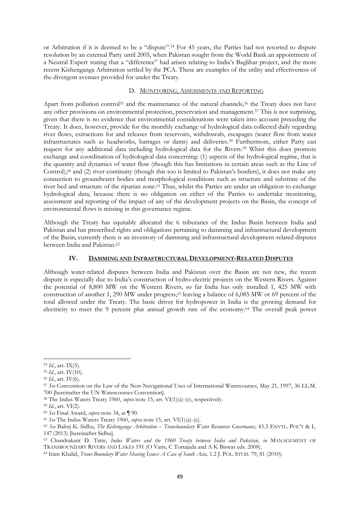or Arbitration if it is deemed to be a "dispute".<sup>54</sup> For 45 years, the Parties had not resorted to dispute resolution by an external Party until 2005, when Pakistan sought from the World Bank an appointment of a Neutral Expert stating that a "difference" had arisen relating to India's Baglihar project, and the more recent Kishenganga Arbitration settled by the PCA. These are examples of the utility and effectiveness of the divergent avenues provided for under the Treaty.

## D. MONITORING, ASSESSMENTS AND REPORTING

Apart from pollution control<sup>55</sup> and the maintenance of the natural channels,<sup>56</sup> the Treaty does not have any other provisions on environmental protection, preservation and management.<sup>57</sup> This is not surprising, given that there is no evidence that environmental considerations were taken into account preceding the Treaty. It does, however, provide for the monthly exchange of hydrological data collected daily regarding river flows, extractions for and releases from reservoirs, withdrawals, escapages (water flow from water infrastructures such as headworks, barrages or dams) and deliveries.<sup>58</sup> Furthermore, either Party can request for any additional data including hydrological data for the Rivers.<sup>59</sup> Whist this does promote exchange and coordination of hydrological data concerning: (1) aspects of the hydrological regime, that is the quantity and dynamics of water flow (though this has limitations in certain areas such as the Line of Control), $60$  and (2) river continuity (though this too is limited to Pakistan's borders), it does not make any connection to groundwater bodies and morphological conditions such as structure and substrate of the river bed and structure of the riparian zone.<sup>61</sup> Thus, whilst the Parties are under an obligation to exchange hydrological data, because there is no obligation on either of the Parties to undertake monitoring, assessment and reporting of the impact of any of the development projects on the Basin, the concept of environmental flows is missing in this governance regime.

Although the Treaty has equitably allocated the 6 tributaries of the Indus Basin between India and Pakistan and has prescribed rights and obligations pertaining to damming and infrastructural development of the Basin, currently there is an inventory of damming and infrastructural development-related disputes between India and Pakistan.<sup>62</sup>

## **IV. DAMMING AND INFRASTRUCTURAL DEVELOPMENT-RELATED DISPUTES**

Although water-related disputes between India and Pakistan over the Basin are not new, the recent dispute is especially due to India's construction of hydro-electric projects on the Western Rivers. Against the potential of 8,800 MW on the Western Rivers, so far India has only installed 1, 425 MW with construction of another 1, 290 MW under progress,<sup>63</sup> leaving a balance of 6,085 MW or 69 percent of the total allowed under the Treaty. The basic driver for hydropower in India is the growing demand for electricity to meet the 9 percent plus annual growth rate of the economy.<sup>64</sup> The overall peak power

<sup>54</sup> *Id.*, art. IX(5).

<sup>55</sup> *Id.*, art. IV(10).

<sup>56</sup> *Id.*, art. IV(6).

<sup>57</sup> *See* Convention on the Law of the Non-Navigational Uses of International Watercourses, May 21, 1997, 36 I.L.M. 700 [hereinafter the UN Watercourses Convention].

<sup>58</sup> The Indus Waters Treaty 1960, *supra* note 15, art. VI(1)(a)-(e), respectively.

<sup>59</sup> *Id.*, art. VI(2).

<sup>60</sup> *See* Final Award, *supra* note 34, at ¶ 90.

<sup>61</sup> *See* The Indus Waters Treaty 1960, *supra* note 15, art. VI(1)(a)-(e).

<sup>62</sup> *See* Balraj K. Sidhu, *The Kishenganga Arbitration – Transboundary Water Resources Governance*, 43.3 ENVTL. POL'Y & L. 147 (2013) [hereinafter Sidhu].

<sup>63</sup> Chandrakant D. Tatte, *Indus Waters and the 1960 Treaty between India and Pakistan*, *in* MANAGEMENT OF TRANSBOUNDARY RIVERS AND LAKES 191 (O Varis, C Tortajada and A K Biswas eds. 2008).

<sup>64</sup> Iram Khalid, *Trans-Boundary Water Sharing Issues: A Case of South Asia,* 1.2 J. POL. STUD. 79, 81 (2010).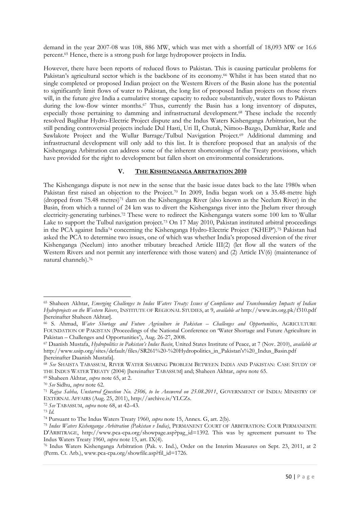demand in the year 2007-08 was 108, 886 MW, which was met with a shortfall of 18,093 MW or 16.6 percent.<sup>65</sup> Hence, there is a strong push for large hydropower projects in India.

However, there have been reports of reduced flows to Pakistan. This is causing particular problems for Pakistan's agricultural sector which is the backbone of its economy.<sup>66</sup> Whilst it has been stated that no single completed or proposed Indian project on the Western Rivers of the Basin alone has the potential to significantly limit flows of water to Pakistan, the long list of proposed Indian projects on those rivers will, in the future give India a cumulative storage capacity to reduce substantively, water flows to Pakistan during the low-flow winter months.<sup>67</sup> Thus, currently the Basin has a long inventory of disputes, especially those pertaining to damming and infrastructural development.<sup>68</sup> These include the recently resolved Baglihar Hydro-Electric Project dispute and the Indus Waters Kishenganga Arbitration, but the still pending controversial projects include Dul Hasti, Uri II, Chutak, Nimoo-Bazgo, Dumkhar, Ratle and Sawlakote Project and the Wullar Barrage/Tulbul Navigation Project.<sup>69</sup> Additional damming and infrastructural development will only add to this list. It is therefore proposed that an analysis of the Kishenganga Arbitration can address some of the inherent shortcomings of the Treaty provisions, which have provided for the right to development but fallen short on environmental considerations.

## **V. THE KISHENGANGA ARBITRATION 2010**

The Kishenganga dispute is not new in the sense that the basic issue dates back to the late 1980s when Pakistan first raised an objection to the Project.<sup>70</sup> In 2009, India began work on a 35.48-metre high (dropped from  $75.48$  metres)<sup>71</sup> dam on the Kishenganga River (also known as the Neelum River) in the Basin, from which a tunnel of 24 km was to divert the Kishenganga river into the Jhelum river through electricity-generating turbines.<sup>72</sup> These were to redirect the Kishenganga waters some 100 km to Wullar Lake to support the Tulbul navigation project.<sup>73</sup> On 17 May 2010, Pakistan instituted arbitral proceedings in the PCA against India<sup>74</sup> concerning the Kishenganga Hydro-Electric Project ('KHEP').<sup>75</sup> Pakistan had asked the PCA to determine two issues, one of which was whether India's proposed diversion of the river Kishenganga (Neelum) into another tributary breached Article III(2) (let flow all the waters of the Western Rivers and not permit any interference with those waters) and (2) Article IV(6) (maintenance of natural channels).<sup>76</sup>

<sup>-</sup><sup>65</sup> Shaheen Akhtar, *Emerging Challenges to Indus Waters Treaty: Issues of Compliance and Transboundary Impacts of Indian Hydroprojects on the Western Rivers*, INSTITUTE OF REGIONAL STUDIES, at 9, *available at* http://www.irs.org.pk/f310.pdf [hereinafter Shaheen Akhtar].

<sup>66</sup> S. Ahmad, *Water Shortage and Future Agriculture in Pakistan – Challenges and Opportunities*, AGRICULTURE FOUNDATION OF PAKISTAN (Proceedings of the National Conference on 'Water Shortage and Future Agriculture in Pakistan – Challenges and Opportunities'), Aug. 26-27, 2008.

<sup>67</sup> Daanish Mustafa, *Hydropolitics in Pakistan's Indus Basin*, United States Institute of Peace, at 7 (Nov. 2010), *available at* http://www.usip.org/sites/default/files/SR261%20-%20Hydropolitics\_in\_Pakistan's%20\_Indus\_Basin.pdf [hereinafter Daanish Mustafa].

<sup>68</sup> *See* SHAISTA TABASSUM, RIVER WATER SHARING PROBLEM BETWEEN INDIA AND PAKISTAN: CASE STUDY OF THE INDUS WATER TREATY (2004) [hereinafter TABASSUM] and; Shaheen Akhtar, *supra* note 65.

<sup>69</sup> Shaheen Akhtar, *supra* note 65, at 2.

<sup>70</sup> *See* Sidhu, *supra* note 62.

<sup>71</sup> *Rajya Sabha, Unstarred Question No. 2506, to be Answered on 25.08.2011*, GOVERNMENT OF INDIA: MINISTRY OF EXTERNAL AFFAIRS (Aug. 25, 2011), http://archive.is/YLCZs.

<sup>72</sup> *See* TABASSUM, *supra* note 68, at 42–43.

<sup>73</sup> *Id.*

<sup>74</sup> Pursuant to The Indus Waters Treaty 1960, *supra* note 15, Annex. G, art. 2(b).

<sup>75</sup> *Indus Waters Kishenganga Arbitration (Pakistan v India)*, PERMANENT COURT OF ARBITRATION: COUR PERMANENTE D'ARBITRAGE, http://www.pca-cpa.org/showpage.asp?pag\_id=1392. This was by agreement pursuant to The Indus Waters Treaty 1960, *supra* note 15, art. IX(4).

<sup>76</sup> Indus Waters Kishenganga Arbitration (Pak. v. Ind.), Order on the Interim Measures on Sept. 23, 2011, at 2 (Perm. Ct. Arb.), www.pca-cpa.org/showfile.asp?fil\_id=1726.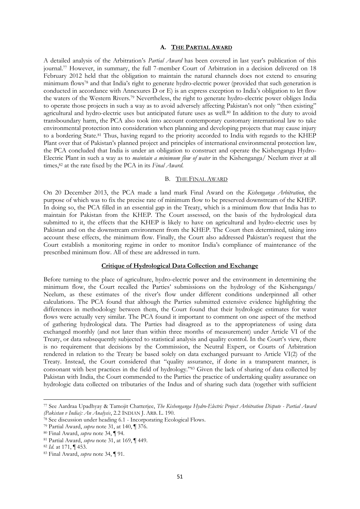#### **A. THE PARTIAL AWARD**

A detailed analysis of the Arbitration's *Partial Award* has been covered in last year's publication of this journal.<sup>77</sup> However, in summary, the full 7-member Court of Arbitration in a decision delivered on 18 February 2012 held that the obligation to maintain the natural channels does not extend to ensuring minimum flows<sup>78</sup> and that India's right to generate hydro-electric power (provided that such generation is conducted in accordance with Annexures D or E) is an express exception to India's obligation to let flow the waters of the Western Rivers.<sup>79</sup> Nevertheless, the right to generate hydro-electric power obliges India to operate those projects in such a way as to avoid adversely affecting Pakistan's not only "then existing" agricultural and hydro-electric uses but anticipated future uses as well.<sup>80</sup> In addition to the duty to avoid transboundary harm, the PCA also took into account contemporary customary international law to take environmental protection into consideration when planning and developing projects that may cause injury to a bordering State.<sup>81</sup> Thus, having regard to the priority accorded to India with regards to the KHEP Plant over that of Pakistan's planned project and principles of international environmental protection law, the PCA concluded that India is under an obligation to construct and operate the Kishenganga Hydro-Electric Plant in such a way as to *maintain a minimum flow of water* in the Kishenganga/ Neelum river at all times,<sup>82</sup> at the rate fixed by the PCA in its *Final Award*.

#### B. THE FINAL AWARD

On 20 December 2013, the PCA made a land mark Final Award on the *Kishenganga Arbitration*, the purpose of which was to fix the precise rate of minimum flow to be preserved downstream of the KHEP. In doing so, the PCA filled in an essential gap in the Treaty, which is a minimum flow that India has to maintain for Pakistan from the KHEP. The Court assessed, on the basis of the hydrological data submitted to it, the effects that the KHEP is likely to have on agricultural and hydro-electric uses by Pakistan and on the downstream environment from the KHEP. The Court then determined, taking into account these effects, the minimum flow. Finally, the Court also addressed Pakistan's request that the Court establish a monitoring regime in order to monitor India's compliance of maintenance of the prescribed minimum flow. All of these are addressed in turn.

#### **Critique of Hydrological Data Collection and Exchange**

Before turning to the place of agriculture, hydro-electric power and the environment in determining the minimum flow, the Court recalled the Parties' submissions on the hydrology of the Kishenganga/ Neelum, as these estimates of the river's flow under different conditions underpinned all other calculations. The PCA found that although the Parties submitted extensive evidence highlighting the differences in methodology between them, the Court found that their hydrologic estimates for water flows were actually very similar. The PCA found it important to comment on one aspect of the method of gathering hydrological data. The Parties had disagreed as to the appropriateness of using data exchanged monthly (and not later than within three months of measurement) under Article VI of the Treaty, or data subsequently subjected to statistical analysis and quality control. In the Court's view, there is no requirement that decisions by the Commission, the Neutral Expert, or Courts of Arbitration rendered in relation to the Treaty be based solely on data exchanged pursuant to Article VI(2) of the Treaty. Instead, the Court considered that "quality assurance, if done in a transparent manner, is consonant with best practices in the field of hydrology."<sup>83</sup> Given the lack of sharing of data collected by Pakistan with India, the Court commended to the Parties the practice of undertaking quality assurance on hydrologic data collected on tributaries of the Indus and of sharing such data (together with sufficient

**.** 

<sup>77</sup> See Aardraa Upadhyay & Tamojit Chatterjee, *The Kishenganga Hydro-Electric Project Arbitration Dispute - Partial Award (Pakistan v India): An Analysis*, 2.2 INDIAN J. ARB. L. 190.

<sup>78</sup> See discussion under heading 6.1 - Incorporating Ecological Flows.

<sup>79</sup> Partial Award, *supra* note 31, at 140, ¶ 376.

<sup>80</sup> Final Award, *supra* note 34, ¶ 94.

<sup>81</sup> Partial Award, *supra* note 31, at 169, ¶ 449.

<sup>82</sup> *Id.* at 171, ¶ 453.

<sup>83</sup> Final Award, *supra* note 34, ¶ 91.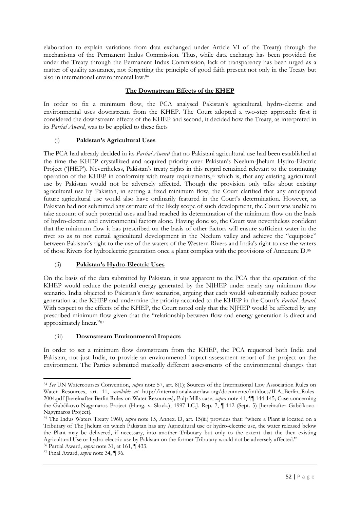elaboration to explain variations from data exchanged under Article VI of the Treaty) through the mechanisms of the Permanent Indus Commission. Thus, while data exchange has been provided for under the Treaty through the Permanent Indus Commission, lack of transparency has been urged as a matter of quality assurance, not forgetting the principle of good faith present not only in the Treaty but also in international environmental law.<sup>84</sup>

# **The Downstream Effects of the KHEP**

In order to fix a minimum flow, the PCA analysed Pakistan's agricultural, hydro-electric and environmental uses downstream from the KHEP. The Court adopted a two-step approach: first it considered the downstream effects of the KHEP and second, it decided how the Treaty, as interpreted in its *Partial Award*, was to be applied to these facts

# (i) **Pakistan's Agricultural Uses**

The PCA had already decided in its *Partial Award* that no Pakistani agricultural use had been established at the time the KHEP crystallized and acquired priority over Pakistan's Neelum-Jhelum Hydro-Electric Project ('JHEP'). Nevertheless, Pakistan's treaty rights in this regard remained relevant to the continuing operation of the KHEP in conformity with treaty requirements,<sup>85</sup> which is, that any existing agricultural use by Pakistan would not be adversely affected. Though the provision only talks about existing agricultural use by Pakistan, in setting a fixed minimum flow, the Court clarified that any anticipated future agricultural use would also have ordinarily featured in the Court's determination. However, as Pakistan had not submitted any estimate of the likely scope of such development, the Court was unable to take account of such potential uses and had reached its determination of the minimum flow on the basis of hydro-electric and environmental factors alone. Having done so, the Court was nevertheless confident that the minimum flow it has prescribed on the basis of other factors will ensure sufficient water in the river so as to not curtail agricultural development in the Neelum valley and achieve the "equipoise" between Pakistan's right to the use of the waters of the Western Rivers and India's right to use the waters of those Rivers for hydroelectric generation once a plant complies with the provisions of Annexure D.<sup>86</sup>

# (ii) **Pakistan's Hydro-Electric Uses**

On the basis of the data submitted by Pakistan, it was apparent to the PCA that the operation of the KHEP would reduce the potential energy generated by the NJHEP under nearly any minimum flow scenario. India objected to Pakistan's flow scenarios, arguing that each would substantially reduce power generation at the KHEP and undermine the priority accorded to the KHEP in the Court's *Partial Award*. With respect to the effects of the KHEP, the Court noted only that the NJHEP would be affected by any prescribed minimum flow given that the "relationship between flow and energy generation is direct and approximately linear."<sup>87</sup>

# (iii) **Downstream Environmental Impacts**

In order to set a minimum flow downstream from the KHEP, the PCA requested both India and Pakistan, not just India, to provide an environmental impact assessment report of the project on the environment. The Parties submitted markedly different assessments of the environmental changes that

<sup>-</sup><sup>84</sup> *See* UN Watercourses Convention, *supra* note 57, art. 8(1); Sources of the International Law Association Rules on Water Resources, art. 11, *available at* http://internationalwaterlaw.org/documents/intldocs/ILA\_Berlin\_Rules-2004.pdf [hereinafter Berlin Rules on Water Resources]*;* Pulp Mills case, *supra* note 41, ¶¶ 144-145; Case concerning the Gabčíkovo-Nagymaros Project (Hung. v. Slovk.), 1997 I.C.J. Rep. 7, ¶ 112 (Sept. 5) [hereinafter Gabčíkovo-Nagymaros Project].

<sup>85</sup> The Indus Waters Treaty 1960, *supra* note 15, Annex. D, art. 15(iii) provides that: "where a Plant is located on a Tributary of The Jhelum on which Pakistan has any Agricultural use or hydro-electric use, the water released below the Plant may be delivered, if necessary, into another Tributary but only to the extent that the then existing Agricultural Use or hydro-electric use by Pakistan on the former Tributary would not be adversely affected."

<sup>86</sup> Partial Award, *supra* note 31, at 161, ¶ 433.

<sup>87</sup> Final Award, *supra* note 34, ¶ 96.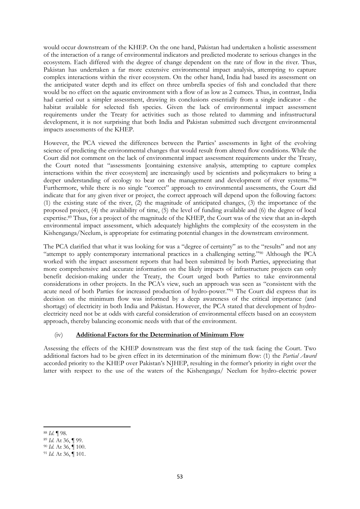would occur downstream of the KHEP. On the one hand, Pakistan had undertaken a holistic assessment of the interaction of a range of environmental indicators and predicted moderate to serious changes in the ecosystem. Each differed with the degree of change dependent on the rate of flow in the river. Thus, Pakistan has undertaken a far more extensive environmental impact analysis, attempting to capture complex interactions within the river ecosystem. On the other hand, India had based its assessment on the anticipated water depth and its effect on three umbrella species of fish and concluded that there would be no effect on the aquatic environment with a flow of as low as 2 cumecs. Thus, in contrast, India had carried out a simpler assessment, drawing its conclusions essentially from a single indicator - the habitat available for selected fish species. Given the lack of environmental impact assessment requirements under the Treaty for activities such as those related to damming and infrastructural development, it is not surprising that both India and Pakistan submitted such divergent environmental impacts assessments of the KHEP.

However, the PCA viewed the differences between the Parties' assessments in light of the evolving science of predicting the environmental changes that would result from altered flow conditions. While the Court did not comment on the lack of environmental impact assessment requirements under the Treaty, the Court noted that "assessments [containing extensive analysis, attempting to capture complex interactions within the river ecosystem] are increasingly used by scientists and policymakers to bring a deeper understanding of ecology to bear on the management and development of river systems."88 Furthermore, while there is no single "correct" approach to environmental assessments, the Court did indicate that for any given river or project, the correct approach will depend upon the following factors: (1) the existing state of the river, (2) the magnitude of anticipated changes, (3) the importance of the proposed project, (4) the availability of time, (5) the level of funding available and (6) the degree of local expertise.<sup>89</sup> Thus, for a project of the magnitude of the KHEP, the Court was of the view that an in-depth environmental impact assessment, which adequately highlights the complexity of the ecosystem in the Kishenganga/Neelum, is appropriate for estimating potential changes in the downstream environment.

The PCA clarified that what it was looking for was a "degree of certainty" as to the "results" and not any "attempt to apply contemporary international practices in a challenging setting."<sup>90</sup> Although the PCA worked with the impact assessment reports that had been submitted by both Parties, appreciating that more comprehensive and accurate information on the likely impacts of infrastructure projects can only benefit decision-making under the Treaty, the Court urged both Parties to take environmental considerations in other projects. In the PCA's view, such an approach was seen as "consistent with the acute need of both Parties for increased production of hydro-power."<sup>91</sup> The Court did express that its decision on the minimum flow was informed by a deep awareness of the critical importance (and shortage) of electricity in both India and Pakistan. However, the PCA stated that development of hydroelectricity need not be at odds with careful consideration of environmental effects based on an ecosystem approach, thereby balancing economic needs with that of the environment.

## (iv) **Additional Factors for the Determination of Minimum Flow**

Assessing the effects of the KHEP downstream was the first step of the task facing the Court. Two additional factors had to be given effect in its determination of the minimum flow: (1) the *Partial Award*  accorded priority to the KHEP over Pakistan's NJHEP, resulting in the former's priority in right over the latter with respect to the use of the waters of the Kishenganga/ Neelum for hydro-electric power

**<sup>.</sup>** <sup>88</sup> *Id.* ¶ 98.

<sup>89</sup> *Id.* At 36, ¶ 99.

<sup>90</sup> *Id.* At 36, ¶ 100.

<sup>91</sup> *Id.* At 36, ¶ 101.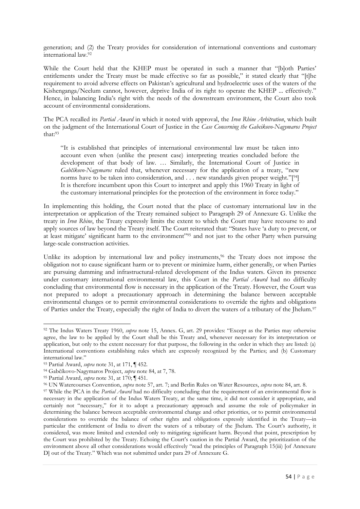generation; and (2) the Treaty provides for consideration of international conventions and customary international law.<sup>92</sup>

While the Court held that the KHEP must be operated in such a manner that "[b]oth Parties' entitlements under the Treaty must be made effective so far as possible," it stated clearly that "[t]he requirement to avoid adverse effects on Pakistan's agricultural and hydroelectric uses of the waters of the Kishenganga/Neelum cannot, however, deprive India of its right to operate the KHEP ... effectively." Hence, in balancing India's right with the needs of the downstream environment, the Court also took account of environmental considerations.

The PCA recalled its *Partial Award* in which it noted with approval, the *Iron Rhine Arbitration*, which built on the judgment of the International Court of Justice in the *Case Concerning the Gabcikovo-Nagymaros Project* that:<sup>93</sup>

"It is established that principles of international environmental law must be taken into account even when (unlike the present case) interpreting treaties concluded before the development of that body of law. … Similarly, the International Court of Justice in *Gabčíkovo-Nagymaros* ruled that, whenever necessary for the application of a treaty, "new norms have to be taken into consideration, and . . . new standards given proper weight."[94] It is therefore incumbent upon this Court to interpret and apply this 1960 Treaty in light of the customary international principles for the protection of the environment in force today."

In implementing this holding, the Court noted that the place of customary international law in the interpretation or application of the Treaty remained subject to Paragraph 29 of Annexure G. Unlike the treaty in *Iron Rhine*, the Treaty expressly limits the extent to which the Court may have recourse to and apply sources of law beyond the Treaty itself. The Court reiterated that: "States have 'a duty to prevent, or at least mitigate' significant harm to the environment"<sup>95</sup> and not just to the other Party when pursuing large-scale construction activities.

Unlike its adoption by international law and policy instruments,<sup>96</sup> the Treaty does not impose the obligation not to cause significant harm or to prevent or minimize harm, either generally, or when Parties are pursuing damming and infrastructural-related development of the Indus waters. Given its presence under customary international environmental law, this Court in the *Partial Award* had no difficulty concluding that environmental flow is necessary in the application of the Treaty. However, the Court was not prepared to adopt a precautionary approach in determining the balance between acceptable environmental changes or to permit environmental considerations to override the rights and obligations of Parties under the Treaty, especially the right of India to divert the waters of a tributary of the Jhelum.<sup>97</sup>

<sup>92</sup> The Indus Waters Treaty 1960, *supra* note 15, Annex. G, art. 29 provides: "Except as the Parties may otherwise agree, the law to be applied by the Court shall be this Treaty and, whenever necessary for its interpretation or application, but only to the extent necessary for that purpose, the following in the order in which they are listed: (a) International conventions establishing rules which are expressly recognized by the Parties; and (b) Customary international law."

<sup>93</sup> Partial Award, *supra* note 31, at 171, ¶ 452.

<sup>94</sup> Gabčíkovo-Nagymaros Project, *supra* note 84, at 7, 78.

<sup>95</sup> Partial Award, *supra* note 31, at 170; ¶ 451.

<sup>96</sup> UN Watercourses Convention, *supra* note 57, art. 7; and Berlin Rules on Water Resources, *supra* note 84, art. 8.

<sup>&</sup>lt;sup>97</sup> While the PCA in the *Partial Award* had no difficulty concluding that the requirement of an environmental flow is necessary in the application of the Indus Waters Treaty, at the same time, it did not consider it appropriate, and certainly not "necessary," for it to adopt a precautionary approach and assume the role of policymaker in determining the balance between acceptable environmental change and other priorities, or to permit environmental considerations to override the balance of other rights and obligations expressly identified in the Treaty—in particular the entitlement of India to divert the waters of a tributary of the Jhelum. The Court's authority, it considered, was more limited and extended only to mitigating significant harm. Beyond that point, prescription by the Court was prohibited by the Treaty. Echoing the Court's caution in the Partial Award, the prioritization of the environment above all other considerations would effectively "read the principles of Paragraph 15(iii) [of Annexure D] out of the Treaty." Which was not submitted under para 29 of Annexure G.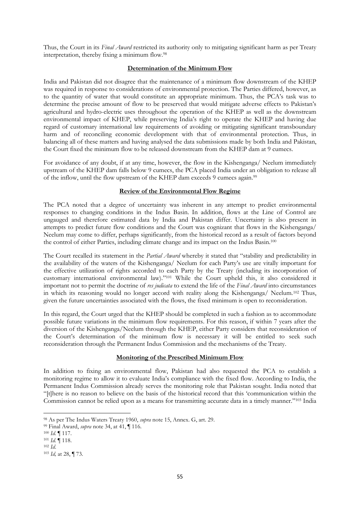Thus, the Court in its *Final Award* restricted its authority only to mitigating significant harm as per Treaty interpretation, thereby fixing a minimum flow.<sup>98</sup>

## **Determination of the Minimum Flow**

India and Pakistan did not disagree that the maintenance of a minimum flow downstream of the KHEP was required in response to considerations of environmental protection. The Parties differed, however, as to the quantity of water that would constitute an appropriate minimum. Thus, the PCA's task was to determine the precise amount of flow to be preserved that would mitigate adverse effects to Pakistan's agricultural and hydro-electric uses throughout the operation of the KHEP as well as the downstream environmental impact of KHEP, while preserving India's right to operate the KHEP and having due regard of customary international law requirements of avoiding or mitigating significant transboundary harm and of reconciling economic development with that of environmental protection. Thus, in balancing all of these matters and having analysed the data submissions made by both India and Pakistan, the Court fixed the minimum flow to be released downstream from the KHEP dam at 9 cumecs.

For avoidance of any doubt, if at any time, however, the flow in the Kishenganga/ Neelum immediately upstream of the KHEP dam falls below 9 cumecs, the PCA placed India under an obligation to release all of the inflow, until the flow upstream of the KHEP dam exceeds 9 cumecs again.<sup>99</sup>

#### **Review of the Environmental Flow Regime**

The PCA noted that a degree of uncertainty was inherent in any attempt to predict environmental responses to changing conditions in the Indus Basin. In addition, flows at the Line of Control are ungauged and therefore estimated data by India and Pakistan differ. Uncertainty is also present in attempts to predict future flow conditions and the Court was cognizant that flows in the Kishenganga/ Neelum may come to differ, perhaps significantly, from the historical record as a result of factors beyond the control of either Parties, including climate change and its impact on the Indus Basin.<sup>100</sup>

The Court recalled its statement in the *Partial Award* whereby it stated that "stability and predictability in the availability of the waters of the Kishenganga/ Neelum for each Party's use are vitally important for the effective utilization of rights accorded to each Party by the Treaty (including its incorporation of customary international environmental law)."<sup>101</sup> While the Court upheld this, it also considered it important not to permit the doctrine of *res judicata* to extend the life of the *Final Award* into circumstances in which its reasoning would no longer accord with reality along the Kishenganga/ Neelum.<sup>102</sup> Thus, given the future uncertainties associated with the flows, the fixed minimum is open to reconsideration.

In this regard, the Court urged that the KHEP should be completed in such a fashion as to accommodate possible future variations in the minimum flow requirements. For this reason, if within 7 years after the diversion of the Kishenganga/Neelum through the KHEP, either Party considers that reconsideration of the Court's determination of the minimum flow is necessary it will be entitled to seek such reconsideration through the Permanent Indus Commission and the mechanisms of the Treaty.

#### **Monitoring of the Prescribed Minimum Flow**

In addition to fixing an environmental flow, Pakistan had also requested the PCA to establish a monitoring regime to allow it to evaluate India's compliance with the fixed flow. According to India, the Permanent Indus Commission already serves the monitoring role that Pakistan sought. India noted that "[t]here is no reason to believe on the basis of the historical record that this 'communication within the Commission cannot be relied upon as a means for transmitting accurate data in a timely manner."<sup>103</sup> India

<sup>98</sup> As per The Indus Waters Treaty 1960, *supra* note 15, Annex. G, art. 29.

<sup>99</sup> Final Award, *supra* note 34, at 41, ¶ 116.

<sup>100</sup> *Id.* ¶ 117.

<sup>101</sup> *Id.* ¶ 118.

<sup>102</sup> *Id*.

<sup>103</sup> *Id,* at 28, ¶ 73.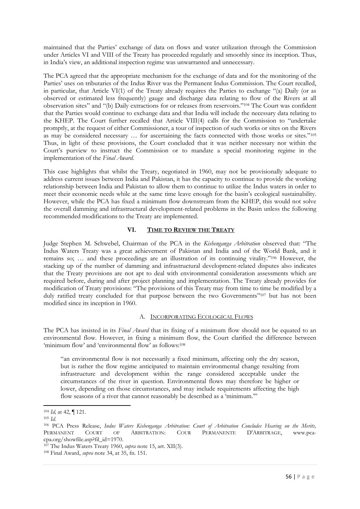maintained that the Parties' exchange of data on flows and water utilization through the Commission under Articles VI and VIII of the Treaty has proceeded regularly and smoothly since its inception. Thus, in India's view, an additional inspection regime was unwarranted and unnecessary.

The PCA agreed that the appropriate mechanism for the exchange of data and for the monitoring of the Parties' uses on tributaries of the Indus River was the Permanent Indus Commission. The Court recalled, in particular, that Article VI(1) of the Treaty already requires the Parties to exchange "(a) Daily (or as observed or estimated less frequently) gauge and discharge data relating to flow of the Rivers at all observation sites" and "(b) Daily extractions for or releases from reservoirs."<sup>104</sup> The Court was confident that the Parties would continue to exchange data and that India will include the necessary data relating to the KHEP. The Court further recalled that Article VIII(4) calls for the Commission to "undertake promptly, at the request of either Commissioner, a tour of inspection of such works or sites on the Rivers as may be considered necessary … for ascertaining the facts connected with those works or sites."<sup>105</sup> Thus, in light of these provisions, the Court concluded that it was neither necessary nor within the Court's purview to instruct the Commission or to mandate a special monitoring regime in the implementation of the *Final Award*.

This case highlights that whilst the Treaty, negotiated in 1960, may not be provisionally adequate to address current issues between India and Pakistan, it has the capacity to continue to provide the working relationship between India and Pakistan to allow them to continue to utilize the Indus waters in order to meet their economic needs while at the same time leave enough for the basin's ecological sustainability. However, while the PCA has fixed a minimum flow downstream from the KHEP, this would not solve the overall damming and infrastructural development-related problems in the Basin unless the following recommended modifications to the Treaty are implemented.

## **VI. TIME TO REVIEW THE TREATY**

Judge Stephen M. Schwebel, Chairman of the PCA in the *Kishenganga Arbitration* observed that: "The Indus Waters Treaty was a great achievement of Pakistan and India and of the World Bank, and it remains so; … and these proceedings are an illustration of its continuing vitality."<sup>106</sup> However, the stacking up of the number of damming and infrastructural development-related disputes also indicates that the Treaty provisions are not apt to deal with environmental consideration assessments which are required before, during and after project planning and implementation. The Treaty already provides for modification of Treaty provisions: "The provisions of this Treaty may from time to time be modified by a duly ratified treaty concluded for that purpose between the two Governments"<sup>107</sup> but has not been modified since its inception in 1960.

#### A. INCORPORATING ECOLOGICAL FLOWS

The PCA has insisted in its *Final Award* that its fixing of a minimum flow should not be equated to an environmental flow. However, in fixing a minimum flow, the Court clarified the difference between 'minimum flow' and 'environmental flow' as follows:<sup>108</sup>

"an environmental flow is not necessarily a fixed minimum, affecting only the dry season, but is rather the flow regime anticipated to maintain environmental change resulting from infrastructure and development within the range considered acceptable under the circumstances of the river in question. Environmental flows may therefore be higher or lower, depending on those circumstances, and may include requirements affecting the high flow seasons of a river that cannot reasonably be described as a 'minimum.'"

**.** 

<sup>104</sup> *Id,* at 42, ¶ 121.

<sup>105</sup> *Id*.

<sup>106</sup> PCA Press Release, *Indus Waters Kishenganga Arbitration: Court of Arbitration Concludes Hearing on the Merits,* PERMANENT COURT OF ARBITRATION: COUR PERMANENTE D'ARBITRAGE, www.pcacpa.org/showfile.asp?fil\_id=1970.

<sup>107</sup> The Indus Waters Treaty 1960, *supra* note 15, art. XII(3).

<sup>108</sup> Final Award, *supra* note 34, at 35, fn. 151.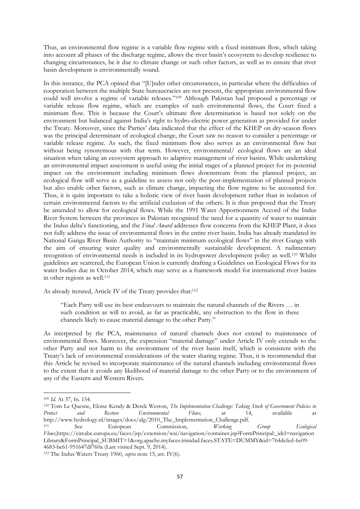Thus, an environmental flow regime is a variable flow regime with a fixed minimum flow, which taking into account all phases of the discharge regime, allows the river basin's ecosystem to develop resilience to changing circumstances, be it due to climate change or such other factors, as well as to ensure that river basin development is environmentally sound.

In this instance, the PCA opined that "[U]nder other circumstances, in particular where the difficulties of cooperation between the multiple State bureaucracies are not present, the appropriate environmental flow could well involve a regime of variable releases."<sup>109</sup> Although Pakistan had proposed a percentage or variable release flow regime, which are examples of such environmental flows, the Court fixed a minimum flow. This is because the Court's ultimate flow determination is based not solely on the environment but balanced against India's right to hydro-electric power generation as provided for under the Treaty. Moreover, since the Parties' data indicated that the effect of the KHEP on dry-season flows was the principal determinant of ecological change, the Court saw no reason to consider a percentage or variable release regime. As such, the fixed minimum flow also serves as an environmental flow but without being synonymous with that term. However, environmental/ ecological flows are an ideal situation when taking an ecosystem approach to adaptive management of river basins. While undertaking an environmental impact assessment is useful using the initial stages of a planned project for its potential impact on the environment including minimum flows downstream from the planned project, an ecological flow will serve as a guideline to assess not only the post-implementation of planned projects but also enable other factors, such as climate change, impacting the flow regime to be accounted for. Thus, it is quite important to take a holistic view of river basin development rather than in isolation of certain environmental factors to the artificial exclusion of the others. It is thus proposed that the Treaty be amended to allow for ecological flows. While the 1991 Water Apportionment Accord of the Indus River System between the provinces in Pakistan recognised the need for a quantity of water to maintain the Indus delta's functioning, and the *Final Award* addresses flow concerns from the KHEP Plant, it does not fully address the issue of environmental flows in the entire river basin. India has already mandated its National Ganga River Basin Authority to "maintain minimum ecological flows" in the river Ganga with the aim of ensuring water quality and environmentally sustainable development. A rudimentary recognition of environmental needs is included in its hydropower development policy as well.<sup>110</sup> Whilst guidelines are scattered, the European Union is currently drafting a Guidelines on Ecological Flows for its water bodies due in October 2014, which may serve as a framework model for international river basins in other regions as well.<sup>111</sup>

As already iterated, Article IV of the Treaty provides that:<sup>112</sup>

"Each Party will use its best endeavours to maintain the natural channels of the Rivers … in such condition as will to avoid, as far as practicable, any obstruction to the flow in these channels likely to cause material damage to the other Party."

As interpreted by the PCA, maintenance of natural channels does not extend to maintenance of environmental flows. Moreover, the expression "material damage" under Article IV only extends to the other Party and not harm to the environment of the river basin itself, which is consistent with the Treaty's lack of environmental considerations of the water sharing regime. Thus, it is recommended that this Article be revised to incorporate maintenance of the natural channels including environmental flows to the extent that it avoids any likelihood of material damage to the other Party or to the environment of any of the Eastern and Western Rivers.

<sup>109</sup> *Id.* At 37, fn. 154.

<sup>110</sup> Tom Le Quesne, Eloise Kendy & Derek Weston, *The Implementation Challenge: Taking Stock of Government Policies to Protect and Restore Environmental Flows,* at 14, available at http://www.hydrology.nl/images/docs/alg/2010\_The\_Implementation\_Challenge.pdf.

<sup>111</sup> See European Commission, *Working Group* Ecological *Ecological Flows*,https://circabc.europa.eu/faces/jsp/extension/wai/navigation/container.jsp?FormPrincipal:\_idcl=navigation Library&FormPrincipal\_SUBMIT=1&org.apache.myfaces.trinidad.faces.STATE=DUMMY&id=764dcfed-6e09- 4683-be61-951647df760a (Last visited Sept. 9, 2014).

<sup>112</sup> The Indus Waters Treaty 1960, *supra* note 15, art. IV(6).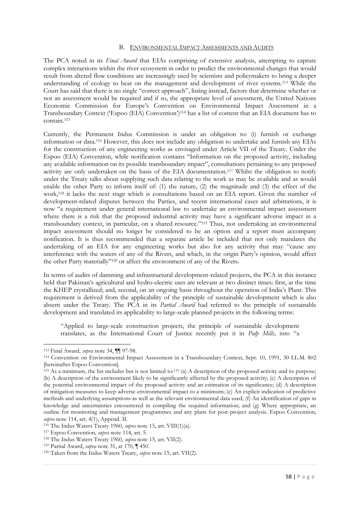#### B. ENVIRONMENTAL IMPACT ASSESSMENTS AND AUDITS

The PCA noted in its *Final Award* that EIAs comprising of extensive analysis, attempting to capture complex interactions within the river ecosystem in order to predict the environmental changes that would result from altered flow conditions are increasingly used by scientists and policymakers to bring a deeper understanding of ecology to bear on the management and development of river systems.<sup>113</sup> While the Court has said that there is no single "correct approach", listing instead, factors that determine whether or not an assessment would be required and if so, the appropriate level of assessment, the United Nations Economic Commission for Europe's Convention on Environmental Impact Assessment in a Transboundary Context ('Espoo (EIA) Convention')<sup>114</sup> has a list of content that an EIA document has to contain.<sup>115</sup>

Currently, the Permanent Indus Commission is under an obligation to: (i) furnish or exchange information or data.<sup>116</sup> However, this does not include any obligation to undertake and furnish any EIAs for the construction of any engineering works as envisaged under Article VII of the Treaty. Under the Espoo (EIA) Convention, while notification contains "Information on the proposed activity, including any available information on its possible transboundary impact", consultations pertaining to any proposed activity are only undertaken on the basis of the EIA documentation.<sup>117</sup> Whilst the obligation to notify under the Treaty talks about supplying such data relating to the work as may be available and as would enable the other Party to inform itself of: (1) the nature, (2) the magnitude and (3) the effect of the work,<sup>118</sup> it lacks the next stage which is consultations based on an EIA report. Given the number of development-related disputes between the Parties, and recent international cases and arbitrations, it is now "a requirement under general international law to undertake an environmental impact assessment where there is a risk that the proposed industrial activity may have a significant adverse impact in a transboundary context, in particular, on a shared resource."<sup>119</sup> Thus, not undertaking an environmental impact assessment should no longer be considered to be an option and a report must accompany notification. It is thus recommended that a separate article be included that not only mandates the undertaking of an EIA for any engineering works but also for any activity that may "cause any interference with the waters of any of the Rivers, and which, in the origin Party's opinion, would affect the other Party materially"<sup>120</sup> or affect the environment of any of the Rivers.

In terms of audits of damming and infrastructural development-related projects, the PCA in this instance held that Pakistan's agricultural and hydro-electric uses are relevant at two distinct times: first, at the time the KHEP crystallized; and, second, on an ongoing basis throughout the operation of India's Plant. This requirement is derived from the applicability of the principle of sustainable development which is also absent under the Treaty. The PCA in its *Partial Award* had referred to the principle of sustainable development and translated its applicability to large-scale planned projects in the following terms:

"Applied to large-scale construction projects, the principle of sustainable development translates, as the International Court of Justice recently put it in *Pulp Mills*, into "a

<sup>113</sup> Final Award, *supra* note 34, ¶¶ 97-98.

<sup>114</sup> Convention on Environmental Impact Assessment in a Transboundary Context, Sept. 10, 1991, 30 I.L.M. 802 [hereinafter Espoo Convention].

 $115$  As a minimum, the list includes but is not limited to:<sup>115</sup> (a) A description of the proposed activity and its purpose; (b) A description of the environment likely to be significantly affected by the proposed activity; (c) A description of the potential environmental impact of the proposed activity and an estimation of its significance; (d) A description of mitigation measures to keep adverse environmental impact to a minimum; (e) An explicit indication of predictive methods and underlying assumptions as well as the relevant environmental data used; (f) An identification of gaps in knowledge and uncertainties encountered in compiling the required information; and (g) Where appropriate, an outline for monitoring and management programmes and any plans for post-project analysis. Espoo Convention, *supra* note 114, art. 4(1), Append. II.

<sup>116</sup> The Indus Waters Treaty 1960, *supra* note 15, art. VIII(1)(a).

<sup>117</sup> Espoo Convention, *supra* note 114, art. 5.

<sup>118</sup> The Indus Waters Treaty 1960, *supra* note 15, art. VII(2).

<sup>119</sup> Partial Award, *supra* note 31, at 170, ¶ 450.

<sup>120</sup> Taken from the Indus Waters Treaty, *supra* note 15, art. VII(2).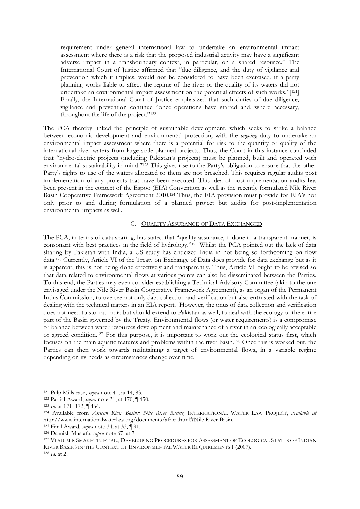requirement under general international law to undertake an environmental impact assessment where there is a risk that the proposed industrial activity may have a significant adverse impact in a transboundary context, in particular, on a shared resource." The International Court of Justice affirmed that "due diligence, and the duty of vigilance and prevention which it implies, would not be considered to have been exercised, if a party planning works liable to affect the regime of the river or the quality of its waters did not undertake an environmental impact assessment on the potential effects of such works."[121] Finally, the International Court of Justice emphasized that such duties of due diligence, vigilance and prevention continue "once operations have started and, where necessary, throughout the life of the project."<sup>122</sup>

The PCA thereby linked the principle of sustainable development, which seeks to strike a balance between economic development and environmental protection, with the *ongoing* duty to undertake an environmental impact assessment where there is a potential for risk to the quantity or quality of the international river waters from large-scale planned projects. Thus, the Court in this instance concluded that "hydro-electric projects (including Pakistan's projects) must be planned, built and operated with environmental sustainability in mind."<sup>123</sup> This gives rise to the Party's obligation to ensure that the other Party's rights to use of the waters allocated to them are not breached. This requires regular audits post implementation of any projects that have been executed. This idea of post-implementation audits has been present in the context of the Espoo (EIA) Convention as well as the recently formulated Nile River Basin Cooperative Framework Agreement 2010.<sup>124</sup> Thus, the EIA provision must provide for EIA's not only prior to and during formulation of a planned project but audits for post-implementation environmental impacts as well.

#### C. QUALITY ASSURANCE OF DATA EXCHANGED

The PCA, in terms of data sharing, has stated that "quality assurance, if done in a transparent manner, is consonant with best practices in the field of hydrology."<sup>125</sup> Whilst the PCA pointed out the lack of data sharing by Pakistan with India, a US study has criticized India in not being so forthcoming on flow data.<sup>126</sup> Currently, Article VI of the Treaty on Exchange of Data does provide for data exchange but as it is apparent, this is not being done effectively and transparently. Thus, Article VI ought to be revised so that data related to environmental flows at various points can also be disseminated between the Parties. To this end, the Parties may even consider establishing a Technical Advisory Committee (akin to the one envisaged under the Nile River Basin Cooperative Framework Agreement), as an organ of the Permanent Indus Commission, to oversee not only data collection and verification but also entrusted with the task of dealing with the technical matters in an EIA report. However, the onus of data collection and verification does not need to stop at India but should extend to Pakistan as well, to deal with the ecology of the entire part of the Basin governed by the Treaty. Environmental flows (or water requirements) is a compromise or balance between water resources development and maintenance of a river in an ecologically acceptable or agreed condition.<sup>127</sup> For this purpose, it is important to work out the ecological status first, which focuses on the main aquatic features and problems within the river basin.<sup>128</sup> Once this is worked out, the Parties can then work towards maintaining a target of environmental flows, in a variable regime depending on its needs as circumstances change over time.

<sup>121</sup> Pulp Mills case, *supra* note 41, at 14, 83.

<sup>122</sup> Partial Award, *supra* note 31, at 170, ¶ 450.

<sup>123</sup> *Id.* at 171–172, ¶ 454.

<sup>124</sup> Available from *African River Basins: Nile River Basins,* INTERNATIONAL WATER LAW PROJECT, *available at* http://www.internationalwaterlaw.org/documents/africa.html#Nile River Basin.

<sup>125</sup> Final Award, *supra* note 34, at 33, ¶ 91.

<sup>126</sup> Daanish Mustafa, *supra* note 67, at 7.

<sup>127</sup> VLADIMIR SMAKHTIN ET AL., DEVELOPING PROCEDURES FOR ASSESSMENT OF ECOLOGICAL STATUS OF INDIAN RIVER BASINS IN THE CONTEXT OF ENVIRONMENTAL WATER REQUIREMENTS 1 (2007).

<sup>128</sup> *Id.* at 2.